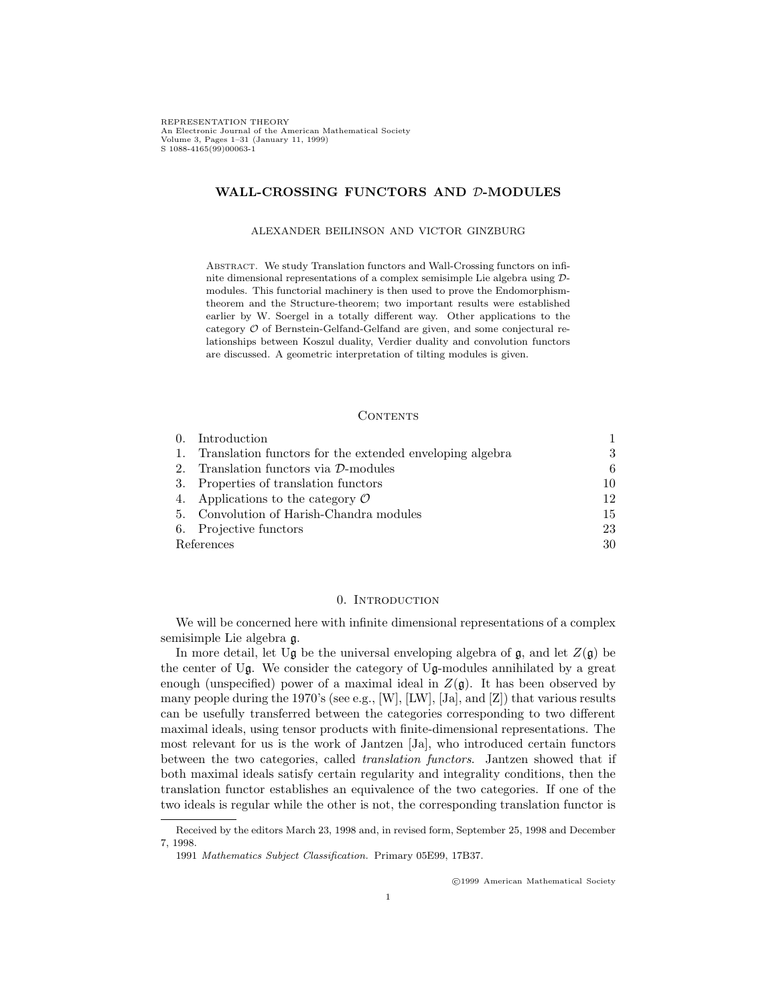REPRESENTATION THEORY An Electronic Journal of the American Mathematical Society Volume 3, Pages 1–31 (January 11, 1999)<br>S 1088-4165(99)00063-1  $\mathcal{L}(\cdot)$ 

## **WALL-CROSSING FUNCTORS AND** *D***-MODULES**

## ALEXANDER BEILINSON AND VICTOR GINZBURG

ABSTRACT. We study Translation functors and Wall-Crossing functors on infinite dimensional representations of a complex semisimple Lie algebra using *D*modules. This functorial machinery is then used to prove the Endomorphismtheorem and the Structure-theorem; two important results were established earlier by W. Soergel in a totally different way. Other applications to the category *O* of Bernstein-Gelfand-Gelfand are given, and some conjectural relationships between Koszul duality, Verdier duality and convolution functors are discussed. A geometric interpretation of tilting modules is given.

#### CONTENTS

| $\theta$ . | Introduction                                             |    |
|------------|----------------------------------------------------------|----|
| 1.         | Translation functors for the extended enveloping algebra | 3  |
| 2.         | Translation functors via D-modules                       | 6  |
|            | 3. Properties of translation functors                    | 10 |
|            | 4. Applications to the category $\mathcal O$             | 12 |
|            | 5. Convolution of Harish-Chandra modules                 | 15 |
|            | 6. Projective functors                                   | 23 |
| References |                                                          | 30 |

## 0. Introduction

We will be concerned here with infinite dimensional representations of a complex semisimple Lie algebra g.

In more detail, let Ug be the universal enveloping algebra of  $\mathfrak{g}$ , and let  $Z(\mathfrak{g})$  be the center of Ug. We consider the category of Ug-modules annihilated by a great enough (unspecified) power of a maximal ideal in  $Z(\mathfrak{g})$ . It has been observed by many people during the 1970's (see e.g., [W], [LW], [Ja], and [Z]) that various results can be usefully transferred between the categories corresponding to two different maximal ideals, using tensor products with finite-dimensional representations. The most relevant for us is the work of Jantzen [Ja], who introduced certain functors between the two categories, called *translation functors*. Jantzen showed that if both maximal ideals satisfy certain regularity and integrality conditions, then the translation functor establishes an equivalence of the two categories. If one of the two ideals is regular while the other is not, the corresponding translation functor is

 $@01999$  American Mathematical Society

Received by the editors March 23, 1998 and, in revised form, September 25, 1998 and December 7, 1998.

<sup>1991</sup> Mathematics Subject Classification. Primary 05E99, 17B37.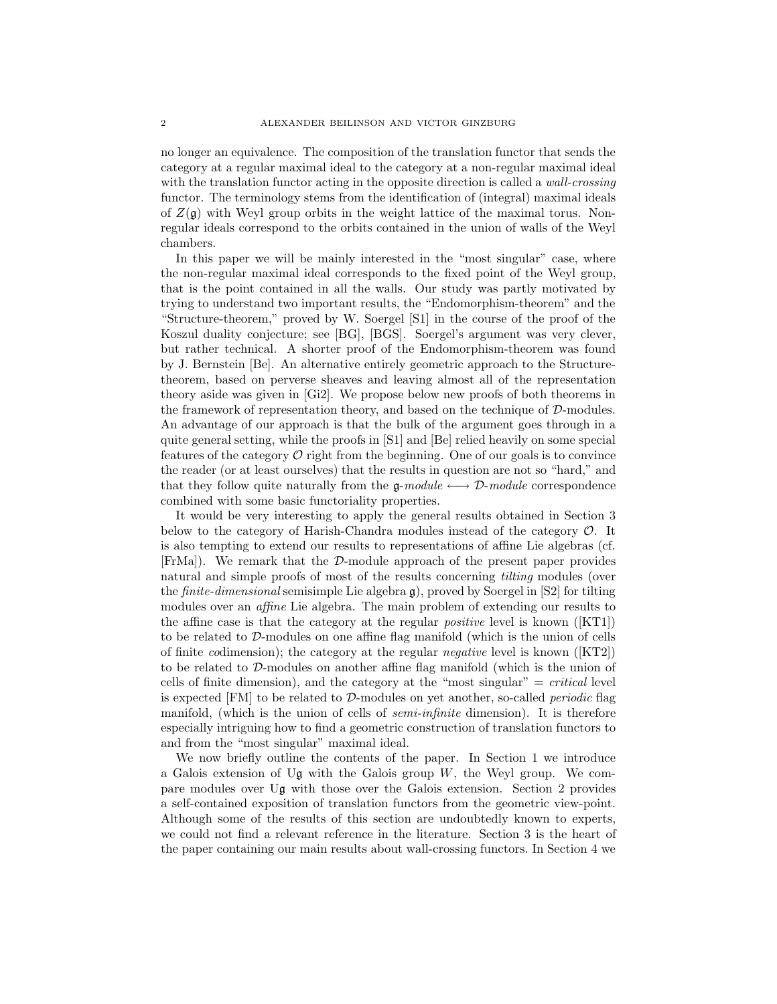no longer an equivalence. The composition of the translation functor that sends the category at a regular maximal ideal to the category at a non-regular maximal ideal with the translation functor acting in the opposite direction is called a *wall-crossing* functor. The terminology stems from the identification of (integral) maximal ideals of  $Z(\mathfrak{g})$  with Weyl group orbits in the weight lattice of the maximal torus. Nonregular ideals correspond to the orbits contained in the union of walls of the Weyl chambers.

In this paper we will be mainly interested in the "most singular" case, where the non-regular maximal ideal corresponds to the fixed point of the Weyl group, that is the point contained in all the walls. Our study was partly motivated by trying to understand two important results, the "Endomorphism-theorem" and the "Structure-theorem," proved by W. Soergel [S1] in the course of the proof of the Koszul duality conjecture; see [BG], [BGS]. Soergel's argument was very clever, but rather technical. A shorter proof of the Endomorphism-theorem was found by J. Bernstein [Be]. An alternative entirely geometric approach to the Structuretheorem, based on perverse sheaves and leaving almost all of the representation theory aside was given in [Gi2]. We propose below new proofs of both theorems in the framework of representation theory, and based on the technique of *D*-modules. An advantage of our approach is that the bulk of the argument goes through in a quite general setting, while the proofs in [S1] and [Be] relied heavily on some special features of the category  $\mathcal O$  right from the beginning. One of our goals is to convince the reader (or at least ourselves) that the results in question are not so "hard," and that they follow quite naturally from the  $g$ - $module \leftrightarrow D$ - $module$  correspondence combined with some basic functoriality properties.

It would be very interesting to apply the general results obtained in Section 3 below to the category of Harish-Chandra modules instead of the category *O*. It is also tempting to extend our results to representations of affine Lie algebras (cf. [FrMa]). We remark that the *D*-module approach of the present paper provides natural and simple proofs of most of the results concerning *tilting* modules (over the *finite-dimensional* semisimple Lie algebra g), proved by Soergel in [S2] for tilting modules over an *affine* Lie algebra. The main problem of extending our results to the affine case is that the category at the regular *positive* level is known ([KT1]) to be related to *D*-modules on one affine flag manifold (which is the union of cells of finite *co*dimension); the category at the regular *negative* level is known ([KT2]) to be related to *D*-modules on another affine flag manifold (which is the union of cells of finite dimension), and the category at the "most singular" = *critical* level is expected [FM] to be related to *D*-modules on yet another, so-called *periodic* flag manifold, (which is the union of cells of *semi-infinite* dimension). It is therefore especially intriguing how to find a geometric construction of translation functors to and from the "most singular" maximal ideal.

We now briefly outline the contents of the paper. In Section 1 we introduce a Galois extension of U $\mathfrak g$  with the Galois group W, the Weyl group. We compare modules over Ug with those over the Galois extension. Section 2 provides a self-contained exposition of translation functors from the geometric view-point. Although some of the results of this section are undoubtedly known to experts, we could not find a relevant reference in the literature. Section 3 is the heart of the paper containing our main results about wall-crossing functors. In Section 4 we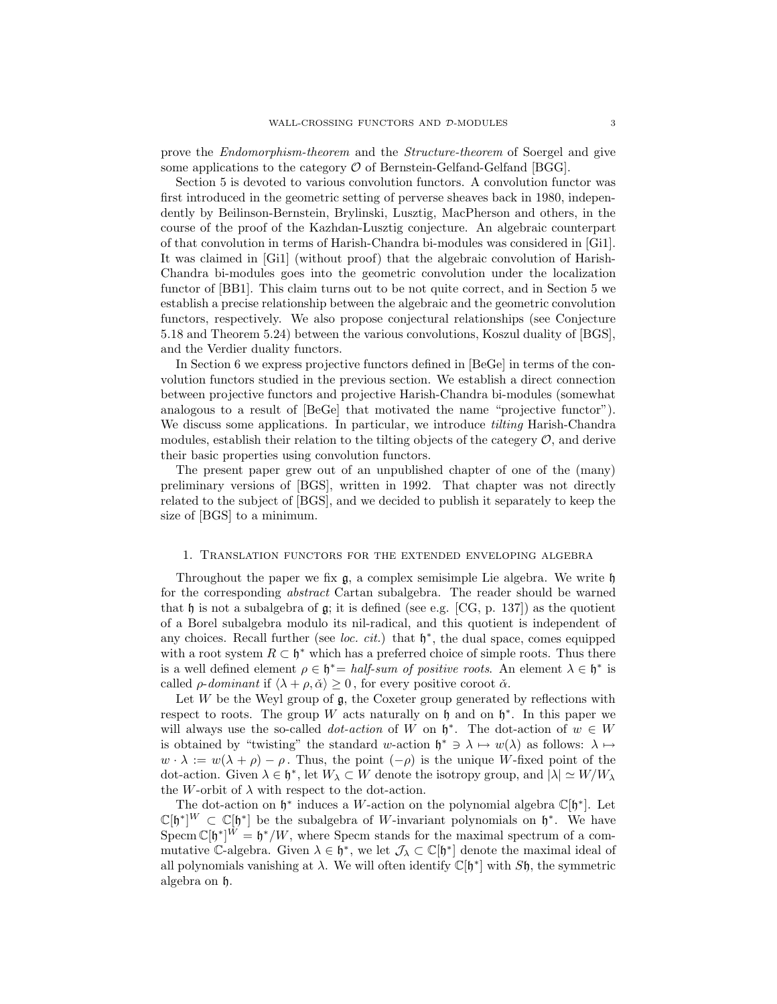prove the *Endomorphism-theorem* and the *Structure-theorem* of Soergel and give some applications to the category  $\mathcal O$  of Bernstein-Gelfand-Gelfand [BGG].

Section 5 is devoted to various convolution functors. A convolution functor was first introduced in the geometric setting of perverse sheaves back in 1980, independently by Beilinson-Bernstein, Brylinski, Lusztig, MacPherson and others, in the course of the proof of the Kazhdan-Lusztig conjecture. An algebraic counterpart of that convolution in terms of Harish-Chandra bi-modules was considered in [Gi1]. It was claimed in [Gi1] (without proof) that the algebraic convolution of Harish-Chandra bi-modules goes into the geometric convolution under the localization functor of [BB1]. This claim turns out to be not quite correct, and in Section 5 we establish a precise relationship between the algebraic and the geometric convolution functors, respectively. We also propose conjectural relationships (see Conjecture 5.18 and Theorem 5.24) between the various convolutions, Koszul duality of [BGS], and the Verdier duality functors.

In Section 6 we express projective functors defined in [BeGe] in terms of the convolution functors studied in the previous section. We establish a direct connection between projective functors and projective Harish-Chandra bi-modules (somewhat analogous to a result of [BeGe] that motivated the name "projective functor"). We discuss some applications. In particular, we introduce *tilting* Harish-Chandra modules, establish their relation to the tilting objects of the categery  $\mathcal{O}$ , and derive their basic properties using convolution functors.

The present paper grew out of an unpublished chapter of one of the (many) preliminary versions of [BGS], written in 1992. That chapter was not directly related to the subject of [BGS], and we decided to publish it separately to keep the size of [BGS] to a minimum.

#### 1. Translation functors for the extended enveloping algebra

Throughout the paper we fix  $g$ , a complex semisimple Lie algebra. We write  $h$ for the corresponding *abstract* Cartan subalgebra. The reader should be warned that h is not a subalgebra of g; it is defined (see e.g. [CG, p. 137]) as the quotient of a Borel subalgebra modulo its nil-radical, and this quotient is independent of any choices. Recall further (see *loc. cit.*) that <sup>h</sup>*<sup>∗</sup>*, the dual space, comes equipped with a root system  $R \subset \mathfrak{h}^*$  which has a preferred choice of simple roots. Thus there is a well defined element  $\rho \in \mathfrak{h}^* = \text{half-sum of positive roots.}$  An element  $\lambda \in \mathfrak{h}^*$  is called  $\rho$ -*dominant* if  $\langle \lambda + \rho, \check{\alpha} \rangle \geq 0$ , for every positive coroot  $\check{\alpha}$ .

Let  $W$  be the Weyl group of  $\mathfrak{g}$ , the Coxeter group generated by reflections with respect to roots. The group W acts naturally on  $\mathfrak h$  and on  $\mathfrak h^*$ . In this paper we will always use the so-called *dot-action* of W on  $\mathfrak{h}^*$ . The dot-action of  $w \in W$ is obtained by "twisting" the standard w-action  $\mathfrak{h}^* \ni \lambda \mapsto w(\lambda)$  as follows:  $\lambda \mapsto$  $w \cdot \lambda := w(\lambda + \rho) - \rho$ . Thus, the point  $(-\rho)$  is the unique W-fixed point of the dot-action. Given  $\lambda \in \mathfrak{h}^*$ , let  $W_\lambda \subset W$  denote the isotropy group, and  $|\lambda| \simeq W/W_\lambda$ the W-orbit of  $\lambda$  with respect to the dot-action.

The dot-action on <sup>h</sup>*<sup>∗</sup>* induces a <sup>W</sup>-action on the polynomial algebra <sup>C</sup>[h*<sup>∗</sup>*]. Let  $\mathbb{C}[\mathfrak{h}^*]^W \subset \mathbb{C}[\mathfrak{h}^*]$  be the subalgebra of *W*-invariant polynomials on  $\mathfrak{h}^*$ . We have<br>Specm  $\mathbb{C}[\mathfrak{h}^*]^W - \mathfrak{h}^*/W$  where Specm stands for the maximal spectrum of a com-Specm  $\mathbb{C}[\mathfrak{h}^*]^{W} = \mathfrak{h}^*/W$ , where Specm stands for the maximal spectrum of a com-<br>mutative  $\mathbb{C}$ -algebra. Given  $\lambda \in \mathfrak{h}^*$ , we let  $\mathcal{I}$ ,  $\subset \mathbb{C}[\mathfrak{h}^*]$  denote the maximal ideal of mutative C-algebra. Given  $\lambda \in \mathfrak{h}^*$ , we let  $\mathcal{J}_{\lambda} \subset \mathbb{C}[\mathfrak{h}^*]$  denote the maximal ideal of all polynomials vanishing at  $\lambda$ . We will often identify  $\mathbb{C}[\mathfrak{h}^*]$  with  $S\mathfrak{h}$ , the symmetric algebra on h.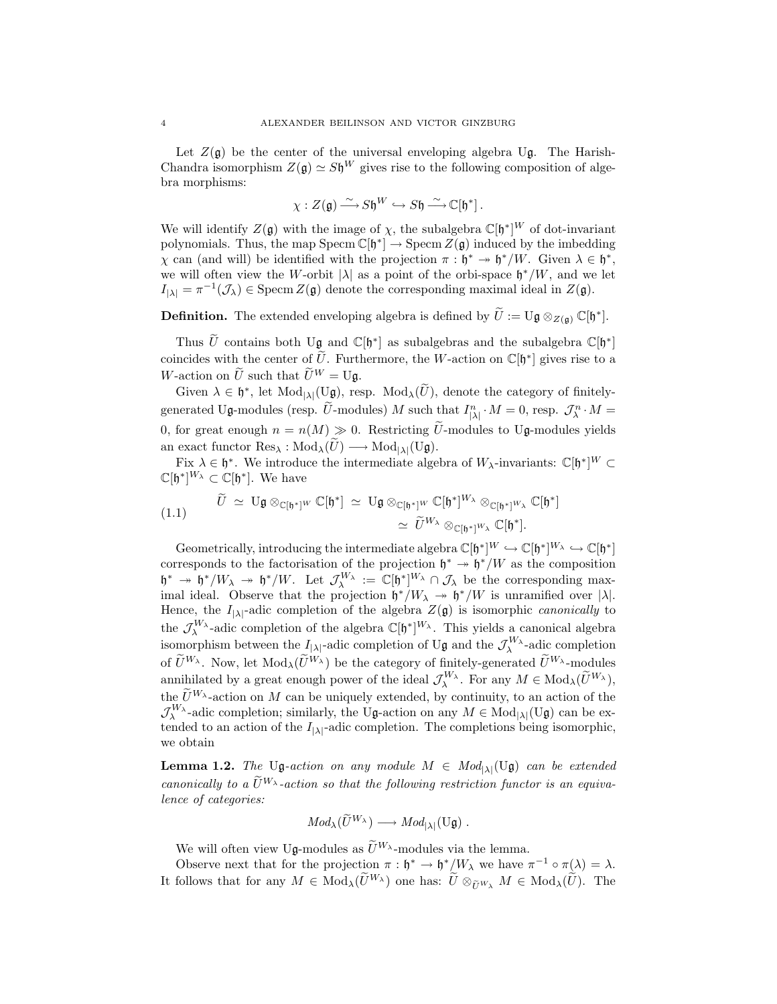Let  $Z(\mathfrak{g})$  be the center of the universal enveloping algebra Ug. The Harish-Chandra isomorphism  $Z(\mathfrak{g}) \simeq S\mathfrak{h}^W$  gives rise to the following composition of algebra morphisms:

$$
\chi: Z(\mathfrak{g}) \longrightarrow S\mathfrak{h}^W \hookrightarrow S\mathfrak{h} \longrightarrow \mathbb{C}[\mathfrak{h}^*].
$$

We will identify  $Z(\mathfrak{g})$  with the image of  $\chi$ , the subalgebra  $\mathbb{C}[\mathfrak{h}^*]^W$  of dot-invariant polynomials. Thus, the map Specm  $\mathbb{C}[\mathfrak{h}^*] \to \text{Specm } Z(\mathfrak{a})$  induced by the imbedding polynomials. Thus, the map  $\text{Specm } \mathbb{C}[\mathfrak{h}^*] \to \text{Specm } Z(\mathfrak{g})$  induced by the imbedding *χ* can (and will) be identified with the projection  $\pi$  :  $\mathfrak{h}^*$  →  $\mathfrak{h}^*/W$ . Given  $\lambda \in \mathfrak{h}^*$ , we will often view the W-orbit  $|\lambda|$  as a point of the orbi-space  $\mathfrak{h}^*/W$ , and we let  $I_{|\lambda|} = \pi^{-1}(\mathcal{J}_{\lambda}) \in \text{Specm } Z(\mathfrak{g})$  denote the corresponding maximal ideal in  $Z(\mathfrak{g})$ .  $\chi$  can (and will) be identified with the projection  $\pi : \mathfrak{h}^* \to \mathfrak{h}^*/W$ . Given  $\lambda \in \mathfrak{h}^*$  we will often view the *W*-orbit | $\lambda$ | as a point of the orbi-space  $\mathfrak{h}^*/W$ , and we le  $I_{|\lambda|} = \pi^{-1}(\mathcal{J}_\lambda)$ 

 $\overline{\mathcal{F}} = \pi^{-1}(\mathcal{J}_\lambda) \in \text{Specm } Z(\mathfrak{g})$  denote the corresponding maximal ideal in  $Z(\mathfrak{g})$ .<br> **Subalgebra:** Thus Ue contains both Ug and C[h<sup>\*</sup>] as subalgebras and the subalgebra C[h<sup>\*</sup>].<br>
Thus Ue contains both Ug and **Definition.** The extended enveloping algebra is defined by  $\widetilde{U} := U\mathfrak{g} \otimes_{Z(\mathfrak{g})} \mathbb{C}[\mathfrak{h}^*].$ <br>Thus  $\widetilde{U}$  contains both U $\mathfrak{g}$  and  $\mathbb{C}[\mathfrak{h}^*]$  as subalgebras and the subalgebra  $\mathbb{C}[\mathfrak{h}^*$ Thus  $\tilde{U}$  contains both Ug and  $\mathbb{C}[\mathfrak{h}^*]$  as subalgebras and the subalgebra  $\mathbb{C}[\mathfrak{h}^*]$  coincides with the center of  $\tilde{U}$ . Furthermore, the *W*-action on  $\mathbb{C}[\mathfrak{h}^*]$  gives rise to a *W*-actio

Given  $\lambda \in \mathfrak{h}^*$ , let  $Mod_{|\lambda|}(U\mathfrak{g})$ , resp.  $Mod_{\lambda}(\widetilde{U})$ , denote the category of finitelycoincides with the center of  $\tilde{U}$ . Furthermore, the *W*-action on  $\mathbb{C}[\mathfrak{h}^*]$  gives rise to a *W*-action on  $\tilde{U}$  such that  $\tilde{U}^W = U\mathfrak{g}$ .<br>Given  $\lambda \in \mathfrak{h}^*$ , let  $Mod_{|\lambda|}(U\mathfrak{g})$ , resp.  $Mod_{\lambda}(\tilde{U$ W-action on  $\widetilde{U}$  such that  $\widetilde{U}^W = U\mathfrak{g}$ .<br>
Given  $\lambda \in \mathfrak{h}^*$ , let  $\text{Mod}_{|\lambda|}(U\mathfrak{g})$ , resp.  $\text{Mod}_{\lambda}(\widetilde{U})$ , denote the category of finitely-<br>
generated Ug-modules (resp.  $\widetilde{U}$ -modules) M such that Given  $\lambda \in \mathfrak{h}^*$ , let  $\text{Mod}_{|\lambda|}(\text{U}\mathfrak{g})$ , resp.  $\text{Mod}_{\lambda}(\widetilde{U})$ ,<br>generated Ug-modules (resp.  $\widetilde{U}$ -modules)  $M$  such t<br>0, for great enough  $n = n(M) \gg 0$ . Restricting  $\widetilde{U}$ <br>an exact functor Res<sub> $\lambda$ </sub>:  $\text{$ 

Fix  $\lambda \in \mathfrak{h}^*$ . We introduce the intermediate algebra of  $W_{\lambda}$ -invariants:  $\mathbb{C}[\mathfrak{h}^*]^{W} \subset$ <br> $\mathbb{C}^{*|W_{\lambda}|} \subset \mathbb{C}[\mathfrak{h}^*]$ . We have  $\mathbb{C}[\mathfrak{h}^*]^{W_\lambda} \subset \mathbb{C}[\mathfrak{h}^*]$ . We have Unctor Res<sub> $λ : Mod <sub>$λ$ </sub>( $\widetilde{U}$ ) → Mod<sub>| $λ$ |</sub>(U**g**).<br>
' C[h<sup>∗</sup>]. We have<br>  $\widetilde{U} \simeq \mathbf{U}\mathfrak{g} \otimes_{\mathbb{C}[\mathfrak{h}^*]} W \mathbb{C}[\mathfrak{h}^*] \simeq \mathbf{U}\mathfrak{g} \otimes_{\mathbb{C}[\mathfrak{h}^*]} W \mathbb{C}[\mathfrak{h}^*]$ </sub></sub>$ 

Fix 
$$
\lambda \in \mathfrak{h}^*
$$
. We introduce the intermediate algebra of  $W_{\lambda}$ -invariants:  
\n $\mathbb{C}[\mathfrak{h}^*]^{W_{\lambda}} \subset \mathbb{C}[\mathfrak{h}^*]$ . We have  
\n $\widetilde{U} \simeq U \mathfrak{g} \otimes_{\mathbb{C}[\mathfrak{h}^*]} w \mathbb{C}[\mathfrak{h}^*] \simeq U \mathfrak{g} \otimes_{\mathbb{C}[\mathfrak{h}^*]} w \mathbb{C}[\mathfrak{h}^*]^{W_{\lambda}} \otimes_{\mathbb{C}[\mathfrak{h}^*]} w_{\lambda} \mathbb{C}[\mathfrak{h}^*]$   
\n $\simeq \widetilde{U}^{W_{\lambda}} \otimes_{\mathbb{C}[\mathfrak{h}^*]} w_{\lambda} \mathbb{C}[\mathfrak{h}^*].$ 

Geometrically, introducing the intermediate algebra  $\mathbb{C}[\mathfrak{h}^*]^W \hookrightarrow \mathbb{C}[\mathfrak{h}^*]^{W_\lambda} \hookrightarrow \mathbb{C}[\mathfrak{h}^*]$ <br>responds to the factorisation of the projection  $\mathfrak{h}^* \to \mathfrak{h}^*/W$  as the composition corresponds to the factorisation of the projection  $\mathfrak{h}^* \to \mathfrak{h}^*/W$  as the composition  $h^* \to h^*/W_\lambda \to h^*/W$ . Let  $\mathcal{J}_\lambda^{W_\lambda} := \mathbb{C}[h^*]^{W_\lambda} \cap \mathcal{J}_\lambda$  be the corresponding max-<br>
imal ideal. Observe that the projection  $h^*/W_\lambda \to h^*/W$  is unramified over [1] imal ideal. Observe that the projection  $\mathfrak{h}^*/W_\lambda \to \mathfrak{h}^*/W$  is unramified over  $|\lambda|$ . Hence, the  $I_{|\lambda|}$ -adic completion of the algebra  $Z(\mathfrak{g})$  is isomorphic *canonically* to the  $\mathcal{J}_{\lambda}^{W_{\lambda}}$ -adic completion of the algebra  $\mathbb{C}[\mathfrak{h}^*]^{W_{\lambda}}$ . This yields a canonical algebra isomorphism between the  $I_{|\lambda|}$ -adic completion of Ug and the  $\mathcal{J}_{\lambda}^{W_{\lambda}}$ -adic completion Hence, the  $I_{|\lambda|}$ -adic completion of the algebra  $Z(\mathfrak{g})$  is isomorphic *canonically* to the  $\mathcal{J}_{\lambda}^{W_{\lambda}}$ -adic completion of the algebra  $\mathbb{C}[\mathfrak{h}^*]^{W_{\lambda}}$ . This yields a canonical algebra isomorphism betwe annihilated by a great enough power of the ideal  $\mathcal{J}_{\lambda}^{W_{\lambda}}$ . For any  $M \in Mod_{\lambda}(\widetilde{U}^{W_{\lambda}})$ , This yields a canonical algebra  $\mathfrak{g}$  and the  $\mathcal{J}_{\lambda}^{W_{\lambda}}$ -adic completion finitely-generated  $\widetilde{U}^{W_{\lambda}}$ -modules  $\lambda^{W_{\lambda}}$ . For any  $M \in Mod_{\lambda}(\widetilde{U}^{W_{\lambda}})$ , isomorphism between the  $I_{|\lambda|}$ -adic completion of Ug and the  $\mathcal{J}_{\lambda}^{W_{\lambda}}$ -adic completion<br>of  $\tilde{U}^{W_{\lambda}}$ . Now, let  $Mod_{\lambda}(\tilde{U}^{W_{\lambda}})$  be the category of finitely-generated  $\tilde{U}^{W_{\lambda}}$ -modules<br>annihilated by  $J_{\lambda}^{W_{\lambda}}$ -adic completion; similarly, the Ug-action on any  $M \in Mod_{|\lambda|}(Ug)$  can be ex-<br>tended to an action of the Lucadic completion. The completions being isomorphic tended to an action of the  $I_{|\lambda|}$ -adic completion. The completions being isomorphic, we obtain tended to an action of the  $I_{|\lambda|}$ -adic completion. The completions being isomorphic,<br>we obtain<br>**Lemma 1.2.** The Ug-action on any module  $M \in Mod_{|\lambda|}(\text{Ug})$  can be extended<br>canonically to a  $\widetilde{U}^{W_{\lambda}}$ -action so that t

*lence of categories: Moon so that the following restri*<br> $Mod_{\lambda}(\widetilde{U}^{W_{\lambda}}) \longrightarrow Mod_{|\lambda|}(U\mathfrak{g})$ . canonically to a  $\widetilde{U}^{W_{\lambda}}$ -action so that the following restriction functor is an equiva-<br>lence of categories:<br> $Mod_{\lambda}(\widetilde{U}^{W_{\lambda}}) \longrightarrow Mod_{|\lambda|}(U_{\mathfrak{g}})$ .<br>We will often view Ug-modules as  $\widetilde{U}^{W_{\lambda}}$ -modules via th

$$
Mod_{\lambda}(\widetilde{U}^{W_{\lambda}}) \longrightarrow Mod_{|\lambda|}(\mathrm{U}\mathfrak{g})
$$

Observe next that for the projection  $\pi : \mathfrak{h}^* \to \mathfrak{h}^*/W_\lambda$  we have  $\pi^{-1} \circ \pi(\lambda) = \lambda$ . It follows that for any  $M \in Mod_{\lambda}(\widetilde{U}^{W_{\lambda}})$  one has:  $\widetilde{U} \otimes_{\widetilde{U}^{W_{\lambda}}} M \in Mod_{\lambda}(\widetilde{U})$ . The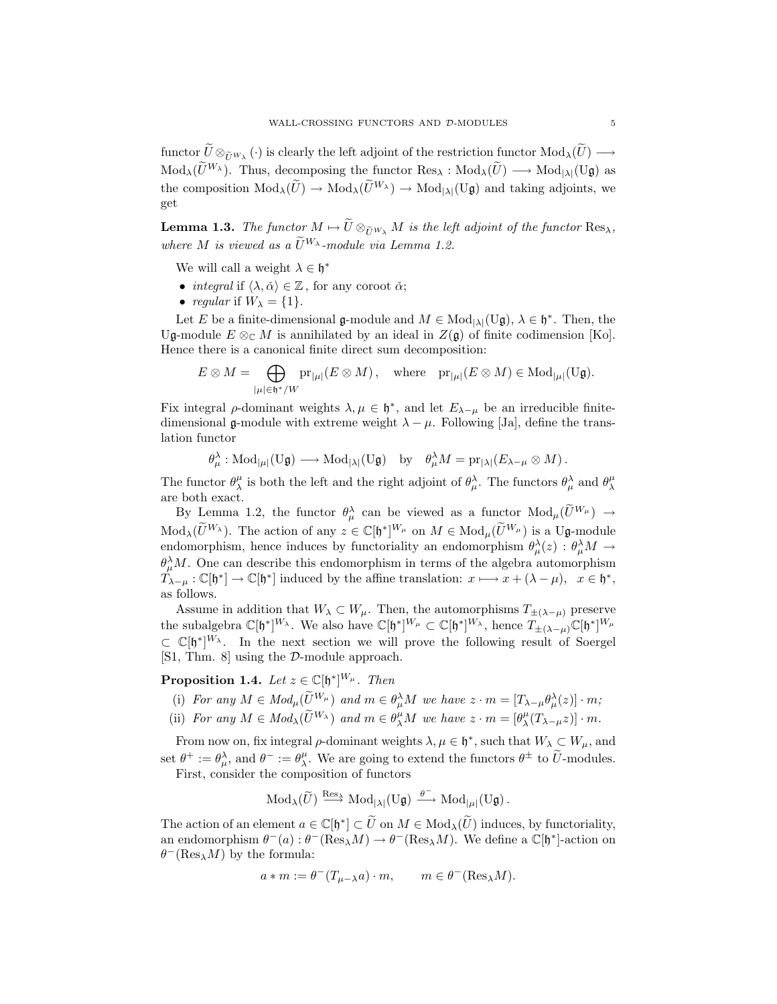functor  $\widetilde{U}\otimes_{\widetilde{U}W_{\lambda}}(\cdot)$  is clearly the left adjoint of the restriction functor  $Mod_{\lambda}(\widetilde{U}) \longrightarrow$ MALL-CROSSING FUNCTORS AND D-MODULES 5<br>
functor  $\widetilde{U} \otimes_{\widetilde{U}^{W_{\lambda}}} (\cdot)$  is clearly the left adjoint of the restriction functor  $Mod_{\lambda}(\widetilde{U}) \longrightarrow Mod_{\lambda}(\widetilde{U}^{W_{\lambda}})$ . Thus, decomposing the functor  $Res_{\lambda} : Mod_{\lambda}(\widetilde{U}) \longrightarrow$ the composition Mod<sub>*λ*</sub>( $\tilde{U} \otimes_{\tilde{U}^{W_{\lambda}}} (\cdot)$  is clearly the left adjoint of the restriction functor  $Mod_{\lambda}(\tilde{U}) \longrightarrow Mod_{\lambda}(\tilde{U}^{W_{\lambda}})$ . Thus, decomposing the functor  $Res_{\lambda}: Mod_{\lambda}(\tilde{U}) \longrightarrow Mod_{|\lambda|}(U_{\mathfrak{g}})$  as the comp get  $\text{Mod}_{\lambda}(\tilde{U}^{W_{\lambda}})$ . Thus, decomposing the functor  $\text{Res}_{\lambda} : \text{Mod}_{\lambda}(\tilde{U}) \longrightarrow \text{Mod}_{|\lambda|}(\text{U}\mathfrak{g})$  as the composition  $\text{Mod}_{\lambda}(\tilde{U}) \longrightarrow \text{Mod}_{\lambda}(\tilde{U}^{W_{\lambda}}) \longrightarrow \text{Mod}_{|\lambda|}(\text{U}\mathfrak{g})$  and taking adjoints, we get<br>**Lemma 1.** 

*where* M *is viewed* as a  $\widetilde{U}^{W_{\lambda}}$  *i*  $\rightarrow$  Mod<sub>|A|</sub><br> **Lemma 1.3.** *The functor*  $M \mapsto \widetilde{U} \otimes_{\widetilde{U}^{W_{\lambda}}} M$  *is the let*<br> *where*  $M$  *is viewed* as a  $\widetilde{U}^{W_{\lambda}}$ -module via Lemma 1.2.

We will call a weight  $\lambda \in \mathfrak{h}^*$ 

- *integral* if  $\langle \lambda, \check{\alpha} \rangle \in \mathbb{Z}$ , for any coroot  $\check{\alpha}$ ;
- *regular* if  $W_{\lambda} = \{1\}.$

Let E be a finite-dimensional g-module and  $M \in Mod_{|\lambda|}(U\mathfrak{g}), \lambda \in \mathfrak{h}^*$ . Then, the codule  $E \otimes_{\alpha} M$  is annihilated by an ideal in  $Z(\mathfrak{g})$  of finite coduration [Ko] Ug-module  $E \otimes_{\mathbb{C}} M$  is annihilated by an ideal in  $Z(\mathfrak{g})$  of finite codimension [Ko]. Hence there is a canonical finite direct sum decomposition: *E* be a finite-din<br>dule  $E \otimes_{\mathbb{C}} M$  is<br>there is a canon<br> $E \otimes M = \bigoplus$ 

$$
E \otimes M = \bigoplus_{|\mu| \in \mathfrak{h}^*/W} \mathrm{pr}_{|\mu|} (E \otimes M) \,, \quad \text{where} \quad \mathrm{pr}_{|\mu|} (E \otimes M) \in \mathrm{Mod}_{|\mu|}(\mathrm{U}\mathfrak{g}).
$$

Fix integral  $\rho$ -dominant weights  $\lambda, \mu \in \mathfrak{h}^*$ , and let  $E_{\lambda-\mu}$  be an irreducible finitedimensional g-module with extreme weight  $\lambda - \mu$ . Following [Ja], define the translation functor

$$
\theta_{\mu}^{\lambda} : \text{Mod}_{|\mu|}(U\mathfrak{g}) \longrightarrow \text{Mod}_{|\lambda|}(U\mathfrak{g}) \text{ by } \theta_{\mu}^{\lambda}M = \text{pr}_{|\lambda|}(E_{\lambda-\mu} \otimes M).
$$

The functor  $\theta^{\mu}_{\lambda}$  is both the left and the right adjoint of  $\theta^{\lambda}_{\mu}$ . The functors  $\theta^{\lambda}_{\mu}$  and  $\theta^{\mu}_{\lambda}$ are both exact.  $\theta_{\mu}^{\lambda} : \text{Mod}_{|\mu|}(\text{U}\mathfrak{g}) \longrightarrow \text{Mod}_{|\lambda|}(\text{U}\mathfrak{g})$  by  $\theta_{\mu}^{\lambda}M = \text{pr}_{|\lambda|}(E_{\lambda-\mu} \otimes M)$ .<br> *e* functor  $\theta_{\lambda}^{\mu}$  is both the left and the right adjoint of  $\theta_{\mu}^{\lambda}$ . The functors  $\theta_{\mu}^{\lambda}$  and  $\theta_{\lambda}^{\mu}$ <br>

The functor  $\theta_{\lambda}^{\mu}$  is both the left and the right adjoint of  $\theta_{\mu}^{\lambda}$ . The functors  $\theta_{\mu}^{\lambda}$  and  $\theta_{\lambda}^{\mu}$  are both exact.<br>By Lemma 1.2, the functor  $\theta_{\mu}^{\lambda}$  can be viewed as a functor  $Mod_{\mu}(\widetilde{U}^{W$ endomorphism, hence induces by functoriality an endomorphism  $\theta_{\mu}^{\lambda}(z)$  :  $\theta_{\mu}^{\lambda}M \to$  $\theta_{\mu}^{\lambda}M$ . One can describe this endomorphism in terms of the algebra automorphism  $T_{\lambda-\mu}: \mathbb{C}[\mathfrak{h}^*] \to \mathbb{C}[\mathfrak{h}^*]$  induced by the affine translation:  $x \longmapsto x + (\lambda - \mu)$ ,  $x \in \mathfrak{h}^*$ , as follows.

Assume in addition that  $W_{\lambda} \subset W_{\mu}$ . Then, the automorphisms  $T_{\pm(\lambda-\mu)}$  preserve the subalgebra  $\mathbb{C}[\mathfrak{h}^*]^{W_\lambda}$ . We also have  $\mathbb{C}[\mathfrak{h}^*]^{W_\mu} \subset \mathbb{C}[\mathfrak{h}^*]^{W_\lambda}$ , hence  $T_{\pm(\lambda-\mu)}\mathbb{C}[\mathfrak{h}^*]^{W_\mu}$ <br> $\subset \mathbb{C}[\mathfrak{h}^*]^{W_\lambda}$ . In the next section we will prove the following result *<sup>⊂</sup>* <sup>C</sup>[h*<sup>∗</sup>*] *<sup>W</sup><sup>λ</sup>* . In the next section we will prove the following result of Soergel [S1, Thm. 8] using the *D*-module approach.  $\mathbb{C}[\mathfrak{h}^*]^{W_\lambda}$ . In the next section we will prove the following result of Soer,<br>
1, Thm. 8] using the  $\mathcal{D}\text{-module approach.}$ <br> **roposition 1.4.** Let  $z \in \mathbb{C}[\mathfrak{h}^*]^{W_\mu}$ . Then<br>
(i) For any  $M \in Mod_\mu(\widetilde{U}^{W_\mu})$  and

**Proposition 1.4.** *Let*  $z \in \mathbb{C}[\mathfrak{h}^*]^{W_\mu}$ . *Then* 

- 
- (i) *For any*  $M \in Mod_{\mu}(\widetilde{U}^{W_{\mu}})$  *and*  $m \in \theta_{\mu}^{\lambda}$ <br>
(i) *For any*  $M \in Mod_{\mu}(\widetilde{U}^{W_{\mu}})$  *and*  $m \in \theta_{\mu}^{\lambda}$ <br>
(ii) *For any*  $M \in Mod_{\lambda}(\widetilde{U}^{W_{\lambda}})$  *and*  $m \in \theta_{\lambda}^{\mu}$  $\mu_{\lambda}^{\mu}M$  *we have*  $z \cdot m = [\theta_{\lambda}^{\mu}(T_{\lambda-\mu}z)] \cdot m$ *.*

From now on, fix integral  $\rho$ -dominant weights  $\lambda, \mu \in \mathfrak{h}^*$ , such that  $W_{\lambda} \subset W_{\mu}$ , and  $\rho^+$ ,  $\rho^{\lambda}$  and  $\rho^-$ ,  $\rho^{\mu}$ . We are going to extend the functors  $\rho^+$  to  $\tilde{U}$  modules set  $\theta^+ := \theta^{\lambda}_{\mu}$ , and  $\theta^- := \theta^{\mu}_{\lambda}$  $(U^{W_{\mu}})$  and  $m \in \theta_{\mu}^{\lambda}M$  we have  $z \cdot m = [T_{\lambda-\mu}\theta_{\mu}^{\lambda}(z)] \cdot m$ ;<br>  $(\widetilde{U}^{W_{\lambda}})$  and  $m \in \theta_{\lambda}^{\mu}M$  we have  $z \cdot m = [\theta_{\lambda}^{\mu}(T_{\lambda-\mu}z)] \cdot m$ .<br>
al  $\rho$ -dominant weights  $\lambda, \mu \in \mathfrak{h}^*$ , such that  $W_{\lambda} \subset W_{\mu}$ ,  $\bar{\theta}$  - integral  $\rho$ -dominant weights  $\lambda$ <br>  $\bar{\theta}$  -  $\bar{\theta}$  =  $\theta$ <sup>*μ*</sup>. We are going to exter-<br>
he composition of functors<br>
Mod<sub> $\lambda$ </sub>( $\bar{U}$ )  $\xrightarrow{\text{Res}_{\lambda}}$  Mod<sub>| $\lambda$ |</sub>(U**g**)  $\xrightarrow{\theta^{-}}$ 

First, consider the composition of functors

$$
\operatorname{Mod}_{\lambda}(\widetilde{U}) \xrightarrow{\operatorname{Res}_{\lambda}} \operatorname{Mod}_{|\lambda|}(\mathrm{U}\mathfrak{g}) \xrightarrow{\theta^{-}} \operatorname{Mod}_{|\mu|}(\mathrm{U}\mathfrak{g}) .
$$

The action of an element  $a \in \mathbb{C}[\mathfrak{h}^*] \subset \tilde{U}$  on  $M \in Mod_{\lambda}(\tilde{U})$  induces, by functoriality, an endomorphism  $\theta^{-}(a): \theta^{-}(\text{Res}_{\lambda}M) \to \theta^{-}(\text{Res}_{\lambda}M)$ . We define a  $\mathbb{C}[\mathfrak{h}^{*}]$ -action on θ*−*(Res*λ*M) by the formula:

$$
a * m := \theta^{-}(T_{\mu - \lambda} a) \cdot m, \qquad m \in \theta^{-}(\text{Res}_{\lambda} M).
$$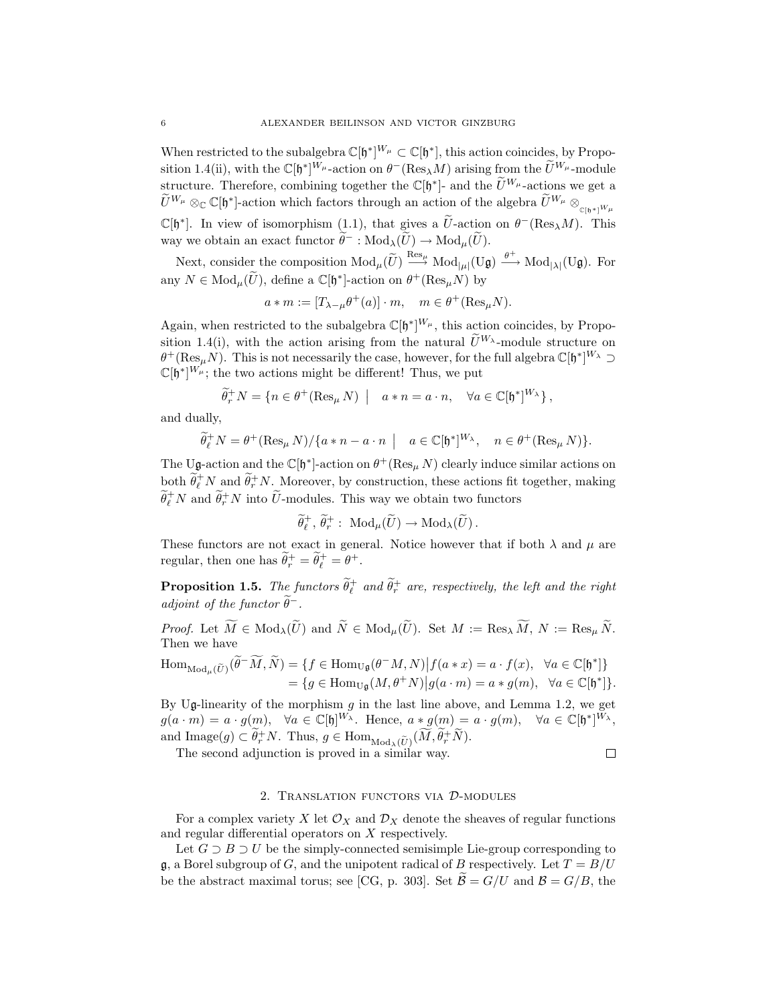When restricted to the subalgebra  $\mathbb{C}[\mathfrak{h}^*]^{W_\mu} \subset \mathbb{C}[\mathfrak{h}^*]$ , this action coincides, by Proposition 1.4(ii), with the  $\mathbb{C}[\mathfrak{h}^*]^{W_\mu}$ -action on  $\theta^-$ (Res<sub>*λ</sub>M*) arising from the  $\widetilde{U}^{W_\mu}$ -modul</sub> sition 1.4(ii), with the  $\mathbb{C}[\mathfrak{h}^*]^{W_\mu}$ -action on  $\theta^-$  (Res<sub> $\lambda$ </sub>M) arising from the  $\widetilde{U}^{W_\mu}$ -module s<br>When restricted to the subalgebra  $\mathbb{C}[\mathfrak{h}^*]^{W_\mu} \subset \mathbb{C}[\mathfrak{h}^*]$ , this action coincides, by Propo-<br>sition 1.4(ii), with the  $\mathbb{C}[\mathfrak{h}^*]^{W_\mu}$ -action on  $\theta^-$  (Res<sub>A</sub>*M*) arising from the  $\widetilde{U}^{W_\mu}$ -When restricted to the subalgebra  $\mathbb{C}[\mathfrak{h}^*]^{W_\mu} \subset \mathbb{C}[\mathfrak{h}^*]$ , this action coincides, by Proposition 1.4(ii), with the  $\mathbb{C}[\mathfrak{h}^*]^{W_\mu}$ -action on  $\theta^-$  (Res<sub> $\lambda$ </sub>*M*) arising from the  $\widetilde{U}^{W_\mu}$ -m sition 1.4(ii), with the  $\mathbb{C}[\mathfrak{h}^*]^{W_\mu}$ -action on  $\theta^-$ (Res<sub>λ</sub>M) arising from the  $\tilde{U}^{W_\mu}$ -module<br>structure. Therefore, combining together the  $\mathbb{C}[\mathfrak{h}^*]$ - and the  $\tilde{U}^{W_\mu}$ -actions we get a<br> $\tilde{$ way we obtain an exact functor  $\widetilde{\theta}^-$  :  $\text{Mod}_{\lambda}(\widetilde{U}) \to \text{Mod}_{\mu}(\widetilde{U})$ . structure. Therefore, combining together the  $\mathbb{C}[\mathfrak{h}^*]$ - and the  $\tilde{U}^{W_\mu}$ -actions we get a  $\mathbb{C}[\mathfrak{h}^*]$ . In view of isomorphism (1.1), that gives a  $\widetilde{U}$ -action on  $\theta$ <sup>-</sup>(Res<sub> $\lambda$ </sub>*M*). This

 $\frac{\text{Res}_{\mu}}{\longrightarrow} \text{Mod}_{|\mu|}(\text{U}\mathfrak{g}) \xrightarrow{\theta^+} \text{Mod}_{|\lambda|}(\text{U}\mathfrak{g})$ . For  $\mathbb{C}[\mathfrak{h}^*]$ . In view of isomorphism (1.1), that gives a  $\tilde{U}$ -action way we obtain an exact functor  $\tilde{\theta}^-$ :  $\text{Mod}_{\lambda}(\tilde{U}) \to \text{Mod}_{\mu}(\tilde{U})$ <br>Next, consider the composition  $\text{Mod}_{\mu}(\tilde{U}) \xrightarrow{\text{Res}_{\mu}} \text{Mod}_{|\mu|}(\$ 

$$
a\ast m:=[T_{\lambda-\mu}\theta^+(a)]\cdot m,\quad m\in\theta^+(\mathrm{Res}_\mu N).
$$

Again, when restricted to the subalgebra  $\mathbb{C}[\mathfrak{h}^*]^{W_\mu}$ , this action coincides, by Propo-<br>cition 1.4(i) with the action existent from the natural  $\widetilde{U}^{W_\lambda}$  module structure on show  $S = \begin{bmatrix} \n\frac{1}{2} & \text{if } 0 \end{bmatrix} \cdot m, \quad m \in \theta^+(\text{Res}_{\mu}N)$  by<br>  $a * m := [T_{\lambda - \mu}\theta^+(a)] \cdot m, \quad m \in \theta^+(\text{Res}_{\mu}N)$ .<br>
Again, when restricted to the subalgebra  $\mathbb{C}[\mathfrak{h}^*]^{\mathbb{W}_{\mu}}$ , this action coincides, by Proposition 1.4  $\theta^+$ (Res<sub>*µ</sub>N*). This is not necessarily the case, however, for the full algebra  $\mathbb{C}[\mathfrak{h}^*]^{W_\lambda} \supset \mathbb{C}[\mathfrak{h}^*]^{W_\mu}$ . the two actions might be different. Thus, we put</sub> for restricted to the subalger<br>  $\hat{p}$ , with the action arising<br>  $\hat{p}$ . This is not necessarily the<br>  $\hat{p}$  if  $\hat{p}$   $\hat{p}$   $\hat{p}$   $\hat{p}$   $\hat{p}$   $\hat{p}$   $\hat{p}$   $\hat{p}$   $\hat{p}$   $\hat{p}$   $\hat{p}$   $\hat{p}$   $\hat{p}$   $\$ 

$$
\mathbb{C}[\mathfrak{h}^*]^{W_\mu}; \text{ the two actions might be different! Thus, we put}
$$

$$
\widetilde{\theta}_r^+ N = \{n \in \theta^+ (\text{Res}_\mu N) \mid a * n = a \cdot n, \quad \forall a \in \mathbb{C}[\mathfrak{h}^*]^{W_\lambda}\},
$$
and dually,
$$
\widetilde{\theta}_\ell^+ N = \theta^+ (\text{Res}_\mu N) / \{a * n - a \cdot n \mid a \in \mathbb{C}[\mathfrak{h}^*]^{W_\lambda}, \quad n \in \theta^+ (\text{Res}_\mu N) \}
$$

and dually,

$$
\widetilde{\theta}_{\ell}^+ N = \theta^+ (\operatorname{Res}_{\mu} N) / \{ a * n - a \cdot n \mid a \in \mathbb{C}[\mathfrak{h}^*]^{W_{\lambda}}, n \in \theta^+ (\operatorname{Res}_{\mu} N) \}.
$$

The Ug-action and the  $\mathbb{C}[\mathfrak{h}^*]$ -action on  $\theta^+(\text{Res}_{\mu} N)$  clearly induce similar actions on both  $\tilde{\theta}_\ell^+ N$  and  $\tilde{\theta}_r^+ N$ . Moreover, by construction, these actions fit together, making  $\widetilde{\theta}_\ell^+ N$  and  $\widetilde{\theta}_r^+ N$  into  $\widetilde{U}$ -modul  $V = \theta^+ (\text{Res}_{\mu} N)/\{a * n - a \cdot n \mid a \in \mathbb{C}[\mathfrak{h}^*]^{W_{\lambda}}, \quad n \in \theta$ <br>ion and the  $\mathbb{C}[\mathfrak{h}^*]$ -action on  $\theta^+ (\text{Res}_{\mu} N)$  clearly induce :<br>and  $\widetilde{\theta}_r^+ N$ . Moreover, by construction, these actions fit<br> $\widetilde{r}^+ N$  into ction on  $\theta^+$ (Res<sub> $\mu$ </sub> *N*) clearly<br>r, by construction, these act<br>s. This way we obtain two i<br> $\tilde{\psi}^+$ : Mod $_{\mu}(\tilde{U}) \rightarrow Mod_{\lambda}(\tilde{U})$ .

$$
\widetilde{\theta}^+_\ell,\, \widetilde{\theta}^+_{r}:\ {\rm Mod}_\mu(\widetilde{U})\to {\rm Mod}_\lambda(\widetilde{U})\,.
$$

These functors are not exact in general. Notice however that if both  $\lambda$  and  $\mu$  are regular, then one has  $\widetilde{\theta}_r^+ = \widetilde{\theta}_\ell^+ = \theta^+$ .

**Proposition 1.5.** *The functors*  $\widetilde{\theta}_\ell^+$  *and*  $\widetilde{\theta}_r^+$  *are, respectively, the left and the right adjoint of the functor*  $\theta^-$ *.* **n** 1.5. The functors  $\widetilde{\theta}_\ell^+$  and  $\widetilde{\theta}_r^+$  are, respectively, the left and the right<br>he functor  $\widetilde{\theta}^-$ .<br> $\widetilde{M} \in Mod_\lambda(\widetilde{U})$  and  $\widetilde{N} \in Mod_\mu(\widetilde{U})$ . Set  $M := \text{Res}_\lambda \widetilde{M}$ ,  $N := \text{Res}_\mu \widetilde{N}$ .

*Proof.* Let M Then we have *Proof.* Let  $M$ <br>Then we have<br> $\text{Hom}_{\text{Mod}_\mu(\widetilde{U})}(\widetilde{\theta})$  $f$ *unctor*  $\theta^-$ .<br>  $\in \text{Mod}_{\lambda}(\widetilde{U})$  and  $\widetilde{N} \in \text{Mod}_{\mu}(\widetilde{U})$ .<br>  $\tilde{M}, \widetilde{N}$  $= \{ f \in \text{Hom}_{\text{U}\mathfrak{g}}(\theta^-M, N)$ 

$$
\text{Hom}_{\text{Mod}_{\mu}(\widetilde{U})}(\widetilde{\theta}^-\widetilde{M}, \widetilde{N}) = \{ f \in \text{Hom}_{\text{U}_{\mathfrak{g}}}(\theta^-\mathcal{M}, N) | f(a*x) = a \cdot f(x), \ \forall a \in \mathbb{C}[\mathfrak{h}^*] \} \n= \{ g \in \text{Hom}_{\text{U}_{\mathfrak{g}}}(M, \theta^+ N) | g(a \cdot m) = a * g(m), \ \forall a \in \mathbb{C}[\mathfrak{h}^*] \}.
$$

By Ug-linearity of the morphism g in the last line above, and Lemma 1.2, we get  $g(a, m) = a \cdot g(m)$   $\forall a \in \mathbb{C}[\mathbf{h}]^{W_{\lambda}}$ . Hence  $a * g(m) = a \cdot g(m)$   $\forall a \in \mathbb{C}[\mathbf{h}^{*}]^{W_{\lambda}}$  $g(a \cdot m) = a \cdot g(m), \quad \forall a \in \mathbb{C}[\mathfrak{h}]^{W_{\lambda}}.$  Hence,  $a * g(m) = a \cdot g(m), \quad \forall a \in \mathbb{C}[\mathfrak{h}^*]^{W_{\lambda}},$ and Image(g)  $\subset \widetilde{\theta}_r^+$  $f$  f the morphism *g* in the last line<br> *r*),  $\forall a \in \mathbb{C}[\mathfrak{h}]^{W_{\lambda}}$ . Hence,  $a * g(r)$ <br> *r*<sup>1</sup>*N*. Thus,  $g \in \text{Hom}_{\text{Mod}_{\lambda}(\widetilde{U})}(\widetilde{M}, \widetilde{\theta})$  $\begin{aligned} (n \cdot m) \\ \text{above} \\ (n) = \\ (\hat{r} + \widetilde{N}). \end{aligned}$ 

The second adjunction is proved in a similar way.

$$
\qquad \qquad \Box
$$

# 2. Translation functors via *D*-modules

For a complex variety X let  $\mathcal{O}_X$  and  $\mathcal{D}_X$  denote the sheaves of regular functions and regular differential operators on X respectively.

Let  $G \supseteq B \supseteq U$  be the simply-connected semisimple Lie-group corresponding to  $\mathfrak{g}$ , a Borel subgroup of G, and the unipotent radical of B respectively. Let  $T = B/U$ be the abstract maximal torus; see [CG, p. 303]. Set  $\widetilde{\mathcal{B}} = G/U$  and  $\mathcal{B} = G/B$ , the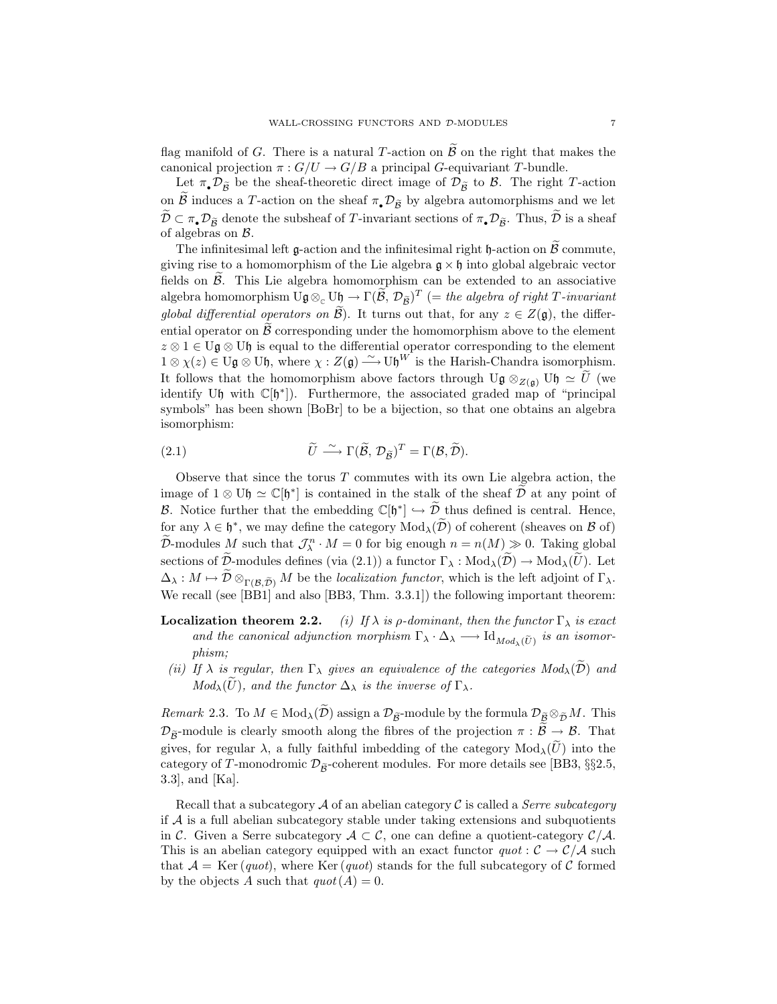wall-crossing FUNCTORS AND  $\mathcal{D}$ -MODULES 7<br>flag manifold of *G*. There is a natural *T*-action on  $\widetilde{\mathcal{B}}$  on the right that makes the canonical projection  $\pi: G/U \to G/B$  a principal G-equivariant T-bundle. g manifold of *G*. There is a natural *T*-action on  $\widetilde{B}$  on the right that makes the nonical projection  $\pi : G/U \to G/B$  a principal *G*-equivariant *T*-bundle.<br>Let  $\pi_{\bullet} \mathcal{D}_{\widetilde{B}}$  be the sheaf-theoretic direct imag

flag manifold of *G*. There is a natural *T*-action on  $\widetilde{B}$  on the right that makes the canonical projection  $\pi : G/U \to G/B$  a principal *G*-equivariant *T*-bundle.<br>Let  $\pi_{\bullet} \mathcal{D}_{\widetilde{B}}$  be the sheaf-theoretic direct canonical projection  $\pi$ :  $G/U \rightarrow G/B$  a principal *G*-equivariant *T*-bundle.<br>Let  $\pi_{\bullet} \mathcal{D}_{\tilde{B}}$  be the sheaf-theoretic direct image of  $\mathcal{D}_{\tilde{B}}$  to *B*. The right *T*-action<br>on  $\tilde{B}$  induces a *T*-action on t of algebras on *B*.  $\tilde{B}$  induces a *T*-action on the sheaf  $\pi_{\bullet} \mathcal{D}_{\tilde{B}}$  by algebra automorphisms and we let  $\subset \pi_{\bullet} \mathcal{D}_{\tilde{B}}$  denote the subsheaf of *T*-invariant sections of  $\pi_{\bullet} \mathcal{D}_{\tilde{B}}$ . Thus,  $\tilde{D}$  is a sheaf a  $\mathcal{D} \subset \pi_{\bullet} \mathcal{D}_{\widetilde{\mathcal{B}}}$  denote the subsheaf of *T*-invariant sections of  $\pi_{\bullet} \mathcal{D}_{\widetilde{\mathcal{B}}}$ . Thus,  $\widetilde{\mathcal{D}}$  is a sheaf of algebras on *B*.<br>The infinitesimal left **g**-action and the infinitesimal right h

giving rise to a homomorphism of the Lie algebra  $\mathfrak{g} \times \mathfrak{h}$  into global algebraic vector fields on  $\widetilde{\mathcal{B}}$ . This Lie algebra homomorphism can be extended to an associative The infinitesimal left  $\mathfrak{g}$ -action and the infinitesimal right  $\mathfrak{h}$ -action on  $\widetilde{\mathcal{B}}$  commute, giving rise to a homomorphism of the Lie algebra  $\mathfrak{g} \times \mathfrak{h}$  into global algebraic vector fields on  $\widet$ *giving rise to a homomorphism of the Lie algebra*  $\mathfrak{g} \times \mathfrak{h}$  *into global algebraic vector* fields on  $\tilde{B}$ . This Lie algebra homomorphism can be extended to an associative algebra homomorphism  $U\mathfrak{g} \otimes_{\math$ <sup>z</sup> *<sup>⊗</sup>* <sup>1</sup> *<sup>∈</sup>* <sup>U</sup>g *<sup>⊗</sup>* <sup>U</sup>h is equal to the differential operator corresponding to the element  $1 ⊗ χ(z) ∈ ∪g ⊗ ∪$ *h*, where  $χ : Z(g) \stackrel{\sim}{\longrightarrow} ∪_0^W$  is the Harish-Chandra isomorphism. groom any eventual operators on  $\mathcal{B}$ . It turns out that, for any  $z \in Z(\mathfrak{g})$ , the differential operator on  $\mathcal{B}$  corresponding under the homomorphism above to the element  $z \otimes 1 \in U\mathfrak{g} \otimes U\mathfrak{h}$  is equal to identify Uh with C[h<sup>∗</sup>]). Furthermore, the associated graded map of "principal<br>symbols" has been shown [BoBr] to be a bijection, so that one obtains an algebra<br>isomorphism:<br>(2.1)  $\tilde{U} \stackrel{\sim}{\longrightarrow} \Gamma(\tilde{\mathcal{B}}, \mathcal{D}_{\tilde{\mathcal{B$ symbols" has been shown [BoBr] to be a bijection, so that one obtains an algebra isomorphism:

(2.1) 
$$
\widetilde{U} \stackrel{\sim}{\longrightarrow} \Gamma(\widetilde{\mathcal{B}}, \mathcal{D}_{\widetilde{\mathcal{B}}})^T = \Gamma(\mathcal{B}, \widetilde{\mathcal{D}}).
$$

Observe that since the torus  $T$  commutes with its own Lie algebra action, the (2.1)  $\tilde{U} \xrightarrow{\sim} \Gamma(\tilde{\mathcal{B}}, \mathcal{D}_{\tilde{\mathcal{B}}})^T = \Gamma(\mathcal{B}, \tilde{\mathcal{D}}).$ <br>Observe that since the torus *T* commutes with its own Lie algebra action, the image of 1 ⊗ Uh  $\cong \mathbb{C}[\mathfrak{h}^*]$  is contained in the stalk of the *B.*  $B = \Gamma(\mathcal{B}, \mathcal{D}_{\tilde{\mathcal{B}}})^T = \Gamma(\mathcal{B}, \mathcal{D}).$ <br>
Observe that since the torus *T* commutes with its own Lie algebra action, the image of  $1 \otimes U\mathfrak{h} \simeq \mathbb{C}[\mathfrak{h}^*]$  is contained in the stalk of the sheaf  $\tilde{\math$ Observe that since the torus *T* commutes with its own Lie algebra action, the image of  $1 \otimes U\mathfrak{h} \simeq \mathbb{C}[\mathfrak{h}^*]$  is contained in the stalk of the sheaf  $\tilde{\mathcal{D}}$  at any point of *B*. Notice further that the em image of  $1 \otimes U\mathfrak{h} \simeq \mathbb{C}[\mathfrak{h}^*]$  is contained in the stalk of the sheaf  $D$  at any point of  $\mathcal{B}$ . Notice further that the embedding  $\mathbb{C}[\mathfrak{h}^*] \hookrightarrow \tilde{\mathcal{D}}$  thus defined is central. Hence, for any  $\lambda$  $\chi^n$  *· M* = 0 for big enough  $n = n(M) \gg 0$ . Taking global B. Notice further that the embedding  $\mathbb{C}[\mathfrak{h}^*] \hookrightarrow \tilde{D}$  thus defined is central. Hence, for any  $\lambda \in \mathfrak{h}^*$ , we may define the category  $Mod_\lambda(\tilde{D})$  of coherent (sheaves on *B* of)  $\tilde{D}$ -modules *M* such  $\tilde{D}$ - *N λ* ∈ *b*<sup>\*</sup>, we may define the category Mod<sub>λ</sub>( $\tilde{D}$ ) of coherent (sheaves on *B* of)  $\tilde{D}$ -modules *M* such that  $\mathcal{J}_{\lambda}^{n} \cdot M = 0$  for big enough  $n = n(M) \gg 0$ . Taking global sections of  $\tilde{D}$ We recall (see [BB1] and also [BB3, Thm. 3.3.1]) the following important theorem:

**Localization theorem 2.2.** *(i) If*  $\lambda$  *is ρ-dominant, then the functor*  $\Gamma_{\lambda}$  *is exact* **ization theorem 2.2.** (i) If  $\lambda$  is  $\rho$ -dominant, then the functor  $\Gamma_{\lambda}$  is exact and the canonical adjunction morphism  $\Gamma_{\lambda} \cdot \Delta_{\lambda} \longrightarrow \text{Id}_{Mod_{\lambda}(\tilde{U})}$  is an isomor*phism; Mod<sub>λ</sub>*( $\overline{U}$ ), and the *canonical adjunction morphism*  $\Gamma_{\lambda} \cdot \Delta_{\lambda}$  *is p-aominant, then*  $\Gamma_{\lambda}$  *is regular, then*  $\Gamma_{\lambda}$  *gives an equivalence of the*  $Mod_{\lambda}(\widetilde{U})$ *, and the functor*  $\Delta_{\lambda}$  *is the invers* 

*(ii)* If  $\lambda$  *is regular, then*  $\Gamma_{\lambda}$  *gives an equivalence of the categories*  $Mod_{\lambda}(\mathcal{D})$  *and Remark* 2.3*.* To *M*  $\in$  Mod<sub> $\lambda$ </sub>( $\tilde{D}$ ) and the functor  $\Delta_{\lambda}$  is the inverse of  $\Gamma_{\lambda}$ .<br>*Remark* 2.3*.* To  $M \in Mod_{\lambda}(\tilde{D})$  assign a  $\mathcal{D}_{\tilde{B}}$ -module by the formula  $\mathcal{D}_{\tilde{B}} \otimes_{\tilde{D}} M$ . This

*(ii)* If  $\lambda$  is regular, then  $\Gamma_{\lambda}$  gives an equivalence of the categories  $Mod_{\lambda}(D)$  and  $Mod_{\lambda}(\widetilde{U})$ , and the functor  $\Delta_{\lambda}$  is the inverse of  $\Gamma_{\lambda}$ .<br>*Remark* 2.3. To  $M \in Mod_{\lambda}(\widetilde{D})$  assign a  $\mathcal{D}_{\widetilde{B}}$ Mod<sub> $\lambda$ </sub>(U), and the functor  $\Delta_{\lambda}$  is the inverse of  $\Gamma_{\lambda}$ .<br>Remark 2.3. To  $M \in Mod_{\lambda}(\tilde{\mathcal{D}})$  assign a  $\mathcal{D}_{\tilde{\mathcal{B}}}$ -module by the formula  $\mathcal{D}_{\tilde{\mathcal{B}}} \otimes_{\tilde{\mathcal{D}}} M$ . This  $\mathcal{D}_{\tilde{\mathcal{B}}}$ -module is cle  $\mathcal{D}_{\tilde{B}}$ -module is clearly smooth along the fibres of the projection  $\pi : \tilde{B} \to B$ . That gives, for regular  $\lambda$ , a fully faithful imbedding of the category  $Mod_{\lambda}(\tilde{U})$  into the category of *T*-monodromic  $\mathcal{D}_{$ 3.3], and [Ka].

Recall that a subcategory *A* of an abelian category *C* is called a *Serre subcategory* if  $A$  is a full abelian subcategory stable under taking extensions and subquotients in *C*. Given a Serre subcategory *A⊂C*, one can define a quotient-category *C*/*A*. This is an abelian category equipped with an exact functor  $quot: \mathcal{C} \to \mathcal{C}/\mathcal{A}$  such that  $A = \text{Ker}(quot)$ , where  $\text{Ker}(quot)$  stands for the full subcategory of C formed by the objects A such that  $quot(A) = 0$ .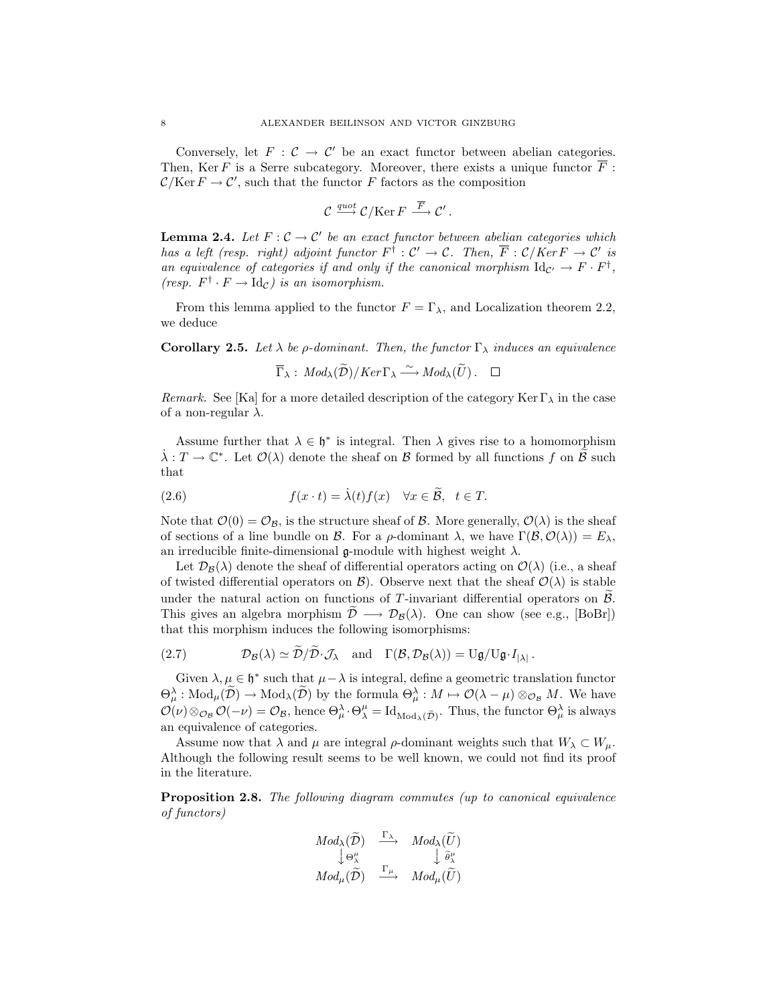Conversely, let  $F: \mathcal{C} \to \mathcal{C}'$  be an exact functor between abelian categories. Then, Ker F is a Serre subcategory. Moreover, there exists a unique functor  $\overline{F}$ :  $\mathcal{C}/\mathrm{Ker} F \to \mathcal{C}'$ , such that the functor F factors as the composition

$$
\mathcal{C} \xrightarrow{quot} \mathcal{C}/\mathrm{Ker}\, F \xrightarrow{\overline{F}} \mathcal{C}'.
$$

**Lemma 2.4.** *Let*  $F: \mathcal{C} \to \mathcal{C}'$  *be an exact functor between abelian categories which has a left (resp. right) adjoint functor*  $F^{\dagger}$  :  $C' \rightarrow C$ *. Then,*  $\overline{F}$  :  $C/Ker F \rightarrow C'$  *is an equivalence of categories if and only if the canonical morphism*  $Id_{\mathcal{C}'} \to F \cdot F^{\dagger}$ , *(resp.*  $F^{\dagger} \cdot F \rightarrow \text{Id}_{\mathcal{C}}$ *) is an isomorphism.* 

From this lemma applied to the functor  $F = \Gamma_{\lambda}$ , and Localization theorem 2.2, we deduce  $\lambda$  be  $\rho$ -dominant. Then, the functor  $\Gamma$ <br>  $\overline{\Gamma}_{\lambda}$  :  $Mod_{\lambda}(\widetilde{D})/Ker\Gamma_{\lambda} \xrightarrow{\sim} Mod_{\lambda}(\widetilde{U})$ .

**Corollary 2.5.** Let  $\lambda$  be  $\rho$ -dominant. Then, the functor  $\Gamma_{\lambda}$  induces an equivalence

$$
\overline{\Gamma}_{\lambda}: Mod_{\lambda}(\widetilde{\mathcal{D}})/Ker \Gamma_{\lambda} \xrightarrow{\sim} Mod_{\lambda}(\widetilde{U}) . \quad \Box
$$

*Remark.* See [Ka] for a more detailed description of the category Ker  $\Gamma_{\lambda}$  in the case of a non-regular  $\lambda$ .

Assume further that  $\lambda \in \mathfrak{h}^*$  is integral. Then  $\lambda$  gives rise to a homomorphism *Remark*. See [Ka] for a more detailed description of the category Ker  $\Gamma_{\lambda}$  in the case<br>of a non-regular  $\lambda$ .<br>Assume further that  $\lambda \in \mathfrak{h}^*$  is integral. Then  $\lambda$  gives rise to a homomorphism<br> $\dot{\lambda}: T \to \mathbb{C}^*$ that f(x)  $\lambda$  is integral. Then  $\lambda$  gives ri<br>  $\lambda : T \to \mathbb{C}^*$ . Let  $\mathcal{O}(\lambda)$  denote the sheaf on  $\mathcal B$  formed by all that<br>
(2.6)  $f(x \cdot t) = \lambda(t) f(x) \quad \forall x \in \tilde{\mathcal B}, \ t \in T$ .

(2.6) 
$$
f(x \cdot t) = \lambda(t) f(x) \quad \forall x \in \mathcal{B}, \quad t \in T.
$$

Note that  $\mathcal{O}(0) = \mathcal{O}_\mathcal{B}$ , is the structure sheaf of  $\mathcal{B}$ . More generally,  $\mathcal{O}(\lambda)$  is the sheaf of sections of a line bundle on *B*. For a  $\rho$ -dominant  $\lambda$ , we have  $\Gamma(\mathcal{B}, \mathcal{O}(\lambda)) = E_{\lambda}$ , an irreducible finite-dimensional  $\mathfrak g$ -module with highest weight  $\lambda$ .

Let  $\mathcal{D}_{\mathcal{B}}(\lambda)$  denote the sheaf of differential operators acting on  $\mathcal{O}(\lambda)$  (i.e., a sheaf of twisted differential operators on  $\mathcal{B}$ ). Observe next that the sheaf  $\mathcal{O}(\lambda)$  is stable under the natural action on functions of T-invariant differential operators on  $\beta$ . an irreductible finite-dimensional  $\mathfrak{g}$ -module with highest weight  $\lambda$ .<br>Let  $\mathcal{D}_{\mathcal{B}}(\lambda)$  denote the sheaf of differential operators acting on  $\mathcal{O}(\lambda)$  (i.e., a sheaf<br>of twisted differential operators on  $\mathcal$ that this morphism induces the following isomorphisms: *D* under the natural action on functions of *T*-invariant differential of This gives an algebra morphism  $\tilde{D} \longrightarrow \mathcal{D}_{\mathcal{B}}(\lambda)$ . One can show (see that this morphism induces the following isomorphisms:<br>(2.7)  $\mathcal{D}_{\math$ 

(2.7) 
$$
\mathcal{D}_{\mathcal{B}}(\lambda) \simeq \mathcal{D}/\mathcal{D} \cdot \mathcal{J}_{\lambda} \quad \text{and} \quad \Gamma(\mathcal{B}, \mathcal{D}_{\mathcal{B}}(\lambda)) = \mathrm{U}\mathfrak{g}/\mathrm{U}\mathfrak{g} \cdot I_{|\lambda|}.
$$

(2.7)  $\mathcal{D}_{\mathcal{B}}(\lambda) \simeq \tilde{\mathcal{D}}/\tilde{\mathcal{D}} \cdot \mathcal{J}_{\lambda}$  and  $\Gamma(\mathcal{B}, \mathcal{D}_{\mathcal{B}}(\lambda)) = \mathrm{U}\mathfrak{g}/\mathrm{U}\mathfrak{g} \cdot I_{|\lambda|}$ .<br>
Given  $\lambda, \mu \in \mathfrak{h}^*$  such that  $\mu - \lambda$  is integral, define a geometric translation functor  $\Theta_{\mu$ Given  $\lambda, \mu \in \mathfrak{h}^*$  such that  $\mu - \lambda$  is integral, define a geometric translation functor  $\Theta_{\mu}^{\lambda} : Mod_{\mu}(\widetilde{\mathcal{D}}) \to Mod_{\lambda}(\widetilde{\mathcal{D}})$  by the formula  $\Theta_{\mu}^{\lambda} : M \mapsto \mathcal{O}(\lambda - \mu) \otimes_{\mathcal{O}_B} M$ . We have  $\mathcal{O}(\nu) \$ an equivalence of categories.

Assume now that  $\lambda$  and  $\mu$  are integral  $\rho$ -dominant weights such that  $W_{\lambda} \subset W_{\mu}$ . Although the following result seems to be well known, we could not find its proof in the literature.

**Proposition 2.8.** *The following diagram commutes (up to canonical equivalence of functors)*  $\begin{align} \textit{owing diagram commutes} \ & \textit{Mod}_\lambda(\widetilde{\mathcal{D}}) \quad \xrightarrow{\Gamma_\lambda} \quad \textit{Mod}_\lambda(\widetilde{U}) \end{align}$ 

$$
\begin{array}{ccc}\n Mod_{\lambda}(\widetilde{\mathcal{D}}) & \xrightarrow{\Gamma_{\lambda}} & Mod_{\lambda}(\widetilde{U}) \\
\downarrow \Theta^{\mu}_{\lambda} & & \downarrow \widetilde{\theta}^{\mu}_{\lambda} \\
Mod_{\mu}(\widetilde{\mathcal{D}}) & \xrightarrow{\Gamma_{\mu}} & Mod_{\mu}(\widetilde{U})\n\end{array}
$$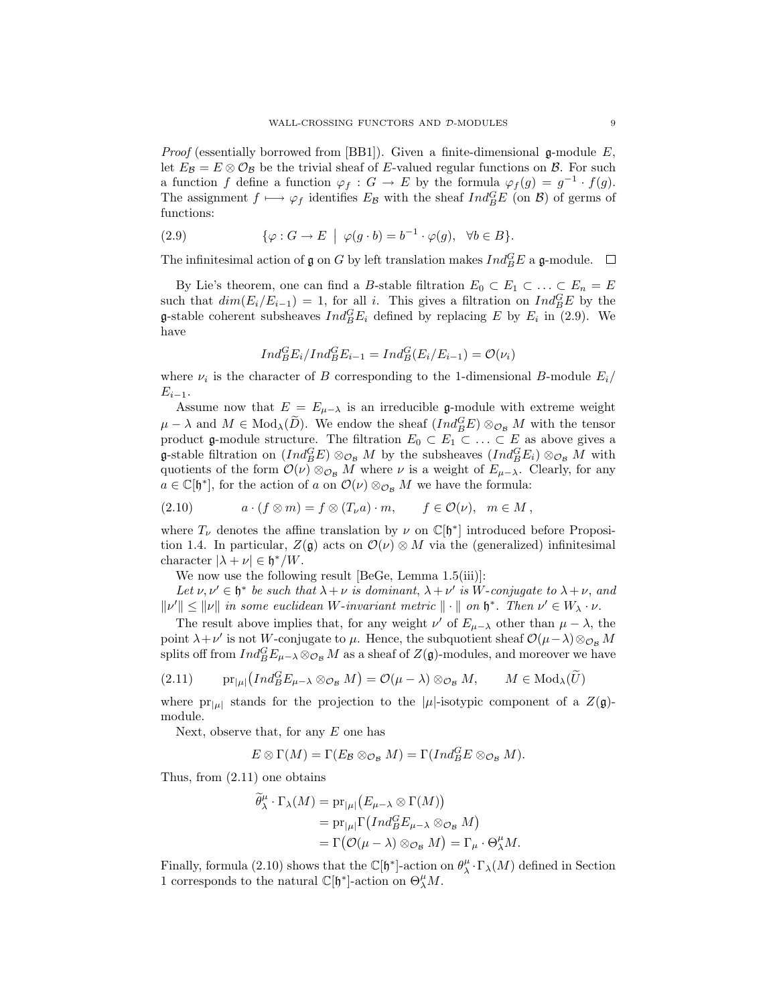*Proof* (essentially borrowed from [BB1]). Given a finite-dimensional  $\mathfrak{g}\text{-module }E$ , let  $E_{\mathcal{B}} = E \otimes \mathcal{O}_{\mathcal{B}}$  be the trivial sheaf of *E*-valued regular functions on  $\mathcal{B}$ . For such let  $E_B = E \otimes \mathcal{O}_B$  be the trivial sheaf of *E*-valued regular functions on *B*. For such a function *f* define a function  $\varphi_f : G \to E$  by the formula  $\varphi_f(g) = g^{-1} \cdot f(g)$ .<br>The assignment  $f \mapsto \varphi_f$  identifies  $E_B$  with the The assignment  $f \mapsto \varphi_f$  identifies  $E_B$  with the sheaf  $Ind_B^G E$  (on  $B$ ) of germs of functions:

(2.9) 
$$
\{\varphi: G \to E \mid \varphi(g \cdot b) = b^{-1} \cdot \varphi(g), \ \forall b \in B\}.
$$

The infinitesimal action of  $\mathfrak g$  on  $G$  by left translation makes  $Ind_B^G E$  a  $\mathfrak g$ -module.

By Lie's theorem, one can find a B-stable filtration  $E_0 \subset E_1 \subset \ldots \subset E_n = E$ such that  $dim(E_i/E_{i-1})=1$ , for all i. This gives a filtration on  $Ind_B^G E$  by the **g**-stable coherent subsheaves  $Ind_B^G E_i$  defined by replacing E by  $E_i$  in (2.9). We have have

$$
Ind_{B}^{G}E_{i}/Ind_{B}^{G}E_{i-1} = Ind_{B}^{G}(E_{i}/E_{i-1}) = \mathcal{O}(\nu_{i})
$$

where  $\nu_i$  is the character of B corresponding to the 1-dimensional B-module  $E_i$  $E_{i-1}$ .

Assume now that  $E = E_{\mu-\lambda}$  is an irreducible g-module with extreme weight where  $\nu_i$  is the character of *B* corresponding to the 1-dimensional *B*-module  $E_i/E_{i-1}$ .<br>Assume now that  $E = E_{\mu-\lambda}$  is an irreducible **g**-module with extreme weight  $\mu - \lambda$  and  $M \in Mod_{\lambda}(\tilde{D})$ . We endow the sheaf product  $\mathfrak{g}$ -module structure. The filtration  $E_0 \subset E_1 \subset \ldots \subset E$  as above gives a g-stable filtration on  $(Ind_{B}^{G}E) \otimes_{\mathcal{O}_{B}} M$  by the subsheaves  $(Ind_{B}^{G}E_{i}) \otimes_{\mathcal{O}_{B}} M$  with quotients of the form  $\mathcal{O}(\mu) \otimes_{B} M$  where  $\mu$  is a weight of  $E$ . quotients of the form  $\mathcal{O}(\nu) \otimes_{\mathcal{O}_B} M$  where  $\nu$  is a weight of  $E_{\mu-\lambda}$ . Clearly, for any  $a \in \mathbb{C}[\mathfrak{h}^*]$ , for the action of a on  $\mathcal{O}(\nu) \otimes_{\mathcal{O}_B} M$  we have the formula:

$$
(2.10) \t a \cdot (f \otimes m) = f \otimes (T_{\nu}a) \cdot m, \t f \in \mathcal{O}(\nu), \t m \in M,
$$

where  $T_{\nu}$  denotes the affine translation by  $\nu$  on  $\mathbb{C}[\mathfrak{h}^*]$  introduced before Proposition 1.4. In particular,  $Z(\mathfrak{g})$  acts on  $\mathcal{O}(\nu) \otimes M$  via the (generalized) infinitesimal character  $|\lambda + \nu| \in \mathfrak{h}^*/W$ .

We now use the following result [BeGe, Lemma 1.5(iii)]:

*Let*  $\nu, \nu' \in \mathfrak{h}^*$  *be such that*  $\lambda + \nu$  *is dominant*,  $\lambda + \nu'$  *is W*-*conjugate to*  $\lambda + \nu$ , *and*  $||v'|| \le ||v||$  *in some euclidean W*-*invariant metric*  $|| \cdot ||$  *on*  $\mathfrak{h}^*$ . *Then*  $v' \in W_{\lambda} \cdot v$ .

The result above implies that, for any weight  $\nu'$  of  $E_{\mu-\lambda}$  other than  $\mu-\lambda$ , the point  $\lambda + \nu'$  is not W-conjugate to  $\mu$ . Hence, the subquotient sheaf  $\mathcal{O}(\mu - \lambda) \otimes_{\mathcal{O}_B} M$ splits off from  $Ind_B^G E_{\mu-\lambda} \otimes_{\mathcal{O}_B} M$  as a sheaf of  $Z(\mathfrak{g})$ -modules, and moreover we have *B*E*R*<sup>*D*</sup> *B*E*R*<sup>*D*</sup> *B B B D*<sup>*D*</sup> *C W*<sub>**<sup>***D***</sup>** *C**W***<sub><b><sup>D</sup></del>** *W Contingly <i>D*<sup>*W*</sup> *C W*<sub>**<sup>D</sup>**</sub> *CW*<sub>**<sup>D</sup></del>** *W***<sup>***D***</sup>** *COND**B**B**DDDD**DD**DD**DD**DD**DD**DD**DD**D</sub></sub>*</sub>

$$
(2.11) \tpr_{|\mu|}(Ind_B^G E_{\mu-\lambda} \otimes_{\mathcal{O}_\mathcal{B}} M) = \mathcal{O}(\mu-\lambda) \otimes_{\mathcal{O}_\mathcal{B}} M, \t M \in Mod_\lambda(\widetilde{U})
$$

where  $pr_{|\mu|}$  stands for the projection to the  $|\mu|$ -isotypic component of a  $Z(\mathfrak{g})$ module.

Next, observe that, for any  $E$  one has

$$
E \otimes \Gamma(M) = \Gamma(E_{\mathcal{B}} \otimes_{\mathcal{O}_{\mathcal{B}}} M) = \Gamma(Ind_{B}^{G} E \otimes_{\mathcal{O}_{\mathcal{B}}} M).
$$

Thus, from (2.11) one obtains

$$
E \otimes \Gamma(M) = \Gamma(E_B \otimes_{\mathcal{O}_B} M) = \Gamma(Ind_B^{\mathcal{O}} E \otimes_{\mathcal{O}_B} M)
$$
  
one obtains  

$$
\widetilde{\theta}_{\lambda}^{\mu} \cdot \Gamma_{\lambda}(M) = \text{pr}_{|\mu|} (E_{\mu-\lambda} \otimes \Gamma(M))
$$

$$
= \text{pr}_{|\mu|} \Gamma(Ind_B^{\mathcal{O}} E_{\mu-\lambda} \otimes_{\mathcal{O}_B} M)
$$

$$
= \Gamma(\mathcal{O}(\mu-\lambda) \otimes_{\mathcal{O}_B} M) = \Gamma_{\mu} \cdot \Theta_{\lambda}^{\mu} M.
$$

Finally, formula (2.10) shows that the  $\mathbb{C}[\mathfrak{h}^*]$ -action on  $\theta^{\mu}_{\lambda} \cdot \Gamma_{\lambda}(M)$  defined in Section 1 corresponds to the natural  $\mathbb{C}[\mathfrak{h}^*]$ -action on  $\Theta^{\mu}M$ 1 corresponds to the natural  $\mathbb{C}[\mathfrak{h}^*]$ -action on  $\Theta_\lambda^\mu M$ .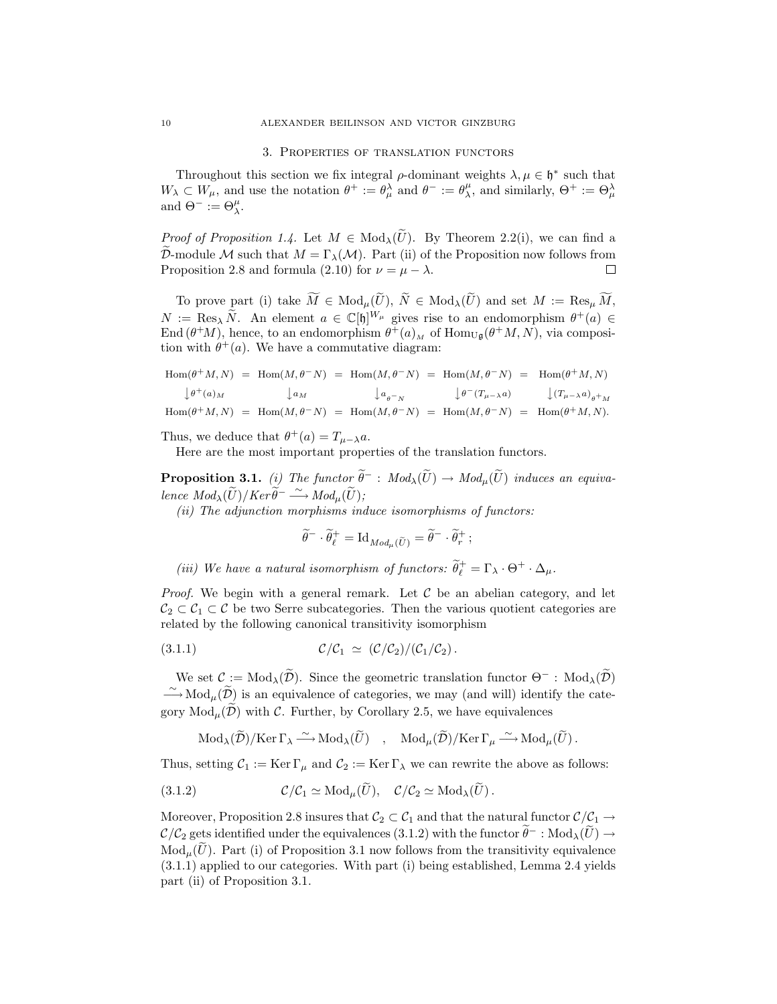### 3. Properties of translation functors

Throughout this section we fix integral  $\rho$ -dominant weights  $\lambda, \mu \in \mathfrak{h}^*$  such that  $W_{\lambda} \subset W_{\mu}$ , and use the notation  $\theta^+ := \theta_{\mu}^{\lambda}$  and  $\theta^- := \theta_{\lambda}^{\mu}$ , and similarly,  $\Theta^+ := \Theta_{\mu}^{\lambda}$ and  $\Theta^- := \Theta^{\mu}_{\lambda}$ . Throughout this section we fix integral  $\rho$ -dominant weights  $\lambda, \mu \in \mathfrak{h}^*$  such that  $W_{\lambda} \subset W_{\mu}$ , and use the notation  $\theta^+ := \theta_{\mu}^{\lambda}$  and  $\theta^- := \theta_{\lambda}^{\mu}$ , and similarly,  $\Theta^+ := \Theta_{\mu}^{\lambda}$ <br>and  $\Theta^- := \Theta_{\lambda}^{\mu}$ 

*D*ermodule *M* such that  $M = \Gamma_{\lambda}(M)$ . Part (ii) of the Proposition now follows from  $\tilde{\mathcal{D}}$ -module *M* such that  $M = \Gamma_{\lambda}(M)$ . Part (ii) of the Proposition now follows from Proposition 2.8 and formula (2.10) for  $\nu = \mu - \lambda$ . *Proof of Proposition 1.4.* Let  $M \in Mod_{\lambda}(\widetilde{U})$ . By Theorem 2.2(i), we can find a *∈ E M* ∈ Mod<sub>*λ*</sub>(*U*). By 1 neorem 2.2(1), we can find a<br>  $= \Gamma_{\lambda}(\mathcal{M})$ . Part (ii) of the Proposition now follows from<br>
a (2.10) for  $\nu = \mu - \lambda$ . <br>  $\widetilde{M} \in Mod_{\mu}(\widetilde{U}), \ \widetilde{N} \in Mod_{\lambda}(\widetilde{U})$  and set  $M := Res_{\mu} \widetilde$ 

To prove part (i) take  $\widetilde{M} \in Mod_{\mu}(\widetilde{U}), \widetilde{N} \in Mod_{\lambda}(\widetilde{U})$  and set  $M := \text{Res}_{\mu} \widetilde{M}$ , D-module *M* such that  $M = \Gamma_{\lambda}(\mathcal{M})$ . Part (i) of the Proposition how follows from<br>Proposition 2.8 and formula (2.10) for  $\nu = \mu - \lambda$ .<br>To prove part (i) take  $\widetilde{M} \in Mod_{\mu}(\widetilde{U}), \widetilde{N} \in Mod_{\lambda}(\widetilde{U})$  and set  $M := \text{Res}_{$ End  $(\theta^+M)$ , hence, to an endomorphism  $\theta^+(a)_M$  of Hom<sub>Ug</sub> $(\theta^+M,N)$ , via composition with  $\theta^+(a)_M$ . tion with  $\theta^+(a)$ . We have a commutative diagram:

$$
Hom(\theta + M, N) = Hom(M, \theta - N) = Hom(M, \theta - N) = Hom(M, \theta - N) = Hom(\theta + M, N)
$$
\n
$$
L(\theta + M, N) = Hom(M, \theta - N) = Hom(M, \theta - N) = Hom(M, \theta - N) = Hom(\theta + M, N)
$$
\n
$$
L(\theta + M, N) = Hom(M, \theta - N) = Hom(M, \theta - N) = Hom(M, \theta - N) = Hom(M, \theta - N) = Hom(M, \theta - N)
$$
\n
$$
Hom(\theta + M, N) = Hom(M, \theta - N) = Hom(M, \theta - N) = Hom(M, \theta - N) = Hom(M, \theta - N)
$$

Thus, we deduce that  $\theta^+(a) = T_{\mu-\lambda}a$ .

Here are the most important properties of the translation functors.

**Proposition 3.1.** *(i) The functor*  $\tilde{\theta}^-$  :  $Mod_{\lambda}(\tilde{U}) \rightarrow Mod_{\mu}(\tilde{U})$  *induces an equiva-*<br>**Proposition 3.1.** *(i) The functor*  $\tilde{\theta}^-$  :  $Mod_{\lambda}(\tilde{U}) \rightarrow Mod_{\mu}(\tilde{U})$  *induces an equiva-*Thus, we deduce that  $\theta^+(a) = T_{\mu-\lambda}a$ <br> *Here are the most important prop*<br> **Proposition 3.1.** *(i) The functor*  $\tilde{\theta}$ <br> *lence*  $Mod_{\lambda}(\tilde{U})/Ker \tilde{\theta}^- \xrightarrow{\sim} Mod_{\mu}(\tilde{U})$ ;

(*ii*) The adjunction morphisms induce isomorphisms of functors:<br>  $\widetilde{\theta}^- \cdot \widetilde{\theta}^+_e = \text{Id}_{Mod_\mu(\widetilde{U})} = \widetilde{\theta}^- \cdot \widetilde{\theta}^+_r$ ;

$$
\widetilde{\theta}^- \cdot \widetilde{\theta}^+_\ell = \operatorname{Id}_{Mod_\mu(\widetilde{U})} = \widetilde{\theta}^- \cdot \widetilde{\theta}^+_r \, ;
$$

*(iii)* We have a natural isomorphism of functors:  $\widetilde{\theta}_\ell^+ = \Gamma_\lambda \cdot \Theta^+ \cdot \Delta_\mu$ .

*Proof.* We begin with a general remark. Let  $\mathcal C$  be an abelian category, and let  $C_2 \subset C_1 \subset C$  be two Serre subcategories. Then the various quotient categories are related by the following canonical transitivity isomorphism ated by the following canonical transitivity isomorphism<br>
1.1)  $C/C_1 \simeq (C/C_2)/(C_1/C_2)$ .<br>
We set  $C := Mod_\lambda(\widetilde{\mathcal{D}})$ . Since the geometric translation functor  $\Theta^-$ :  $Mod_\lambda(\widetilde{\mathcal{D}})$ 

$$
(3.1.1) \t\t\t\t \mathcal{C}/\mathcal{C}_1 \simeq (\mathcal{C}/\mathcal{C}_2)/(\mathcal{C}_1/\mathcal{C}_2).
$$

*∼*  $(3.1.1)$   $\mathcal{C}/\mathcal{C}_1 \simeq (\mathcal{C}/\mathcal{C}_2)/(\mathcal{C}_1/\mathcal{C}_2)$ .<br>We set  $\mathcal{C} := Mod_\lambda(\widetilde{\mathcal{D}})$ . Since the geometric translation functor  $\Theta^-$  : Mod<sub>λ</sub>( $\widetilde{\mathcal{D}}$ )  $\longrightarrow Mod_\mu(\widetilde{\mathcal{D}})$  is an equivalence of categories, we may (3.1.1)  $C/C_1 \simeq (C/C_2)/(C_1/C_2)$ .<br>We set  $C := Mod_{\lambda}(\widetilde{D})$ . Since the geometric translation functor  $\Theta^-$ <br> $\longrightarrow Mod_{\mu}(\widetilde{D})$  is an equivalence of categories, we may (and will) identi<br>gory  $Mod_{\mu}(\widetilde{D})$  with *C*. Further, by set  $C := Mod_{\lambda}(D)$ . Since the geometric translation functor  $\Theta^{-}$ : Mood<sub> $\mu(\widetilde{D})$ </sub> is an equivalence of categories, we may (and will) identify th  $\text{Id}_{\mu}(\widetilde{D})$  with  $C$ . Further, by Corollary 2.5, we have equivalences

$$
\text{Mod}_{\lambda}(\widetilde{\mathcal{D}})/\text{Ker}\,\Gamma_{\lambda} \xrightarrow{\sim} \text{Mod}_{\lambda}(\widetilde{U}) \quad , \quad \text{Mod}_{\mu}(\widetilde{\mathcal{D}})/\text{Ker}\,\Gamma_{\mu} \xrightarrow{\sim} \text{Mod}_{\mu}(\widetilde{U})\,.
$$
  
Thus, setting  $\mathcal{C}_1 := \text{Ker}\,\Gamma_{\mu}$  and  $\mathcal{C}_2 := \text{Ker}\,\Gamma_{\lambda}$  we can rewrite the above as fo  

$$
(3.1.2) \qquad \mathcal{C}/\mathcal{C}_1 \simeq \text{Mod}_{\mu}(\widetilde{U}), \quad \mathcal{C}/\mathcal{C}_2 \simeq \text{Mod}_{\lambda}(\widetilde{U})\,.
$$

Thus, setting  $C_1 := \text{Ker } \Gamma_\mu$  and  $C_2 := \text{Ker } \Gamma_\lambda$  we can rewrite the above as follows:

(3.1.2) 
$$
\mathcal{C}/\mathcal{C}_1 \simeq \text{Mod}_{\mu}(\widetilde{U}), \quad \mathcal{C}/\mathcal{C}_2 \simeq \text{Mod}_{\lambda}(\widetilde{U}).
$$

Moreover, Proposition 2.8 insures that  $C_2 \subset C_1$  and that the natural functor  $C/C_1 \rightarrow$ (3.1.2)  $\mathcal{C}/\mathcal{C}_1 \simeq \text{Mod}_{\mu}(\widetilde{U}), \quad \mathcal{C}/\mathcal{C}_2 \simeq \text{Mod}_{\lambda}(\widetilde{U}).$ <br>
Moreover, Proposition 2.8 insures that  $\mathcal{C}_2 \subset \mathcal{C}_1$  and that the natural functor  $\mathcal{C}/\mathcal{C}_1 \to$ <br>  $\mathcal{C}/\mathcal{C}_2$  gets identified under  $Mod_{\mu}(\widetilde{U})$ . Part (i) of Proposition 3.1 now follows from the transitivity equivalence (3.1.1) applied to our categories. With part (i) being established, Lemma 2.4 yields part (ii) of Proposition 3.1.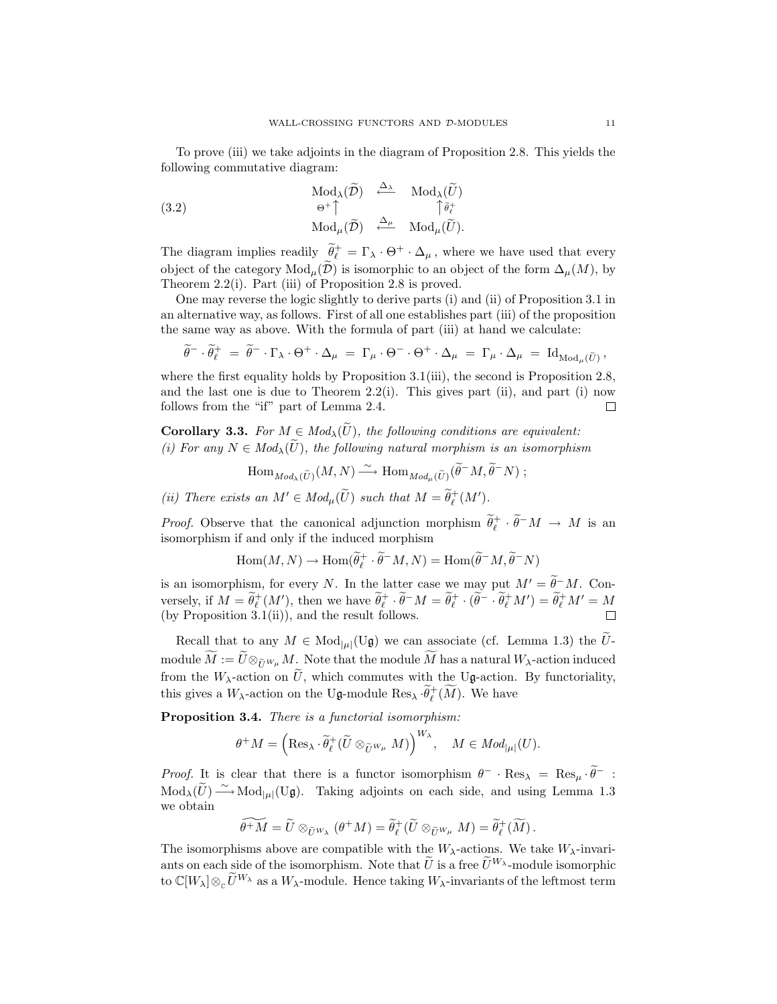To prove (iii) we take adjoints in the diagram of Proposition 2.8. This yields the following commutative diagram: Mod<sub>*λ*</sub>( $\tilde{D}$ ) <sup>←</sup>  $\Delta$  Mod<sub>*λ*</sub>( $\tilde{U}$ )  $\tilde{L}$  Mod<sub>*λ*</sub>( $\tilde{U}$ )  $\tilde{L}$   $\tilde{L}$   $\tilde{L}$   $\tilde{L}$   $\tilde{L}$ 

following commutative diagram:  
\n
$$
\operatorname{Mod}_{\lambda}(\widetilde{D}) \quad \xleftarrow{\Delta_{\lambda}} \quad \operatorname{Mod}_{\lambda}(\widetilde{U})
$$
\n
$$
(3.2) \qquad \qquad \uplus^{\dagger} \uparrow \qquad \qquad \uparrow \widetilde{\theta}^+_{\ell}
$$
\n
$$
\operatorname{Mod}_{\mu}(\widetilde{D}) \quad \xleftarrow{\Delta_{\mu}} \quad \operatorname{Mod}_{\mu}(\widetilde{U}).
$$

The diagram implies readily  $\widetilde{\theta}^+_\ell = \Gamma_\lambda \cdot \Theta^+ \cdot \Delta_\mu$ , where we have used that every  $\begin{aligned}\n(3.2) \quad \mathsf{a}^+ \mid & \mathsf{a}^+ \quad \mathsf{Mod}_\mu(\widetilde{\mathcal{D}}) \quad \xleftarrow{\Delta_\mu} \mathsf{Mod}_\mu(\widetilde{U}).\n\end{aligned}$ The diagram implies readily  $\widetilde{\theta}_\ell^+ = \Gamma_\lambda \cdot \Theta^+ \cdot \Delta_\mu$ , where we have used that every object of the category  $\mathrm{Mod}_\mu(\widetilde{\mathcal{D}})$ Theorem 2.2(i). Part (iii) of Proposition 2.8 is proved.

One may reverse the logic slightly to derive parts (i) and (ii) of Proposition 3.1 in an alternative way, as follows. First of all one establishes part (iii) of the proposition the same way as above. With the formula of part (iii) at hand we calculate: *γ*, as follows. First of all one establishes part (iii) of the proposition<br>above. With the formula of part (iii) at hand we calculate:<br> $-\Gamma_{\lambda} \cdot \Theta^{+} \cdot \Delta_{\mu} = \Gamma_{\mu} \cdot \Theta^{-} \cdot \Theta^{+} \cdot \Delta_{\mu} = \Gamma_{\mu} \cdot \Delta_{\mu} = \mathrm{Id}_{\mathrm{Mod}_{\mu}(\tilde{U})$ 

$$
\widetilde{\theta}^- \cdot \widetilde{\theta}^+_\ell \;=\; \widetilde{\theta}^- \cdot \Gamma_\lambda \cdot \Theta^+ \cdot \Delta_\mu \;=\; \Gamma_\mu \cdot \Theta^- \cdot \Theta^+ \cdot \Delta_\mu \;=\; \Gamma_\mu \cdot \Delta_\mu \;=\; \mathrm{Id}_{\mathrm{Mod}_\mu(\widetilde{U})}\,,
$$

where the first equality holds by Proposition 3.1(iii), the second is Propositional the last one is due to Theorem 2.2(i). This gives part (ii), and part (follows from the "if" part of Lemma 2.4.<br>**Corollary 3.3.** *For*  $M$ where the first equality holds by Proposition 3.1(iii), the second is Proposition 2.8, and the last one is due to Theorem 2.2(i). This gives part (ii), and part (i) follows from the "if" part of Lemma 2.4.<br>**Corollary 3.3.** For  $M \in Mod_{\lambda}(\widetilde{U})$ , the following conditions are equivalent:<br>(i) For any  $N \in Mod_{\lambda}$ and the last one is due to Theorem  $2.2(i)$ . This gives part (ii), and part (i) now follows from the "if" part of Lemma 2.4.  $\Box$ 

 $H = Mod_{\lambda}(\widetilde{U})$ , the following natural morphism is an i.<br>  $Hom_{Mod_{\lambda}(\widetilde{U})}(M, N) \xrightarrow{\sim} Hom_{Mod_{\mu}(\widetilde{U})}(\widetilde{\theta}^{-}M, \widetilde{\theta}^{-}N)$ ; *(i) For any*  $N \in Mod_{\lambda}(\tilde{U})$ , the following natural morphism<br> $\text{Hom}_{Mod_{\lambda}(\tilde{U})}(M, N) \longrightarrow \text{Hom}_{Mod_{\mu}(\tilde{U})}(\tilde{\theta}^{-}M, \tilde{\theta})$ <br>*(ii) There exists an*  $M' \in Mod_{\mu}(\tilde{U})$  such that  $M = \tilde{\theta}_{\ell}^{+}(M')$ . (i) For any  $N \in Mod_{\lambda}(\widetilde{U})$ , the following natural morphism is an isomorphism

*Proof.* Observe that the canonical adjunction morphism  $\tilde{\theta}_\ell^+ \cdot \tilde{\theta}^- M \to M$  is an isomorphism if and only if the induced morphism

$$
\text{Hom}(M, N) \to \text{Hom}(\widetilde{\theta}_{\ell}^+ \cdot \widetilde{\theta}^- M, N) = \text{Hom}(\widetilde{\theta}^- M, \widetilde{\theta}^- N)
$$

is an isomorphism, for every N. In the latter case we may put  $M' = \theta^{-}M$ . Conversely, if  $M = \tilde{\theta}_{\ell}^+(M')$ , then we have  $\tilde{\theta}_{\ell}^+ \cdot \tilde{\theta}^- M = \tilde{\theta}_{\ell}^+ \cdot (\tilde{\theta}^- \cdot \tilde{\theta}_{\ell}^+ M') = \tilde{\theta}_{\ell}^+ M' = M$ (by Proposition 3.1(ii)), and the result follows. an isomorphism, for every *N*. In the latter case we may put  $M' = \tilde{\theta} - M$ . Consely, if  $M = \tilde{\theta}_{\ell}^{+}(M')$ , then we have  $\tilde{\theta}_{\ell}^{+} \cdot \tilde{\theta} - M = \tilde{\theta}_{\ell}^{+} \cdot (\tilde{\theta} - \tilde{\theta}_{\ell}^{+} M') = \tilde{\theta}_{\ell}^{+} M' = M$ <br> *P*roposition 3.1(ii)

module  $M := U \otimes_{\widetilde{U}} w_{\mu} M$ . Note that the module M has a natural  $W_{\lambda}$ -action induced if  $M = \theta_{\ell}^+(M')$ , then we have  $\theta_{\ell}^+ \cdot \theta^- M =$ <br>position 3.1(ii)), and the result follows.<br>1 that to any  $M \in \text{Mod}_{|\mu|}(\mathbf{U}\mathfrak{g})$  we can as  $\widetilde{M} := \widetilde{U} \otimes_{\widetilde{U}} w_{\mu} M$ . Note that the module  $\widetilde{M}$ (by Proposition 3.1(ii)), and the result follows.<br>
Recall that to any  $M \in Mod_{|\mu|}(U\mathfrak{g})$  we can associate (cf. Lemma 1.3) the  $\widetilde{U}$ -<br>
module  $\widetilde{M} := \widetilde{U} \otimes_{\widetilde{U}} w_{\mu} M$ . Note that the module  $\widetilde{M}$  has a na this gives a  $W_{\lambda}$ -action on the Ug-module Res<sub> $\lambda$ </sub>  $\cdot \tilde{\theta}_{\ell}^{+}(\tilde{M})$ . We have efoc n  $\widetilde{U}$ , which commutes w

**Proposition 3.4.** *There is a functorial isomorphism:*

$$
W_{\lambda}
$$
-action on the Ug-module Res<sub>\lambda</sub>  $\cdot \widetilde{\theta}_{\ell}^{+}(\widetilde{M})$ . We have  
\n1 3.4. There is a functional isomorphism:  
\n
$$
\theta^{+} M = (\text{Res}_{\lambda} \cdot \widetilde{\theta}_{\ell}^{+}(\widetilde{U} \otimes_{\widetilde{U}^{W_{\mu}}} M))^{W_{\lambda}}, \quad M \in Mod_{|\mu|}(U).
$$

*Proof.* It is clear that there is a functor isomorphism  $\theta^- \cdot \text{Res}_{\lambda} = \text{Res}_{\mu} \cdot \theta^-$ : *Proof.* It is  $Mod_{\lambda}(\widetilde{U}) \stackrel{\sim}{\rightharpoonup}$  $Mod_{\lambda}(\widetilde{U}) \longrightarrow Mod_{|\mu|}(U_{\mathfrak{g}})$ . Taking adjoints on each side, and using Lemma 1.3 we obtain  $\theta$ <sup>T</sup> · Res<sub>*Mod*<sub>| $\mu$ |</sub>(Ug). Taking adjoints on each side, and us<br> $\widetilde{\theta}$ <sup>+</sup> $\widetilde{M} = \widetilde{U} \otimes_{\widetilde{U}^{W_{\lambda}}} (\theta^+ M) = \widetilde{\theta}^+_{\ell} (\widetilde{U} \otimes_{\widetilde{U}^{W_{\mu}}} M) = \widetilde{\theta}^+_{\ell} (\widetilde{M}^+ M)$ </sub>

$$
\widetilde{\theta^+M}=\widetilde{U}\otimes_{\widetilde{U}^{W_{\lambda}}}\left(\theta^+M\right)=\widetilde{\theta}^+_{\ell}(\widetilde{U}\otimes_{\widetilde{U}^{W_{\mu}}}M)=\widetilde{\theta}^+_{\ell}(\widetilde{M}).
$$

The isomorphisms above are compatible with the  $W_{\lambda}$ -actions. We take  $W_{\lambda}$ -invariants on each side of the isomorphism. Note that  $\tilde{U}$  is a free  $\tilde{U}^{W_{\lambda}}$ -module isomorphic to  $\mathbb{C}[W_{\lambda}]\otimes_{c}\widetilde{U}^{W_{\lambda}}$  as a  $W_{\lambda}$ -module. Hence taking  $W_{\lambda}$ -invariants of the leftmost term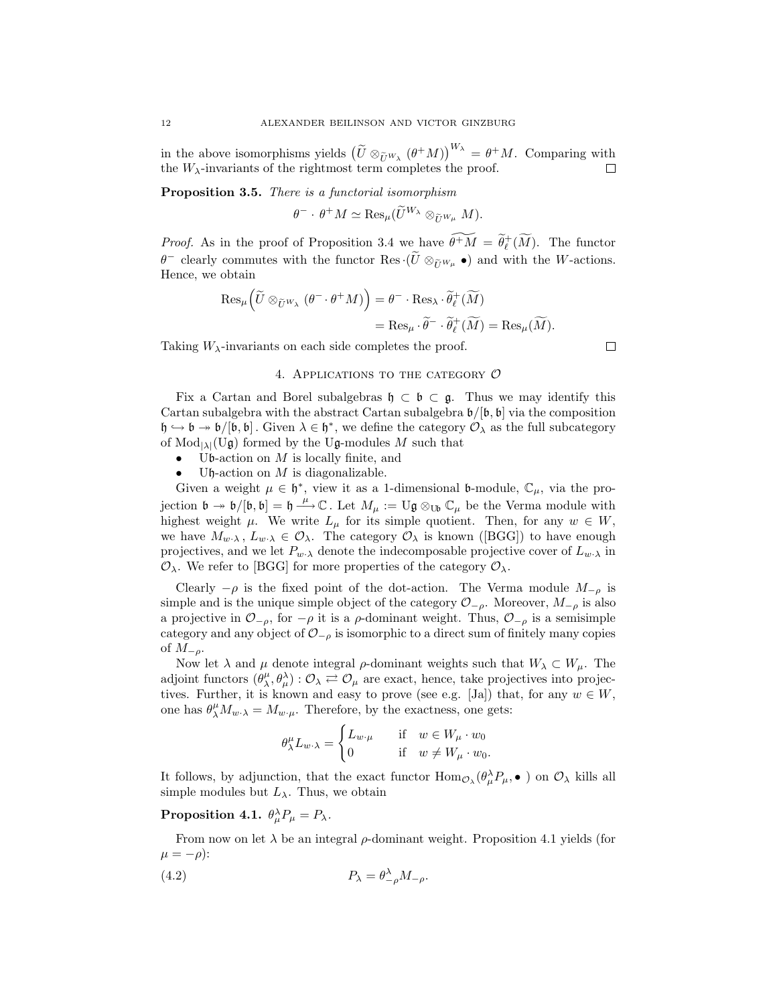altexander Bellinson and VICTOR GINZBURG<br>
in the above isomorphisms yields  $(\tilde{U} \otimes_{\tilde{U}^{W_{\lambda}}} (\theta^+ M))^{W_{\lambda}} = \theta^+ M$ . Comparing with the  $W_{\lambda}$ -invariants of the rightmost term completes the proof. 口

**Proposition 3.5.** *There is a functorial isomorphism*

 $\theta^- \cdot \theta^+ M \simeq \text{Res}_{\mu}(\widetilde{U}^{W_{\lambda}} \otimes_{\widetilde{U}^{W_{\mu}}} M).$ 

*Proof.* As in the proof of Proposition 3.4 we have  $\widetilde{\theta^+M} = \widetilde{\theta}^+_{\ell}(\widetilde{M})$ . The functor *θ*<sup>−</sup> c θ<sup>+</sup>*M*  $\simeq$  Res<sub>*µ*</sub>( $\tilde{U}^{W_{\lambda}} \otimes_{\tilde{U}^{W_{\mu}}} M$ ).<br>*Proof.* As in the proof of Proposition 3.4 we have  $\theta^+ \tilde{M} = \tilde{\theta}^+_{\ell}(\widetilde{M})$ . The functor  $\theta^-$  clearly commutes with the functor Res·( $\tilde{U} \otimes_{\$ Hence, we obtain proof of Propositic<br>utes with the funct<br> $\tilde{U} \otimes_{\tilde{U}^{W_{\lambda}}} (\theta^{-} \cdot \theta^{+} M)$  $\widetilde{\theta}^+\widetilde{M}$  $\otimes_U w_\mu$   $\bullet$  and with the

$$
\operatorname{Res}_{\mu} \left( \widetilde{U} \otimes_{\widetilde{U}^{W_{\lambda}}} (\theta^{-} \cdot \theta^{+} M) \right) = \theta^{-} \cdot \operatorname{Res}_{\lambda} \cdot \widetilde{\theta}_{\ell}^{+}(\widetilde{M})
$$
  
= 
$$
\operatorname{Res}_{\mu} \cdot \widetilde{\theta}^{-} \cdot \widetilde{\theta}_{\ell}^{+}(\widetilde{M}) = \operatorname{Res}_{\mu}(\widetilde{M}).
$$

Taking  $W_{\lambda}$ -invariants on each side completes the proof.

# 4. Applications to the category *O*

Fix a Cartan and Borel subalgebras h *<sup>⊂</sup>* b *<sup>⊂</sup>* g. Thus we may identify this Cartan subalgebra with the abstract Cartan subalgebra  $\mathfrak{b}/[\mathfrak{b}, \mathfrak{b}]$  via the composition  $\mathfrak{h} \hookrightarrow \mathfrak{b} \rightarrow \mathfrak{b}/[\mathfrak{b}, \mathfrak{b}]$ . Given  $\lambda \in \mathfrak{h}^*$ , we define the category  $\mathcal{O}_{\lambda}$  as the full subcategory of  $Mod_{|\lambda|}(U_{\mathfrak{g}})$  formed by the U<sub>g</sub>-modules M such that<br>
• U<sub>g</sub>-modules M such that<br>
• U<sub>g-</sub>modules M such that

- *•* <sup>U</sup>b-action on <sup>M</sup> is locally finite, and
- Uh-action on  $M$  is diagonalizable.

Given a weight  $\mu \in \mathfrak{h}^*$ , view it as a 1-dimensional **b**-module,  $\mathbb{C}_{\mu}$ , via the projection  $\mathfrak{b} \to \mathfrak{b}/[\mathfrak{b}, \mathfrak{b}] = \mathfrak{h} \stackrel{\mu}{\to} \mathbb{C}$ . Let  $M_\mu := \mathrm{U}\mathfrak{g} \otimes_{\mathrm{U}\mathfrak{b}} \mathbb{C}_\mu$  be the Verma module with highest weight  $\mu$ . We write  $L$  for its simple quotient. Then for any  $w \in W$ highest weight  $\mu$ . We write  $L_{\mu}$  for its simple quotient. Then, for any  $w \in W$ , we have  $M_{w\cdot\lambda}$ ,  $L_{w\cdot\lambda} \in \mathcal{O}_{\lambda}$ . The category  $\mathcal{O}_{\lambda}$  is known ([BGG]) to have enough projectives, and we let  $P_{w\lambda}$  denote the indecomposable projective cover of  $L_{w\lambda}$  in *O*<sub>*λ*</sub>. We refer to [BGG] for more properties of the category  $O$ <sub>*λ*</sub>.

Clearly  $-\rho$  is the fixed point of the dot-action. The Verma module  $M_{-\rho}$  is simple and is the unique simple object of the category  $\mathcal{O}_{-\rho}$ . Moreover,  $M_{-\rho}$  is also a projective in  $\mathcal{O}_{-\rho}$ , for  $-\rho$  it is a  $\rho$ -dominant weight. Thus,  $\mathcal{O}_{-\rho}$  is a semisimple category and any object of *O−<sup>ρ</sup>* is isomorphic to a direct sum of finitely many copies of M*−<sup>ρ</sup>*.

Now let  $\lambda$  and  $\mu$  denote integral  $\rho$ -dominant weights such that  $W_{\lambda} \subset W_{\mu}$ . The adjoint functors  $(\theta_{\lambda}^{\mu}, \theta_{\mu}^{\lambda}) : \mathcal{O}_{\lambda} \rightleftharpoons \mathcal{O}_{\mu}$  are exact, hence, take projectives into projectives. Further, it is known and easy to prove (see e.g. [Ja]) that, for any  $w \in W$ , one has  $\theta^{\mu}_{\lambda}M_{w\cdot\lambda}=M_{w\cdot\mu}$ . Therefore, by the exactness, one gets:

$$
\theta^{\mu}_{\lambda} L_{w \cdot \lambda} = \begin{cases} L_{w \cdot \mu} & \text{if } w \in W_{\mu} \cdot w_0 \\ 0 & \text{if } w \neq W_{\mu} \cdot w_0. \end{cases}
$$

It follows, by adjunction, that the exact functor  $\text{Hom}_{\mathcal{O}_\lambda}(\theta_\mu^\lambda P_\mu, \bullet)$  on  $\mathcal{O}_\lambda$  kills all simple modules but  $L_{\lambda}$ . Thus, we obtain

 $\textbf{Proposition 4.1.} \ \theta^\lambda_\mu P_\mu = P_\lambda.$ 

From now on let  $\lambda$  be an integral  $\rho$ -dominant weight. Proposition 4.1 yields (for  $\mu = -\rho$ ):

(4.2) 
$$
P_{\lambda} = \theta_{-\rho}^{\lambda} M_{-\rho}.
$$

 $\Box$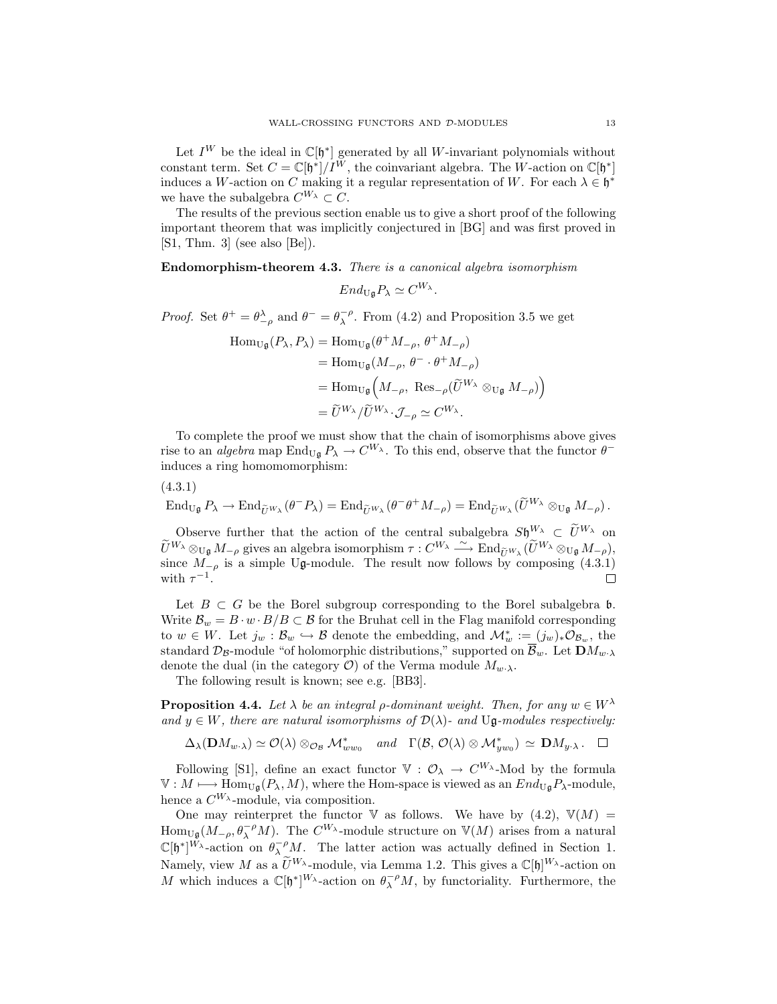Let  $I^W$  be the ideal in  $\mathbb{C}[\mathfrak{h}^*]$  generated by all W-invariant polynomials without constant term. Set  $C = \mathbb{C}[\mathfrak{h}^*]/I^W$ , the coinvariant algebra. The W-action on  $\mathbb{C}[\mathfrak{h}^*]$ induces a W-action on C making it a regular representation of W. For each  $\lambda \in \mathfrak{h}^*$ we have the subalgebra  $C^{W_{\lambda}} \subset C$ .

The results of the previous section enable us to give a short proof of the following important theorem that was implicitly conjectured in [BG] and was first proved in [S1, Thm. 3] (see also [Be]).

**Endomorphism-theorem 4.3.** *There is a canonical algebra isomorphism*

$$
End_{\mathrm{U}\mathfrak{g}}P_{\lambda}\simeq C^{W_{\lambda}}.
$$

*Proof.* Set  $\theta^+ = \theta_{-\rho}^{\lambda}$  and  $\theta^- = \theta_{\lambda}^{-\rho}$ . From (4.2) and Proposition 3.5 we get

$$
\begin{aligned} \text{Hom}_{\text{U}\mathfrak{g}}(P_{\lambda}, P_{\lambda}) &= \text{Hom}_{\text{U}\mathfrak{g}}(\theta^+ M_{-\rho}, \theta^+ M_{-\rho}) \\ &= \text{Hom}_{\text{U}\mathfrak{g}}(M_{-\rho}, \theta^- \cdot \theta^+ M_{-\rho}) \\ &= \text{Hom}_{\text{U}\mathfrak{g}}\left(M_{-\rho}, \text{ Res}_{-\rho}(\widetilde{U}^{W_{\lambda}} \otimes_{\text{U}\mathfrak{g}} M_{-\rho})\right) \\ &= \widetilde{U}^{W_{\lambda}} / \widetilde{U}^{W_{\lambda}} \cdot \mathcal{J}_{-\rho} \simeq C^{W_{\lambda}}. \end{aligned}
$$

To complete the proof we must show that the chain of isomorphisms above gives rise to an *algebra* map  $\text{End}_{U_q} P_\lambda \to C^{W_\lambda}$ . To this end, observe that the functor  $\theta^$ induces a ring homomomorphism:

(4.3.1)

 $\text{End}_{\text{Ug}} P_{\lambda} \to \text{End}_{\widetilde{\text{U}}^{W_{\lambda}}} (\theta^{-} P_{\lambda}) = \text{End}_{\widetilde{\text{U}}^{W_{\lambda}}} (\theta^{-} \theta^{+} M_{-\rho}) = \text{End}_{\widetilde{\text{U}}^{W_{\lambda}}} (\widetilde{U}^{W_{\lambda}} \otimes_{\text{Ug}} M_{-\rho}).$ 

Observe further that the action of the central subalgebra  $S\mathfrak{h}^{W_{\lambda}} \subset \tilde{U}^{W_{\lambda}}$  on  $(\mathcal{H} \cdot \mathcal{H}) = \text{End}_{\widetilde{U}}w_{\lambda}(\theta^{-1}P_{\lambda}) = \text{End}_{\widetilde{U}}w_{\lambda}(\theta^{-1}M_{-\rho}) = \text{End}_{\widetilde{U}}w_{\lambda}(\widetilde{U}^{W_{\lambda}} \otimes_{U_{\mathfrak{g}}} M_{-\rho}).$ <br>
Observe further that the action of the central subalgebra  $S_{\mathfrak{h}}^{W_{\lambda}} \subset \widetilde{U}^{W_{\lambda}}$  on  $\widet$ since  $M_{-\rho}$  is a simple Ug-module. The result now follows by composing (4.3.1) with  $\tau^{-1}$ with  $\tau^{-1}$ .

Let  $B \subset G$  be the Borel subgroup corresponding to the Borel subalgebra  $\mathfrak{b}$ . Write  $\mathcal{B}_w = B \cdot w \cdot B/B \subset \mathcal{B}$  for the Bruhat cell in the Flag manifold corresponding to  $w \in W$ . Let  $j_w : \mathcal{B}_w \hookrightarrow \mathcal{B}$  denote the embedding, and  $\mathcal{M}^*_w := (j_w)_*\mathcal{O}_{\mathcal{B}_w}$ , the standard  $\mathcal{D}_B$ -module "of holomorphic distributions," supported on  $\overline{\mathcal{B}}_w$ . Let  $\mathbf{D}M_w$ <sup>*n*</sup> denote the dual (in the category  $\mathcal{O}$ ) of the Verma module  $M_{w\cdot\lambda}$ .

The following result is known; see e.g. [BB3].

**Proposition 4.4.** *Let*  $\lambda$  *be an integral ρ*-dominant weight. Then, for any  $w \in W^{\lambda}$ and  $y \in W$ , there are natural isomorphisms of  $\mathcal{D}(\lambda)$ - and  $U\mathfrak{g}\text{-modules respectively:}$ 

 $\Delta_{\lambda}(\mathbf{D}M_{w\cdot\lambda}) \simeq \mathcal{O}(\lambda) \otimes_{\mathcal{O}_{\mathcal{B}}}\mathcal{M}_{ww_0}^* \quad \text{and} \quad \Gamma(\mathcal{B},\mathcal{O}(\lambda) \otimes \mathcal{M}_{yw_0}^*) \simeq \mathbf{D}M_{y\cdot\lambda}.$ 

Following [S1], define an exact functor  $V : \mathcal{O}_{\lambda} \to C^{W_{\lambda}}$ -Mod by the formula  $V : M \longrightarrow Hom_{U_{\mathfrak{a}}}(P_{\lambda}, M)$ , where the Hom-space is viewed as an  $End_{U_{\mathfrak{a}}}P_{\lambda}$ -module, hence a  $C^{W_{\lambda}}$ -module, via composition.

One may reinterpret the functor V as follows. We have by  $(4.2)$ ,  $\mathbb{V}(M)$  =  $\text{Hom}_{\mathcal{U}_{\mathfrak{g}}}(M_{-\rho}, \theta_{\lambda}^{-\rho}M)$ . The  $C^{W_{\lambda}}$ -module structure on  $\mathbb{V}(M)$  arises from a natural  $\mathbb{C}[\mathfrak{h}^*]^{W_\lambda}$ -action on  $\theta_\lambda^{-\rho}M$ . The latter action was actually defined in Section 1. Then the may reinterpret the functor  $\nabla$  as follows. We have by (4.<br>Hom<sub>Ug</sub>( $M_{-\rho}, \theta_{\lambda}^{-\rho}M$ ). The  $C^{W_{\lambda}}$ -module structure on  $\nabla(M)$  arises free C[h<sup>\*</sup>]<sup>W</sup><sub>λ</sub>-action on  $\theta_{\lambda}^{-\rho}M$ . The latter action was actuall Namely, view *M* as  $\tilde{U}^{W_{\lambda}}$ -module, via Lemma 1.2. This gives a  $\mathbb{C}[\mathfrak{h}]^{W_{\lambda}}$ -action on M which induces a  $\mathbb{C}[\mathfrak{h}^*]^{W_\lambda}$ -action on  $\theta_\lambda^{-\rho}M$ , by functoriality. Furthermore, the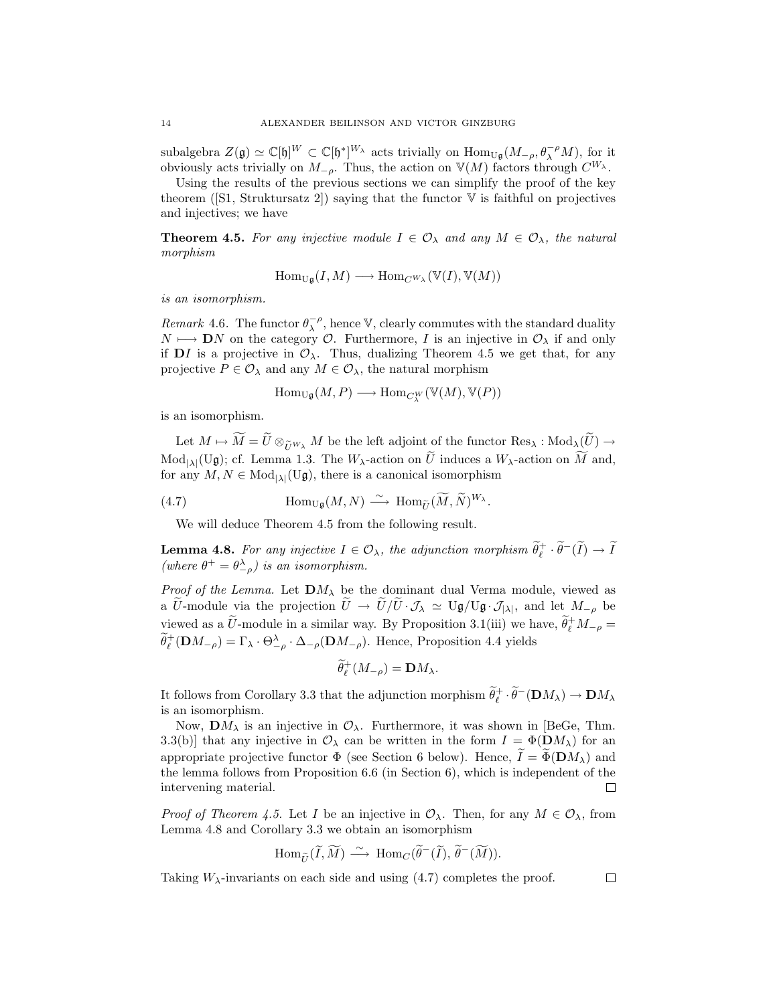subalgebra  $Z(\mathfrak{g}) \simeq \mathbb{C}[\mathfrak{h}]^W \subset \mathbb{C}[\mathfrak{h}^*]^{W_\lambda}$  acts trivially on  $\text{Hom}_{\mathbb{U}[\mathfrak{g}}(M_{-\rho}, \theta_\lambda^{-\rho}M)$ , for it obviously acts trivially on M<br>obviously acts trivially on M. Thus, the action on  $\mathbb{V}(M)$  fa obviously acts trivially on  $M_{-\rho}$ . Thus, the action on  $\mathbb{V}(M)$  factors through  $C^{W_{\lambda}}$ .

Using the results of the previous sections we can simplify the proof of the key theorem ([S1, Struktursatz 2]) saying that the functor  $V$  is faithful on projectives and injectives; we have

**Theorem 4.5.** For any injective module  $I \in \mathcal{O}_{\lambda}$  and any  $M \in \mathcal{O}_{\lambda}$ , the natural *morphism*

$$
\mathrm{Hom}_{\mathrm{U}\mathfrak{g}}(I,M)\longrightarrow \mathrm{Hom}_{C^{W_{\lambda}}}(\mathbb{V}(I),\mathbb{V}(M))
$$

*is an isomorphism.*

*Remark* 4.6. The functor  $\theta_{\lambda}^{-\rho}$ , hence V, clearly commutes with the standard duality  $N \mapsto \mathbf{D}N$  on the category  $\mathcal{O}$ . Furthermore, I is an injective in  $\mathcal{O}_\lambda$  if and only if  $DI$  is a projective in  $\mathcal{O}_{\lambda}$ . Thus, dualizing Theorem 4.5 we get that, for any projective  $P \in \mathcal{O}_\lambda$  and any  $M \in \mathcal{O}_\lambda$ , the natural morphism

$$
\mathrm{Hom}_{\mathrm{U}\mathfrak{g}}(M,P)\longrightarrow \mathrm{Hom}_{C^W_\lambda}(\mathbb{V}(M),\mathbb{V}(P))
$$

is an isomorphism.

Hom<sub>Ug</sub> $(M, P) \longrightarrow \text{Hom}_{C_{\lambda}^W}(\mathbb{V}(M), \mathbb{V}(P))$ <br>
Let  $M \mapsto \widetilde{M} = \widetilde{U} \otimes_{\widetilde{U}^{W_{\lambda}}} M$  be the left adjoint of the functor  $\text{Res}_{\lambda}: \text{Mod}_{\lambda}(\widetilde{U}) \rightarrow$ is an isomorphism.<br>
Let  $M \mapsto \widetilde{M} = \widetilde{U} \otimes_{\widetilde{U}^{W_{\lambda}}} M$  be the left adjoint of the functor Res<sub>A</sub> : Mod<sub>A</sub>(i<br>
Mod<sub>|A|</sub>(Ug); cf. Lemma 1.3. The  $W_{\lambda}$ -action on  $\widetilde{U}$  induces a  $W_{\lambda}$ -action on  $\widetilde{M}$ <br>
for M and, for any  $M, N \in Mod_{|\lambda|}(U_{\mathfrak{g}})$ , there is a canonical isomorphism eft adjoint of the f<br>action on  $\widetilde{U}$  induce<br>a canonical isomory<br> $\xrightarrow{\sim}$  Hom<sub> $\widetilde{U}(\widetilde{M}, \widetilde{N})$ </sub>

(4.7) 
$$
\text{Hom}_{U_{\mathfrak{g}}}(M,N) \stackrel{\sim}{\longrightarrow} \text{Hom}_{\widetilde{U}}(\widetilde{M},\widetilde{N})^{W_{\lambda}}.
$$

We will deduce Theorem 4.5 from the following result.

*(where*  $\theta^+ = \theta^{\lambda}_{-\rho}$ *) is an isomorphism.* 

**Lemma 4.8.** For any injective  $I \in \mathcal{O}_{\lambda}$ , the adjunction morphism  $\widetilde{\theta}_{\ell}^{+} \cdot \widetilde{\theta}^{-}(\widetilde{I}) \to \widetilde{I}$ <br>(where  $\theta^{+} = \theta_{-\rho}^{\lambda}$ ) is an isomorphism.<br>Proof of the Lemma. Let  $\mathbf{D}M_{\lambda}$  be the dominant dual Ve *Proof of the Lemma.* Let  $\mathbf{D}M_{\lambda}$  be the dominant dual Verma module, viewed as (where  $\theta^+ = \theta_{-\rho}^{\lambda}$ ) is an isomorphism.<br>Proof of the Lemma. Let  $\mathbf{D}M_{\lambda}$  be the dominant dual Verma module, viewed as a  $\tilde{U}$ -module via the projection  $\tilde{U} \to \tilde{U}/\tilde{U} \cdot \mathcal{J}_{\lambda} \simeq U_{\mathbf{g}}/U_{\mathbf{g}} \cdot \$  $\widetilde{\theta}_\ell^+$ ( $\mathbf{D}M_{-\rho}$ ) =  $\Gamma_\lambda \cdot \Theta_{-\rho}^\lambda \cdot \Delta_{-\rho}(\mathbf{D}M_{-\rho})$ . Hence, Proposition 4.4 yields a U-module via the projection  $\tilde{U} \to \tilde{U}/\tilde{U} \cdot \mathcal{J}_{\lambda} \simeq U_{\mathfrak{g}}/U_{\mathfrak{g}} \cdot \mathcal{J}_{|\lambda|}$ , and let  $M_{-\rho}$  be

$$
\widetilde{\theta}^+_{\ell}(M_{-\rho}) = \mathbf{D}M_{\lambda}.
$$

It follows from Corollary 3.3 that the adjunction morphism  $\widetilde{\theta}_\ell^+ \cdot \widetilde{\theta}^- (\mathbf{D} M_\lambda) \to \mathbf{D} M_\lambda$ is an isomorphism.

It follows from Corollary 3.3 that the adjunction morphism  $θ<sub>ℓ</sub><sup>i</sup> ⋅ θ$  ( $DM<sub>λ</sub>$ ) →  $DM<sub>λ</sub>$ <br>is an isomorphism.<br>Now,  $DM<sub>λ</sub>$  is an injective in  $O<sub>λ</sub>$ . Furthermore, it was shown in [BeGe, Thm.<br>3.3(b) Now,  $\mathbf{D}M_{\lambda}$  is an injective in  $\mathcal{O}_{\lambda}$ . Furthermore, it was shown in [BeGe, Thm. 3.3(b)] that any injective in  $\mathcal{O}_{\lambda}$  can be written in the form  $I = \Phi(\mathbf{D}M_{\lambda})$  for an the lemma follows from Proposition 6.6 (in Section 6), which is independent of the intervening material. П

*Proof of Theorem 4.5.* Let I be an injective in  $\mathcal{O}_{\lambda}$ . Then, for any  $M \in \mathcal{O}_{\lambda}$ , from Lemma 4.8 and Corollary 3.3 we obtain an isomorphism 5. Let *I* be<br>bllary 3.3 we<br>Hom $_{\widetilde{U}}(\widetilde{I}, \widetilde{M}% _{T}^{\ast})$ 

$$
\text{Hom}_{\widetilde{U}}(\widetilde{I},\widetilde{M}) \stackrel{\sim}{\longrightarrow} \text{Hom}_C(\widetilde{\theta}^-(\widetilde{I}),\widetilde{\theta}^-(\widetilde{M})).
$$

Taking  $W_{\lambda}$ -invariants on each side and using  $(4.7)$  completes the proof.

 $\Box$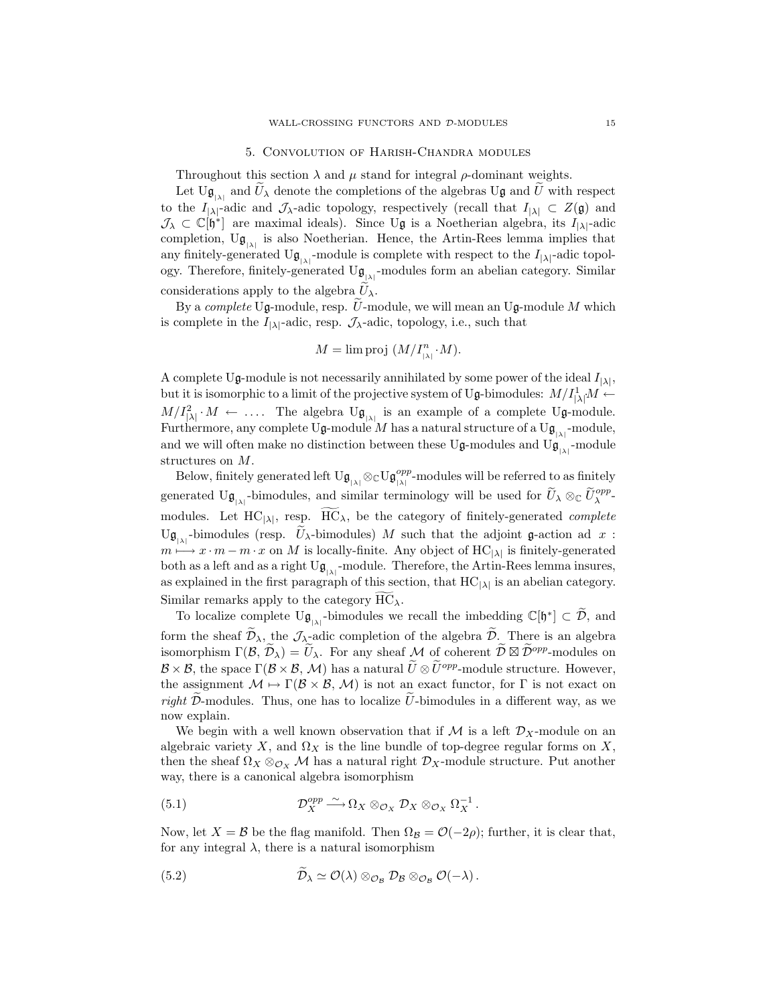## 5. Convolution of Harish-Chandra modules

Throughout this section  $\lambda$  and  $\mu$  stand for integral  $\rho$ -dominant weights.

Let  $U_{\mathfrak{g}_{\vert \lambda\vert}}$  and  $U_{\lambda}$  denote the completions of the algebras Ug and U with respect to the  $I_{|\lambda|}$ -adic and  $\mathcal{J}_{\lambda}$ -adic topology, respectively (recall that  $I_{|\lambda|} \subset Z(\mathfrak{g})$  and  $\mathcal{J}_{\lambda} \subset \mathbb{C}[\mathfrak{h}^*]$  are maximal ideals). Since Ug is a Noetherian algebra, its  $I_{|\lambda|}$ -adic completion,  $U_{\mathfrak{g}_{|\lambda|}}$  is also Noetherian. Hence, the Artin-Rees lemma implies that any finitely-generated  $U_{\mathfrak{g}_{|\lambda|}}$ -module is complete with respect to the  $I_{|\lambda|}$ -adic topology. Therefore, finitely-generated any finitely-generated  $U_{\mathfrak{g}_{|\lambda|}}$ -module is complete with respect to the  $I_{|\lambda|}$ -adic topol-<br>ogy. Therefore, finitely-generated  $U_{\mathfrak{g}_{|\lambda|}}$ -modules form an abelian category. Similar<br>considerations apply to the a ogy. Therefore, finitely-generated  $U_{\mathfrak{g}_{|\lambda|}}$ -modules form an abelian category. Similar

is complete in the  $I_{|\lambda|}$ -adic, resp.  $\mathcal{J}_{\lambda}$ -adic, topology, i.e., such that

$$
M = \lim \text{proj } (M/I_{|\lambda|}^n \cdot M).
$$

A complete Ug-module is not necessarily annihilated by some power of the ideal  $I_{|\lambda|}$ , but it is isomorphic to a limit of the projective system of Ug-bimodules:  $M/I_{\text{cl}}^1 M \leftarrow$ <br> $M/I^2$  *M*  $\leftarrow$  The clushes Use is an assemble of a sequentity Use and the  $M/I_{\lvert \lambda \rvert}^2 \cdot M \leftarrow \dots$  The algebra  $U_{\mathfrak{g}_{\lvert \lambda \rvert}}$  is an example of a complete  $U_{\mathfrak{g}}$ -module. Furthermore, any complete Ug-module M has a natural structure of a Ug<sub>| $\lambda$ |</sub> $\lambda$ -module, and we will often make no distinction between these Ug modules and Ug<sub>|</sub> $\lambda$ -module and we will often make no distinction between these Ug-modules and Ug<sub>| $\lambda$ |</sub>-module structures on M.  $\mathbf{g}_{\text{max}}$  and similar terminology will be referred to as finitely<br>y generated left  $\mathbf{U}_{\mathfrak{g}_{\text{max}}} \otimes_{\mathbb{C}} \mathbf{U}_{\mathfrak{g}_{\text{max}}}^{opp}$  modules will be referred to as finitely<br>-bimodules, and similar terminology will b

Below, finitely generated left  $U_{\mathfrak{g}_{|\lambda|}} \otimes_{\mathbb{C}} U_{\mathfrak{g}_{|\lambda|}}^{opp}$  modules will be referred to as finitely generated Ug<sub>|<sup>*λ*</sup></sub><sup>-bimodules, and similar terminology will be used for  $U_{\lambda} \otimes_{\mathbb{C}} U_{\lambda}^{opp}$ </sup> modules. Let  $\text{HCl}_{\mathfrak{g}_{|\lambda|}}$  and similar terminology will be referred to as finitely-generated  $\text{U}_{\mathfrak{g}_{|\lambda|}}$ -bimodules, and similar terminology will be used for  $\widetilde{U}_{\lambda} \otimes_{\mathbb{C}} \widetilde{U}_{\lambda}^{opp}$ -modules. Let  $\$ Ug<sub>(*x*</sub><sup> $\mu$ </sup></sub> -bimodules (resp.  $U_{\lambda}$ -bimodules) M such that the adjoint g-action ad x: Figure 1.1 and similar terminology will be referred to as finitely<br>ated Ug<sub><sub>|M|</sub>-bimodules, and similar terminology will be used for  $\widetilde{U}_{\lambda} \otimes_{\mathbb{C}} \widetilde{U}_{\lambda}^{opp}$ -<br>ales. Let HC<sub>|A|</sub>, resp.  $\widetilde{HC}_{\lambda}$ , be the categ</sub> m *7−→* x *·* m *−* m *·* x on M is locally-finite. Any object of HC*|λ<sup>|</sup>* is finitely-generated both as a left and as a right  $U_{\mathfrak{g}_{|\lambda|}}$ -module. Therefore, the Artin-Rees lemma insures, as explained in the first paragraph of this section, that HC*|λ<sup>|</sup>* is an abelian category.  $\mathcal{L}_{\mathbf{S}_{|\lambda|}}$  bimodules (resp.  $\mathcal{L}_{\lambda}$  bimodules)  $M$ ,<br>  $m \mapsto x \cdot m - m \cdot x$  on M is locally-finite. At<br>
both as a left and as a right  $\mathbf{U}_{\mathfrak{g}_{|\lambda|}}$ -module. Thas explained in the first paragraph of this sec<br>
Sim  $\mathcal{H}_{|\lambda|}$ -module. Therefore, the Artin-Rees lemma insures,<br>raph of this section, that HC<sub>| $\lambda$ |</sub> is an abelian category.<br>category  $\widetilde{HC}_{\lambda}$ .<br>-bimodules we recall the imbedding  $\mathbb{C}[\mathfrak{h}^*] \subset \widetilde{\mathcal{D}}$ , and form the sheaf  $\tilde{\mathcal{D}}_{\lambda}$ , the *J*<sub>*A*</sub>-bimodules we recall the imbedding  $\mathbb{C}[\mathfrak{h}^*] \subset \tilde{\mathcal{D}}$ , and<br>form the sheaf  $\tilde{\mathcal{D}}_{\lambda}$ , the *J*<sub>*A*</sub>-adic completion of the algebra  $\tilde{\mathcal{D}}$ . There is an algebr

To localize complete  $U_{\mathfrak{g}_{\{1\}}}$ -bimodules we recall the imbedding  $\mathbb{C}[\mathfrak{h}^*] \subset \mathcal{D}$ , and Similar remarks apply to the category  $\widetilde{HC}_{\lambda}$ .<br>To localize complete  $U_{\mathfrak{g}_{|\lambda|}}$ -bimodules we recall the imbedding  $\mathbb{C}[\mathfrak{h}^*] \subset \widetilde{\mathcal{D}}$ , and<br>form the sheaf  $\widetilde{\mathcal{D}}_{\lambda}$ , the  $\mathcal{J}_{\lambda}$ -adic completi To localize complete  $U_{\mathfrak{g}_{|\lambda|}}$ -bimodules we recall the imbedding  $\mathbb{C}[\mathfrak{h}^*] \subset \widetilde{\mathcal{D}}$ , and<br>form the sheaf  $\widetilde{\mathcal{D}}_{\lambda}$ , the  $\mathcal{J}_{\lambda}$ -adic completion of the algebra  $\widetilde{\mathcal{D}}$ . There is an algebra<br> the assignment  $M \mapsto \Gamma(\mathcal{B} \times \mathcal{B}, \mathcal{M})$  is not an exact functor, for  $\Gamma$  is not exact on isomorphism  $\Gamma(\mathcal{B}, \widetilde{\mathcal{D}}_{\lambda}) = \widetilde{U}_{\lambda}$ . For any sheaf  $\mathcal{M}$  of coherent  $\widetilde{\mathcal{D}} \boxtimes \widetilde{\mathcal{D}}^{opp}$ -modules on  $\mathcal{B} \times \mathcal{B}$ , the space  $\Gamma(\mathcal{B} \times \mathcal{B}, \mathcal{M})$  has a natural  $\widetilde{U} \otimes \widetilde{U}^{opp}$ -module now explain.

We begin with a well known observation that if  $M$  is a left  $\mathcal{D}_X$ -module on an algebraic variety X, and  $\Omega_X$  is the line bundle of top-degree regular forms on X, then the sheaf  $\Omega_X \otimes_{\mathcal{O}_X} M$  has a natural right  $\mathcal{D}_X$ -module structure. Put another way, there is a canonical algebra isomorphism

(5.1) 
$$
\mathcal{D}_X^{opp} \stackrel{\sim}{\longrightarrow} \Omega_X \otimes_{\mathcal{O}_X} \mathcal{D}_X \otimes_{\mathcal{O}_X} \Omega_X^{-1}.
$$

Now, let  $X = \mathcal{B}$  be the flag manifold. Then  $\Omega_{\mathcal{B}} = \mathcal{O}(-2\rho)$ ; further, it is clear that, for any integral  $\lambda$ , there is a natural isomorphism Now, let  $X = \mathcal{B}$  be the flag manifold. Then  $\Omega_{\mathcal{B}} = \mathcal{O}(-2\rho)$ <br>for any integral  $\lambda$ , there is a natural isomorphism<br>(5.2)  $\widetilde{\mathcal{D}}_{\lambda} \simeq \mathcal{O}(\lambda) \otimes_{\mathcal{O}_{\mathcal{B}}} \mathcal{D}_{\mathcal{B}} \otimes_{\mathcal{O}_{\mathcal{B}}} \mathcal{O}(-\lambda)$ .

(5.2) 
$$
\mathcal{D}_{\lambda} \simeq \mathcal{O}(\lambda) \otimes_{\mathcal{O}_{\mathcal{B}}} \mathcal{D}_{\mathcal{B}} \otimes_{\mathcal{O}_{\mathcal{B}}} \mathcal{O}(-\lambda).
$$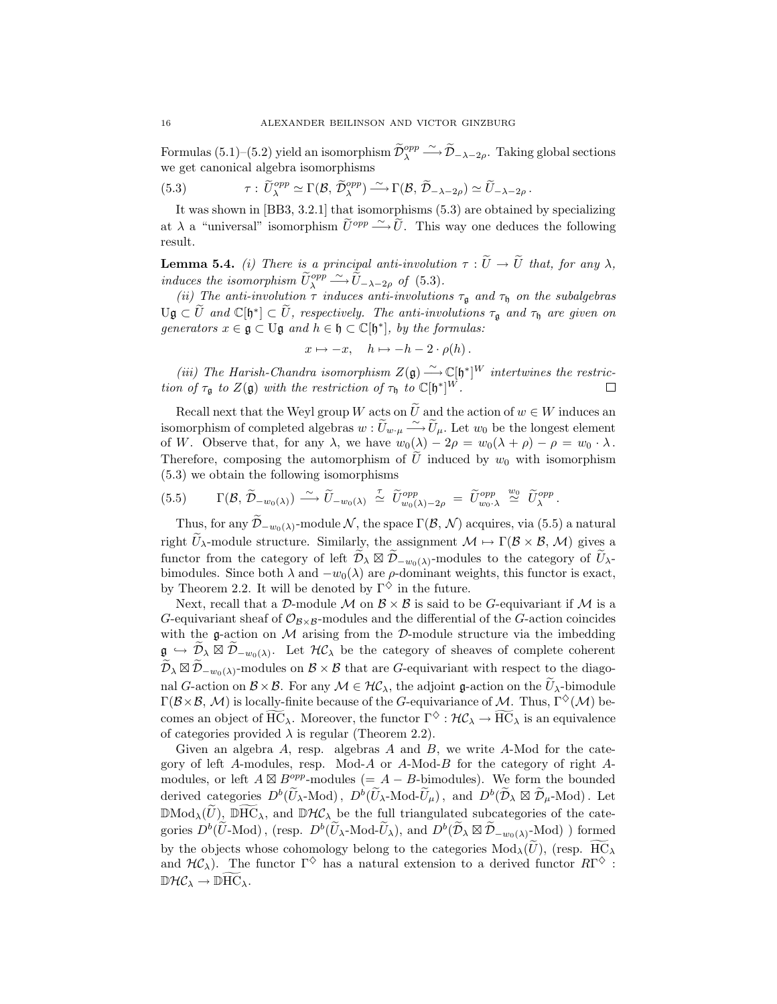*ALEXANDER BEILINSON AND VICTOR GINZBURG*<br> *Formulas* (5.1)−(5.2) yield an isomorphism  $\tilde{D}_{\lambda}^{opp}$   $\stackrel{\sim}{\longrightarrow} \tilde{D}_{-\lambda-2\rho}$ . Taking global sections we get canonical algebra isomorphisms Formulas (5.1)–(5.2) yield an isomorphism  $\widetilde{\mathcal{D}}_{\lambda}^{opp} \xrightarrow{\sim} \widetilde{\mathcal{D}}_{-\lambda-2\rho}$ . Taking we get canonical algebra isomorphisms<br>
(5.3)  $\tau : \widetilde{U}_{\lambda}^{opp} \simeq \Gamma(\mathcal{B}, \widetilde{\mathcal{D}}_{\lambda}^{opp}) \xrightarrow{\sim} \Gamma(\mathcal{B}, \widetilde{\mathcal{D}}_{-\lambda-2\rho}) \simeq$ 

(5.3) 
$$
\tau: \widetilde{U}^{opp}_{\lambda} \simeq \Gamma(\mathcal{B}, \widetilde{\mathcal{D}}^{opp}_{\lambda}) \stackrel{\sim}{\longrightarrow} \Gamma(\mathcal{B}, \widetilde{\mathcal{D}}_{-\lambda-2\rho}) \simeq \widetilde{U}_{-\lambda-2\rho}
$$

It was shown in [BB3, 3.2.1] that isomorphisms (5.3) are obtained by specializing at  $\tilde{U}^{\text{opp}}_{\lambda} \simeq \Gamma(\mathcal{B}, \tilde{\mathcal{D}}^{\text{opp}}_{\lambda}) \longrightarrow \Gamma(\mathcal{B}, \tilde{\mathcal{D}}_{-\lambda-2\rho}) \simeq \tilde{U}_{-\lambda-2\rho}.$ <br>
It was shown in [BB3, 3.2.1] that isomorphisms (5.3) are obtained by specializing at  $\lambda$  a "universal" isomorphism  $\tilde{U}$ result. It was shown in [BB3, 3.2.1] that isomorphisms (5.3) are obtained by specializing at  $\lambda$  a "universal" isomorphism  $\tilde{U}^{opp} \longrightarrow \tilde{U}$ . This way one deduces the following result.<br>**Lemma 5.4.** *(i) There is a principal an* at  $\lambda$  a "universal" isomorphis<br>result.<br>**Lemma 5.4.** *(i) There is a p*<br>*induces the isomorphism*  $\widetilde{U}_{\lambda}^{opp}$ *a principal anti-involution*<br> *a principal anti-involution*<br>  $\widetilde{\nu}_{\lambda}^{opp} \sim \widetilde{U}_{-\lambda-2\rho}$  *of* (5.3).

*(ii)* The anti-involution  $\tau$  *induces anti-involutions*  $\tau_{\mathfrak{g}}$  *and*  $\tau_{\mathfrak{h}}$  *on the subalgebras* **Lemma 5.4.** (i) There is a principal anti-involution  $\tau : \tilde{U} \to \tilde{U}$  that, for any  $\lambda$ , induces the isomorphism  $\tilde{U}_{\lambda}^{opp} \xrightarrow{\sim} \tilde{U}_{-\lambda-2\rho}$  of (5.3).<br>(ii) The anti-involution  $\tau$  induces anti-involutions  $\tau_{$ *generators*  $x \in \mathfrak{g} \subset U\mathfrak{g}$  *and*  $h \in \mathfrak{h} \subset \mathbb{C}[\mathfrak{h}^*]$ *, by the formulas:* 

$$
x \mapsto -x, \quad h \mapsto -h - 2 \cdot \rho(h).
$$

*(iii)* The Harish-Chandra isomorphism  $Z(\mathfrak{g}) \xrightarrow{\sim} \mathbb{C}[\mathfrak{h}^*]^W$  intertwines the restric-<br> *n* of  $\tau$  to  $Z(\mathfrak{g})$  with the restriction of  $\tau$  to  $\mathbb{C}[\mathfrak{h}^*]^W$ *tion of*  $\tau_{\mathfrak{g}}$  *to*  $Z(\mathfrak{g})$  *with the restriction of*  $\tau_{\mathfrak{h}}$  *to*  $\mathbb{C}[\mathfrak{h}^*]^W$ *.*  $x \mapsto -x$ ,  $n \mapsto -n-2 \cdot \rho(n)$ .<br>
(iii) The Harish-Chandra isomorphism  $Z(\mathfrak{g}) \xrightarrow{\sim} \mathbb{C}[\mathfrak{h}^*]^W$  intertwines the restric-<br>
n of  $\tau_{\mathfrak{g}}$  to  $Z(\mathfrak{g})$  with the restriction of  $\tau_{\mathfrak{h}}$  to  $\mathbb{C}[\mathfrak{h}^*]^W$ .

(iii) The Harish-Chandra isomorphism  $Z(\mathfrak{g}) \xrightarrow{\sim} \mathbb{C}[\mathfrak{h}^*]^W$  intertwines the restriction of τ<sub> $\mathfrak{g}$ </sub> to  $Z(\mathfrak{g})$  with the restriction of τ<sub> $\mathfrak{h}$ </sub> to  $\mathbb{C}[\mathfrak{h}^*]^W$ .  $\Box$ <br>Recall next that the Wey *∼* of W. Observe that, for any  $\lambda$ , we have  $w_0(\lambda) - 2\rho = w_0(\lambda + \rho) - \rho = w_0 \cdot \lambda$ .<br>Therefore, composing the automorphism of  $\tilde{U}$  induced by  $w_0$  with isomorphism (5.3) we obtain the following isomorphisms<br>(5.5)  $\Gamma(\mathcal{B}, \$ Recall next that the Weyl group W acts on  $\tilde{U}$  and the action of  $w \in W$  induces an isomorphism of completed algebras  $w : \tilde{U}_{w \cdot \mu} \xrightarrow{\sim} \tilde{U}_{\mu}$ . Let  $w_0$  be the longest element of W. Observe that, for any  $\lambda$ , (5.3) we obtain the following isomorphisms

Therefore, composing the automorphism of *U* induced by *w*<sub>0</sub> with isomorphism  
(5.3) we obtain the following isomorphisms  
(5.5) 
$$
\Gamma(\mathcal{B}, \widetilde{\mathcal{D}}_{-w_0(\lambda)}) \xrightarrow{\sim} \widetilde{U}_{-w_0(\lambda)} \xrightarrow{\tau} \widetilde{U}_{w_0(\lambda)-2\rho}^{opp} = \widetilde{U}_{w_0}^{opp} \xrightarrow{w_0} \widetilde{U}_{\lambda}^{opp}.
$$
Thus, for any  $\widetilde{\mathcal{D}}_{-w_0(\lambda)}$ -module *N*, the space Γ(*B*, *N*) acquires, via (5.5) a natural

(5.5)  $\Gamma(\mathcal{B}, \widetilde{\mathcal{D}}_{-w_0(\lambda)}) \xrightarrow{\sim} \widetilde{U}_{-w_0(\lambda)} \xrightarrow{\tau} \widetilde{U}_{w_0(\lambda)-2\rho}^{\text{opp}} = \widetilde{U}_{w_0,\lambda}^{\text{opp}} \xrightarrow{\omega} \widetilde{U}_{\lambda}^{\text{opp}}.$ <br>Thus, for any  $\widetilde{\mathcal{D}}_{-w_0(\lambda)}$ -module  $\mathcal{N}$ , the space  $\Gamma(\mathcal{B}, \mathcal{N})$  acquires, via ( (5.5)  $\Gamma(\mathcal{B}, \mathcal{D}_{-w_0(\lambda)}) \longrightarrow U_{-w_0(\lambda)} \simeq U_{w_0(\lambda)-2\rho}^{opp} = U_{w_0(\lambda)}^{opp} \stackrel{\sim}{\simeq} U_{\lambda}^{opp}.$ <br>Thus, for any  $\widetilde{\mathcal{D}}_{-w_0(\lambda)}$ -module  $\mathcal{N}$ , the space  $\Gamma(\mathcal{B}, \mathcal{N})$  acquires, via (5.5) a natural right  $\widetilde{U}_{\lambda}$ -mo bimodules. Since both  $\lambda$  and  $-w_0(\lambda)$  are  $\rho$ -dominant weights, this functor is exact, by Theorem 2.2. It will be denoted by  $\Gamma^{\diamondsuit}$  in the future.

Next, recall that a *D*-module *M* on  $\mathcal{B} \times \mathcal{B}$  is said to be *G*-equivariant if *M* is a G-equivariant sheaf of  $\mathcal{O}_{\mathcal{B}\times\mathcal{B}}$ -modules and the differential of the G-action coincides with the  $g$ -action on  $M$  arising from the  $D$ -module structure via the imbedding by Theorem 2.2. It will be denoted by  $\Gamma^{\vee}$  in the future.<br>
Next, recall that a  $\mathcal{D}$ -module  $\mathcal{M}$  on  $\mathcal{B} \times \mathcal{B}$  is said to be  $G$ -equivariant if  $\mathcal{M}$  is a<br>  $G$ -equivariant sheaf of  $\mathcal{O}_{\mathcal{B} \times \mathcal{$ *D*equivariant sheaf of  $\mathcal{O}_{\mathcal{B}\times\mathcal{B}}$ -modules and the differential of the *G*-action coincides with the **g**-action on *M* arising from the *D*-module structure via the imbedding  $\mathfrak{g} \hookrightarrow \widetilde{\mathcal{D}}_{\lambda} \boxtimes \widetilde{\mathcal$ with the g-action on *M* arising from the *D*-module structure via the imbedding  $\mathfrak{g} \hookrightarrow \widetilde{\mathcal{D}}_{\lambda} \boxtimes \widetilde{\mathcal{D}}_{-w_0(\lambda)}$ . Let  $\mathcal{HC}_{\lambda}$  be the category of sheaves of complete coherent  $\widetilde{\mathcal{D}}_{\lambda} \boxtimes \widetilde{\mathcal{D$ Γ( $\beta \times \beta$ , *M*) is locally-finite because of the *G*-equivariance of *M*. Thus, Γ<sup> $\diamond$ </sup>(*M*) be- $\widetilde{\mathcal{D}}_{\lambda} \boxtimes \widetilde{\mathcal{D}}_{-w_0(\lambda)}$ -modules on  $\mathcal{B} \times \mathcal{B}$  that are *G*-equivariant with respect to the diagonal *G*-action on  $\mathcal{B} \times \mathcal{B}$ . For any  $\mathcal{M} \in \mathcal{HC}_{\lambda}$ , the adjoint **g**-action on the  $\widetilde{U}_{\lambda$ of categories provided  $\lambda$  is regular (Theorem 2.2).

Given an algebra  $A$ , resp. algebras  $A$  and  $B$ , we write  $A$ -Mod for the category of left A-modules, resp. Mod-A or A-Mod-B for the category of right  $A$ modules, or left  $A \boxtimes B^{opp}$ -modules (=  $A - B$ -bimodules). We form the bounded derived categories provided  $\lambda$  is regular (Theorem 2.2).<br>Given an algebra A, resp. algebras A and B, we write A-Mod for the category of left A-modules, resp. Mod-A or A-Mod-B for the category of right A-modules, or left Given an algebra  $A$ , resp. algebras  $A$  and  $B$ , we write  $A$ -Mod for the category of left  $A$ -modules, resp. Mod- $A$  or  $A$ -Mod- $B$  for the category of right  $A$ -modules, or left  $A \boxtimes B^{opp}$ -modules  $(= A - B$ -bimodules). W modules, or left  $A \boxtimes B^{opp}$ -modules  $(= A - B$ -bimodules). We form the bounded<br>derived categories  $D^b(\widetilde{U}_\lambda\text{-Mod})$ ,  $D^b(\widetilde{U}_\lambda\text{-Mod}\text{-}\widetilde{U}_\mu)$ , and  $D^b(\widetilde{D}_\lambda \boxtimes \widetilde{D}_\mu\text{-Mod})$ . Let<br> $\mathbb{DMod}_\lambda(\widetilde{U})$ ,  $\widetilde{\mathbb{D}$ derived categories  $D^b(\widetilde{U}_{\lambda} \text{-Mod})$ ,  $D^b(\widetilde{U}_{\lambda} \text{-Mod}\text{-}\widetilde{U}_{\mu})$ , and  $D^b(\widetilde{\mathcal{D}}_{\lambda} \boxtimes \widetilde{\mathcal{D}}_{\mu} \text{-Mod})$ . Let  $\mathbb{D}Mod_{\lambda}(\widetilde{U})$ ,  $\widetilde{\text{DHC}}_{\lambda}$ , and  $\mathbb{D}^b(\mathcal{C}_{\lambda}$  be the full triangulated subcat and  $H\mathcal{C}_\lambda$ ). The functor  $\Gamma^\diamondsuit$  has a natural extension to a derived functor  $R\Gamma^\diamondsuit$ :  $\mathbb{D}Mod_{\lambda}(\tilde{U})$ ,  $\mathbb{D}HC_{\lambda}$ , and  $\mathbb{D}\mathcal{H}\mathcal{C}_{\lambda}$  be the full triangulated subcategories of the categories  $D^b(\tilde{U} \text{-Mod})$ , (resp.  $D^b(\tilde{U}_{\lambda} \text{-Mod}\tilde{U}_{\lambda})$ , and  $D^b(\tilde{\mathcal{D}}_{\lambda} \boxtimes \tilde{\mathcal{D}}_{-w_0(\lambda)}\text{-Mod})$ )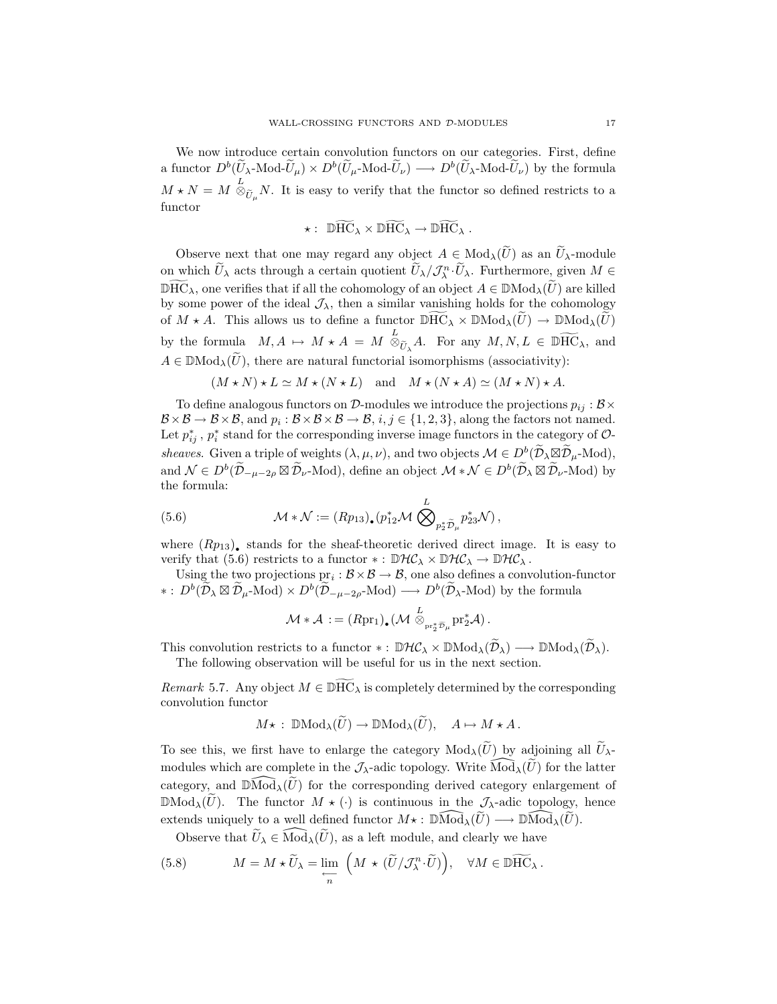We now introduce certain convolution functors on our categories. First, define a functor  $D^b(\widetilde{U}_{\lambda} \text{-Mod-}\widetilde{U}_{\mu}) \times D^b(\widetilde{U}_{\mu} \text{-Mod-}\widetilde{U}_{\nu}) \longrightarrow D^b(\widetilde{U}_{\lambda} \text{-Mod-}\widetilde{U}_{\nu})$  by the formula  $M \star N = M \stackrel{L}{\otimes}$ *U*<sub> $\tilde{U}_{\lambda}$ -Mod- $\tilde{U}_{\mu}$   $\times$  *D*<sup>*b*</sup>( $\tilde{U}_{\mu}$ -Mod- $\tilde{U}_{\nu}$ )  $\longrightarrow$  *D*<sup>*b*</sup>( $\tilde{U}_{\lambda}$ -Mod- $\tilde{U}_{\nu}$ ) by the formula  $\mathcal{L}$ <br> $\otimes_{\tilde{U}_{\mu}} N$ . It is easy to verify that the functor so defined restricts to</sub> functor  $P^o(U_\mu\text{-Mod-}U_\nu) \longrightarrow P^o(U;$ <br>easy to verify that the functors<br> $\star: \mathbb{D} \widetilde{\text{HC}}_\lambda \times \mathbb{D} \widetilde{\text{HC}}_\lambda \rightarrow \mathbb{D} \widetilde{\text{HC}}_\lambda.$  $\star N = M \otimes_{\widetilde{U}_{\mu}} N$ . It is easy to verify that the functor so defined restricts to a<br>nctor<br> $\star : \mathbb{D} \widetilde{HC}_{\lambda} \times \mathbb{D} \widetilde{HC}_{\lambda} \to \mathbb{D} \widetilde{HC}_{\lambda}$ .<br>Observe next that one may regard any object  $A \in Mod_{\lambda}(\widetilde{U})$  as an

$$
\star: \ \widehat{\mathbb{D}HC}_{\lambda} \times \widehat{\mathbb{D}HC}_{\lambda} \to \widehat{\mathbb{D}HC}_{\lambda} .
$$

 $\star: \mathbb{D} \widetilde{HC}_{\lambda} \times \mathbb{D} \widetilde{HC}_{\lambda} \to \mathbb{D} \widetilde{HC}_{\lambda}$ .<br>
Observe next that one may regard any object  $A \in Mod_{\lambda}(\widetilde{U})$  as an  $\widetilde{U}_{\lambda}$ -module<br>
on which  $\widetilde{U}_{\lambda}$  acts through a certain quotient  $\widetilde{U}_{\lambda}/\mathcal{J}_{\$  $\star: \ \mathbb{D}HC_{\lambda} \times \mathbb{D}HC_{\lambda} \to \mathbb{D}HC_{\lambda}$ .<br>Observe next that one may regard any object  $A \in Mod_{\lambda}(\widetilde{U})$  as an  $\widetilde{U}_{\lambda}$ -module<br>on which  $\widetilde{U}_{\lambda}$  acts through a certain quotient  $\widetilde{U}_{\lambda}/\mathcal{J}_{\lambda}^{n} \cdot \widetilde{U}_{\lambda$ by some power of the ideal  $\mathcal{J}_{\lambda}$ , then a similar vanishing holds for the cohomology on which  $\widetilde{U}_{\lambda}$  acts through a certain quotient  $\widetilde{U}_{\lambda}/\mathcal{J}_{\lambda}^{n} \cdot \widetilde{U}_{\lambda}$ . Furthermore, given  $M \in \mathbb{D} \widetilde{HC}_{\lambda}$ , one verifies that if all the cohomology of an object  $A \in \mathbb{D} \text{Mod}_{\lambda}(\widetilde{U})$  are kil by the formula  $M, A \mapsto M * A = M \overset{L}{\otimes}$ *N*epy of an object  $A \in \mathbb{D}Mod_{\lambda}(\widetilde{U})$  are killed<br>milar vanishing holds for the cohomology<br>netor  $\mathbb{D} \widetilde{HC}_{\lambda} \times \mathbb{D} Mod_{\lambda}(\widetilde{U}) \to \mathbb{D} Mod_{\lambda}(\widetilde{U})$ <br> $\overset{L}{\otimes}_{\widetilde{U}_{\lambda}} A$ . For any  $M, N, L \in \mathbb{D} \widetilde{HC}_{\lambda}$ , by some power of the ideal  $\mathcal{J}_{\lambda}$ , then a similar vanishing holds for the coh<br>of  $M \star A$ . This allows us to define a functor  $\mathbb{D} \overline{HC}_{\lambda} \times \mathbb{D} \text{Mod}_{\lambda}(\widetilde{U}) \to \mathbb{D} \text{N}$ <br>by the formula  $M, A \mapsto M \star A = M \overset{L}{\otimes}_{$ 

$$
(M \star N) \star L \simeq M \star (N \star L)
$$
 and  $M \star (N \star A) \simeq (M \star N) \star A$ .

To define analogous functors on  $D$ -modules we introduce the projections  $p_{ij}: \mathcal{B} \times$  $\mathcal{B} \times \mathcal{B} \to \mathcal{B} \times \mathcal{B}$ , and  $p_i : \mathcal{B} \times \mathcal{B} \times \mathcal{B} \to \mathcal{B}$ ,  $i, j \in \{1, 2, 3\}$ , along the factors not named. Let  $p_{ij}^*$ ,  $p_i^*$  stand for the corresponding inverse image functors in the category of  $\mathcal{O}$ -*Sheaves* Given a triple of weights (*λ*,  $\mu$ , *v*), and two objects *R*  $\times$  *B*  $\times$  *B*, *n*<sup>3</sup>  $\times$  *B*, *n*<sup>3</sup>  $\times$  *B*, *n*<sup>3</sup>  $\times$  *B*, *n*<sup>3</sup>  $\times$  *B*, *n*<sup>3</sup>  $\times$  *B*, *n*<sup>3</sup>  $\times$  *B*, *n*<sup>3</sup>  $\times$  *B*, *n*<sup>3</sup>  $\t$  $\log p_{ij} : \mathcal{B} \times$ <br>ot named.<br>gory of  $\mathcal{O}_j$ -Mod),  $B \times B \to B \times B$ , and  $p_i : B \times B \to B$ ,  $i, j \in \{1, 2, 3\}$ , along the factors not named.<br>Let  $p_{ij}^*$ ,  $p_i^*$  stand for the corresponding inverse image functors in the category of  $\mathcal{O}$ -<br>*sheaves*. Given a triple of weights  $(\$ the formula: %, and two<br>an object<br> $\sum_{12}^{L} M \bigotimes^L$ 

the formula:  
(5.6) 
$$
\mathcal{M} * \mathcal{N} := (Rp_{13}) \cdot (p_{12}^* \mathcal{M} \bigotimes_{p_2^* \tilde{\mathcal{D}}_{\mu}} p_{23}^* \mathcal{N}),
$$

where  $(Rp_{13})$ , stands for the sheaf-theoretic derived direct image. It is easy to verify that (5.6) restricts to a functor  $* : \mathbb{D}H\mathcal{C}_{\lambda} \times \mathbb{D}H\mathcal{C}_{\lambda} \to \mathbb{D}H\mathcal{C}_{\lambda}$ . *∗*  $P_2P_4P_4$ <br>*∗* :  $D_4P_5P_6$  direct image. It is e<br>*verify* that (5.6) restricts to a functor  $* : \mathbb{D}\mathcal{H}\mathcal{C}_\lambda \times \mathbb{D}\mathcal{H}\mathcal{C}_\lambda \to \mathbb{D}\mathcal{H}\mathcal{C}_\lambda$ .<br>Using the two projections  $\text{pr}_i : \mathcal{B} \times \mathcal{B} \to \mathcal{B}$ ,

Using the two projections  $pr_i : \mathcal{B} \times \mathcal{B} \to \mathcal{B}$ , one also defines a convolution-functor  $\mathcal{D}^b(\widetilde{\mathcal{D}}_\lambda \boxtimes \widetilde{\mathcal{D}}_\mu\text{-Mod}) \times D^b(\widetilde{\mathcal{D}}_{-\mu-2\rho}\text{-Mod}) \longrightarrow D^b(\widetilde{\mathcal{D}}_{\lambda}\text{-Mod})$  by the formula<br> $\mathcal{M} * \mathcal{A} := (Rpr_1)_\bullet (\mathcal{M} \otimes_{\text{pr}_2^*\widetilde{\mathcal{D}}_{\mu}} \text{pr}_2^*\mathcal{A}).$ <br>This convolution restricts to a functor  $* : \$ 

$$
\mathcal{M} * \mathcal{A} := (Rpr_1)_\bullet \left( \mathcal{M} \stackrel{L}{\otimes}_{pr_2^* \widetilde{\mathcal{D}}_\mu} pr_2^* \mathcal{A} \right).
$$

The following observation will be useful for us in the next section. *Remark* 5.7*.* Any object  $M \in \mathbb{D} \widetilde{HC}_{\lambda}$  is completely determined by the corresponding *Remark* 5.7*.* Any object  $M \in \mathbb{D} \widetilde{HC}_{\lambda}$  is completely determined by the corresponding

convolution functor *Remark* 5.7. Any object  $M \in \mathbb{D}HC_\lambda$  is completely determined by the corresponding Remark 5.7. Any object  $M \in \mathbb{D} \mathbb{H} \mathbb{C}_{\lambda}$  is completely determined by the corresponding<br>convolution functor<br> $M \star : \mathbb{D} \mathbb{M} \text{od}_{\lambda}(\widetilde{U}) \to \mathbb{D} \mathbb{M} \text{od}_{\lambda}(\widetilde{U}), \quad A \mapsto M \star A$ .<br>To see this, we first have to e

$$
M\star\,:\; \mathbb{D}\mathrm{Mod}_{\lambda}(\widetilde{U})\to \mathbb{D}\mathrm{Mod}_{\lambda}(\widetilde{U}),\quad A\mapsto M\star A\,.
$$

 $M\star : \mathbb{DMod}_{\lambda}(\widetilde{U}) \to \mathbb{DMod}_{\lambda}(\widetilde{U}), \quad A \mapsto M \star A.$ <br>To see this, we first have to enlarge the category  $Mod_{\lambda}(\widetilde{U})$  by adjoining all  $\widetilde{U}_{\lambda}$ -modules which are complete in the *J*<sub> $\lambda$ </sub>-adic topology. Write  $\widehat{Mod$  $M \star : \mathbb{D} \text{Mod}_{\lambda}(U) \to \mathbb{D} \text{Mod}_{\lambda}(U), \quad A \mapsto M \star A.$ <br>To see this, we first have to enlarge the category  $\text{Mod}_{\lambda}(\widetilde{U})$  by adjoining all  $\widetilde{U}_{\lambda}$ -<br>modules which are complete in the  $\mathcal{J}_{\lambda}$ -adic topology. Write  $\$ To see this, we first have to enlarge the category  $Mod_{\lambda}(\widetilde{U})$  by adjoining all  $\widetilde{U}_{\lambda}$ -modules which are complete in the  $\mathcal{J}_{\lambda}$ -adic topology. Write  $\widehat{Mod}_{\lambda}(\widetilde{U})$  for the latter category, and  $\widehat{Mod}_{\lambda}$ modules which are complete in the  $\mathcal{J}_{\lambda}$ -adic topology. Write  $\widehat{Mod}_{\lambda}(\widetilde{U})$  for the latter category, and  $\widehat{Mod}_{\lambda}(\widetilde{U})$  for the corresponding derived category enlargement of egory, and  $\widehat{\mathbb{D}Mod}_{\lambda}(\widetilde{U})$  for the corresponding derived category enloted  $Mod_{\lambda}(\widetilde{U})$ . The functor  $M \star (\cdot)$  is continuous in the  $\mathcal{J}_{\lambda}$ -adic top tends uniquely to a well defined functor  $M \star : \widehat{\mathbb{D}Mod}_{\lambda}$  $\mathbb{D} \text{Mod}_{\lambda}(U)$ . The functor  $M \star (\cdot)$  is continuous in the  $\mathcal{J}_{\lambda}$ -adic top extends uniquely to a well defined functor  $M \star : \mathbb{D} \widehat{\text{Mod}}_{\lambda}(\widetilde{U}) \longrightarrow \mathbb{D} \widehat{\text{Mod}}_{\lambda}(\widetilde{U})$ . Observe that  $\widetilde{U}_{\lambda} \in \widehat{\text{Mod}}_{$  $\sim$  corresponding acts

(5.8) 
$$
M = M \star \widetilde{U}_{\lambda} = \lim_{\substack{\longleftarrow \\ n}} \left( M \star (\widetilde{U}/\mathcal{J}_{\lambda}^n \cdot \widetilde{U}) \right), \quad \forall M \in \mathbb{D} \widetilde{HC}_{\lambda}.
$$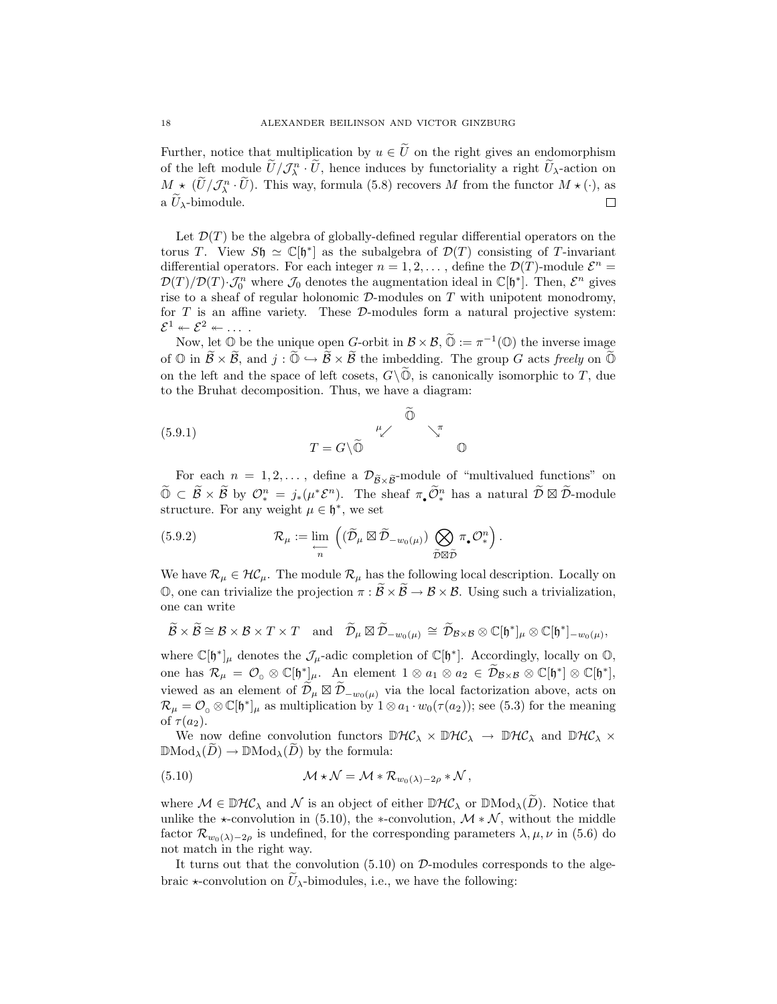Further, notice that multiplication by  $u \in \tilde{U}$  on the right gives an endomorphism **of** the left module  $\tilde{U}/\mathcal{J}_{\lambda}^{n} \cdot \tilde{U}$ , hence induces by functoriality a right  $\tilde{U}_{\lambda}$ -action on on MEXANDER BEILINSON AND VICTOR GINZBURG<br>
Further, notice that multiplication by  $u \in \tilde{U}$  on the right gives an endomorphism<br>
of the left module  $\tilde{U}/\mathcal{J}_{\lambda}^{n} \cdot \tilde{U}$ , hence induces by functoriality a right  $\tilde{U$ Further, notice<br>of the left mod<br> $M \star (\widetilde{U}/\mathcal{J}_{\lambda}^{n} \cdot \widetilde{U})$ <br>a  $\widetilde{U}_{\lambda}$ -bimodule. 口

Let  $\mathcal{D}(T)$  be the algebra of globally-defined regular differential operators on the torus T. View  $S\mathfrak{h} \simeq \mathbb{C}[\mathfrak{h}^*]$  as the subalgebra of  $\mathcal{D}(T)$  consisting of T-invariant differential operators. For each integer  $n = 1, 2, \ldots$ , define the  $\mathcal{D}(T)$ -module  $\mathcal{E}^n =$  $\mathcal{D}(T)/\mathcal{D}(T) \cdot \mathcal{J}_0^n$  where  $\mathcal{J}_0$  denotes the augmentation ideal in  $\mathbb{C}[\mathfrak{h}^*]$ . Then,  $\mathcal{E}^n$  gives rise to a sheaf of regular holonomic  $\mathcal{D}_n$  modules on  $T$  with unipotent monodromy rise to a sheaf of regular holonomic *D*-modules on T with unipotent monodromy, for T is an affine variety. These *D*-modules form a natural projective system:  $\mathcal{E}^1 \leftarrow \mathcal{E}^2 \leftarrow \dots$  $T)/\mathcal{D}(T) \cdot \mathcal{J}_0^n$  where  $\mathcal{J}_0$  denotes the augmentation ideal in  $\mathbb{C}[\mathfrak{h}^*]$ . Then,  $\mathcal{E}^n$  gives e to a sheaf of regular holonomic  $\mathcal{D}$ -modules on  $T$  with unipotent monodromy,  $T$  is an affine vari rise to a sheat of regular holonomic *D*-modules on *I* with unipotent monodromy,<br>for *T* is an affine variety. These *D*-modules form a natural projective system:<br> $\mathcal{E}^1 \leftarrow \mathcal{E}^2 \leftarrow \dots$ .<br>Now, let  $\mathbb{O}$  be the uniq

for  $I$  is an affine variety. These *D*-modules form a natural projective system:<br>  $\mathcal{E}^1 \leftarrow \mathcal{E}^2 \leftarrow \dots$ <br>
Now, let  $\mathbb{O}$  be the unique open *G*-orbit in  $\mathcal{B} \times \mathcal{B}$ ,  $\mathbb{O} := \pi^{-1}(\mathbb{O})$  the inverse image<br>
of ed<br>D,<br>Õ

to the Bruhat decomposition. Thus, we have a diagram:  
 
$$
\begin{array}{cc}\n\widetilde{\mathbb{O}} \\
(5.9.1) \\
\end{array}
$$
\n
$$
T = G \backslash \widetilde{\mathbb{O}} \qquad \begin{array}{cc}\n\mu \nearrow \\
\widetilde{\mathbb{O}} \\
\end{array}
$$

9.1)<br>  $T = G \setminus \widetilde{\mathbb{O}}$   $\mathbb{O}$ <br>
For each  $n = 1, 2, ...$ , define a  $\mathcal{D}_{\widetilde{\mathcal{B}} \times \widetilde{\mathcal{B}}}$ -module of "multivalued functions" on  $\subset \widetilde{\mathcal{B}} \times \widetilde{\mathcal{B}}$  by  $\mathcal{O}_*^n = j_*(\mu^* \mathcal{E}^n)$ . The sheaf  $\pi_* \widetilde{\mathcal{O}}_*^n$ (5.9.1)<br>For each  $n = 1$ ,<br> $\widetilde{\mathbb{O}} \subset \widetilde{\mathcal{B}} \times \widetilde{\mathcal{B}}$  by  $\mathcal{O}_*^n$ structure. For any weight  $\mu \in \mathfrak{h}^*$ , we set  $\mathcal{D}_{\mathcal{L}}$  a module of "multi  $\alpha$  *D*<sub> $\tilde{B} \times \tilde{B}$ <sup>-</sup>modu</sup>, we set<br>  $(\tilde{D}_{\mu} \boxtimes \tilde{D}_{-w_0(\mu)})$ </sub>

(5.9.2) 
$$
\mathcal{R}_{\mu} := \lim_{\substack{\longleftarrow \\ n}} \left( (\widetilde{\mathcal{D}}_{\mu} \boxtimes \widetilde{\mathcal{D}}_{-w_0(\mu)}) \bigotimes_{\widetilde{\mathcal{D}} \boxtimes \widetilde{\mathcal{D}}} \pi_{\bullet} \mathcal{O}_{*}^{n} \right).
$$

We have  $\mathcal{R}_{\mu} \in \mathcal{HC}_{\mu}$ . The module  $\mathcal{R}_{\mu}$  has the following local description. Locally on (5.9.2)  $\mathcal{R}_{\mu} := \lim_{\substack{\longleftarrow \\ n}} \left( (\widetilde{\mathcal{D}}_{\mu} \boxtimes \widetilde{\mathcal{D}}_{-w_0(\mu)}) \bigotimes_{\widetilde{\mathcal{D}} \boxtimes \widetilde{\mathcal{D}}} \pi_{\bullet} \mathcal{O}_{*}^n \right).$ <br>We have  $\mathcal{R}_{\mu} \in \mathcal{HC}_{\mu}$ . The module  $\mathcal{R}_{\mu}$  has the following local description. Locally on one can write We have  $\mathcal{R}_{\mu} \in \mathcal{HC}_{\mu}$ . The module  $\mathcal{R}_{\mu}$  has the following local description. Locally o<br>  $\beta$ , one can trivialize the projection  $\pi : \widetilde{\mathcal{B}} \times \widetilde{\mathcal{B}} \to \mathcal{B} \times \mathcal{B}$ . Using such a trivialization<br>  $\widet$ 

$$
\widetilde{\mathcal{B}}\times\widetilde{\mathcal{B}}\cong\mathcal{B}\times\mathcal{B}\times T\times T\quad\text{and}\quad\widetilde{\mathcal{D}}_{\mu}\boxtimes\widetilde{\mathcal{D}}_{-w_0(\mu)}\cong\widetilde{\mathcal{D}}_{\mathcal{B}\times\mathcal{B}}\otimes\mathbb{C}[\mathfrak{h}^*]_{\mu}\otimes\mathbb{C}[\mathfrak{h}^*]_{-w_0(\mu)},
$$

where  $\mathbb{C}[\mathfrak{h}^*]_\mu$  denotes the  $\mathcal{J}_\mu$ -adic completion of  $\mathbb{C}[\mathfrak{h}^*]$ . Accordingly, locally on  $\mathbb{O}$ ,  $\widetilde{\mathcal{B}} \times \widetilde{\mathcal{B}} \cong \mathcal{B} \times \mathcal{B} \times T \times T$  and  $\widetilde{\mathcal{D}}_{\mu} \boxtimes \widetilde{\mathcal{D}}_{-w_0(\mu)} \cong \widetilde{\mathcal{D}}_{\mathcal{B} \times \mathcal{B}} \otimes \mathbb{C}[\mathfrak{h}^*]_{\mu} \otimes \mathbb{C}[\mathfrak{h}^*]_{-w_0(\mu)},$ <br>where  $\mathbb{C}[\mathfrak{h}^*]_{\mu}$  denotes the  $\mathcal{J}_{\mu}$ viewed as an element of  $\tilde{\mathcal{D}}_{\mu} \boxtimes \tilde{\mathcal{D}}_{-w_0(\mu)}$  via the local factorization above, acts on  $\mathcal{R}_{\mu} = \mathcal{O}_{\mathfrak{O}} \otimes \mathbb{C}[\mathfrak{h}^*]_{\mu}$  as multiplication by  $1 \otimes a_1 \cdot w_0(\tau(a_2))$ ; see (5.3) for the meaning of  $\tau(a_2)$ of  $\tau(a_2)$ . viewed as an element of  $\mathcal{D}_{\mu} \boxtimes \mathcal{D}_{-w_0(\mu)}$  vi<br>  $\mathcal{R}_{\mu} = \mathcal{O}_{\text{o}} \otimes \mathbb{C}[\mathfrak{h}^*]_{\mu}$  as multiplication by  $1 \otimes$ <br>
of  $\tau(a_2)$ .<br>
We now define convolution functors  $\mathbb{I}$ <br>  $\mathbb{DMod}_{\lambda}(\widetilde{D}) \to \mathbb{DMod}_{\lambda}(\$ 

We now define convolution functors  $\mathbb{D}H\mathcal{C}_\lambda \times \mathbb{D}H\mathcal{C}_\lambda \to \mathbb{D}H\mathcal{C}_\lambda$  and  $\mathbb{D}H\mathcal{C}_\lambda \times$  $\mathbb{D}Mod_{\lambda}(\tilde{D}) \to \mathbb{D}Mod_{\lambda}(\tilde{D})$  by the formula:<br>  $(\tilde{D}M) \longrightarrow \mathbb{D}Mod_{\lambda}(\tilde{D})$  by the formula:<br>  $\mathcal{M} * \mathcal{N} = \mathcal{M} * \mathcal{R}_{w_0(\lambda) - 2\rho} * \mathcal{N}$ ,<br>
where  $\mathcal{M} \in \mathbb{D} \mathcal{H} \mathcal{C}_{\lambda}$  and  $\mathcal{N}$  is an object of

(5.10) 
$$
\mathcal{M} \star \mathcal{N} = \mathcal{M} * \mathcal{R}_{w_0(\lambda) - 2\rho} * \mathcal{N},
$$

unlike the  $\star$ -convolution in (5.10), the *\**-convolution,  $\mathcal{M} * \mathcal{N}$ , without the middle factor  $\mathcal{R}_{w_0(\lambda)-2\rho}$  is undefined, for the corresponding parameters  $\lambda, \mu, \nu$  in (5.6) do not match in the right way. unlike the  $\star$ -convolution in (5.10), the  $\ast$ -convolution,  $\mathcal{M} \ast \mathcal{N}$ , we factor  $\mathcal{R}_{w_0(\lambda)-2\rho}$  is undefined, for the corresponding parameters not match in the right way.<br>It turns out that the convolution (5.1

It turns out that the convolution (5.10) on *D*-modules corresponds to the alge-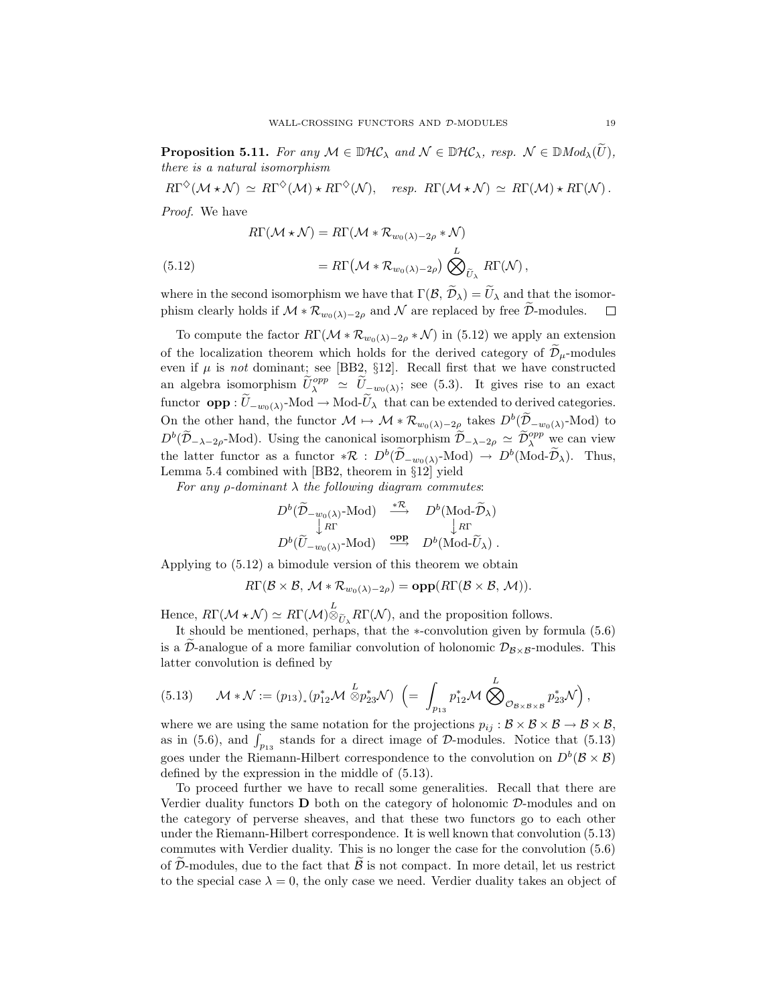**Proposition 5.11.** For any  $M \in \mathbb{D}\mathcal{HC}_\lambda$  and  $\mathcal{N} \in \mathbb{D}\mathcal{HC}_\lambda$ , resp.  $\mathcal{N} \in \mathbb{D}\text{Mod}_\lambda(U)$ *, there is a natural isomorphism*

 $R\Gamma^{\diamond}(M \star \mathcal{N}) \simeq R\Gamma^{\diamond}(M) \star R\Gamma^{\diamond}(N)$ , *resp.*  $R\Gamma(M \star \mathcal{N}) \simeq R\Gamma(M) \star R\Gamma(N)$ . *Proof.* We have J.

Proof. We have  
\n
$$
R\Gamma(\mathcal{M} * \mathcal{N}) = R\Gamma(\mathcal{M} * \mathcal{R}_{w_0(\lambda) - 2\rho} * \mathcal{N})
$$
\n
$$
(5.12) = R\Gamma(\mathcal{M} * \mathcal{R}_{w_0(\lambda) - 2\rho}) \bigotimes_{\tilde{U}_{\lambda}}^{L} R\Gamma(\mathcal{N}),
$$

where in the second isomorphism we have that  $\Gamma(\mathcal{B}, \tilde{\mathcal{D}}_{\lambda}) = \tilde{U}_{\lambda}$  and that the isomor-(5.12)  $= R\Gamma\left(\mathcal{M} * \mathcal{R}_{w_0(\lambda)-2\rho}\right) \bigotimes_{\widetilde{U}_\lambda}^L R\Gamma(\mathcal{N}),$ <br>where in the second isomorphism we have that  $\Gamma(\mathcal{B}, \widetilde{\mathcal{D}}_\lambda) = \widetilde{U}_\lambda$  and that the iso<br>phism clearly holds if  $\mathcal{M} * \mathcal{R}_{w_0(\lambda)-2\rho}$  and  $\mathcal{$ 

To compute the factor  $R\Gamma(\mathcal{M} * \mathcal{R}_{w_0(\lambda)-2\rho} * \mathcal{N})$  in (5.12) we apply an extension of the localization theorem which holds for the derived category of  $\tilde{\mathcal{D}}_{\mu}$ -modules where in the second isomorphism we have that  $\Gamma(\mathcal{B}, \mathcal{D}_\lambda) = U_\lambda$  and that the isomorphism clearly holds if  $\mathcal{M} * \mathcal{R}_{w_0(\lambda)-2\rho}$  and  $\mathcal N$  are replaced by free  $\widetilde{\mathcal{D}}$ -modules.  $\Box$ <br>To compute the factor  $R\$ even if  $\mu$  is *not* dominant; see [BB2,  $\S12$ ]. Recall first that we have constructed To compute the factor  $R\Gamma(\mathcal{M} * \mathcal{R}_{w_0(\lambda)-2\rho} * \mathcal{N})$  in (5.12) we apply an extension<br>of the localization theorem which holds for the derived category of  $\widetilde{\mathcal{D}}_{\mu}$ -modules<br>even if  $\mu$  is *not* dominant; see [B function of the localization theorem which holds for the derived category of  $\tilde{\mathcal{D}}_{\mu}$ -modules<br>even if  $\mu$  is *not* dominant; see [BB2, §12]. Recall first that we have constructed<br>an algebra isomorphism  $\tilde{U}_{\lambda}^{$ or the *v* is *not* dominant; see [BB2, §12]. Recall first that we have constructed an algebra isomorphism  $\tilde{U}_{\lambda}^{opp} \simeq \tilde{U}_{-w_0(\lambda)}$ ; see (5.3). It gives rise to an exact functor **opp** :  $\tilde{U}_{-w_0(\lambda)}$ -Mod → Modan algebra isomorphism  $\widetilde{U}_{\lambda}^{opp} \simeq \widetilde{U}_{-w_0(\lambda)}$ ; see (5.3). It gives rise to an exact functor **opp** :  $\widetilde{U}_{-w_0(\lambda)}$ -Mod → Mod- $\widetilde{U}_{\lambda}$  that can be extended to derived categories.  $D^b(\widetilde{\mathcal{D}}_{-\lambda-2\rho}Mod)$ . Using the canonical isomorphism  $\widetilde{\mathcal{D}}_{-\lambda-2\rho}\simeq \widetilde{\mathcal{D}}_{\lambda}^{opp}$  we can view On the other hand, the functor  $\mathcal{M} \rightarrow \mathcal{M} * \mathcal{R}_{w_0(\lambda)-2\rho}$  takes  $D^b(\widetilde{\mathcal{D}}_{-w_0(\lambda)}$ -Mod) to Lemma 5.4 combined with [BB2, theorem in  $\S 12$ ] yield  $\mathbb{R}$  is D<sup>b</sup>( $\widetilde{D}_{-w_0(\lambda)}$ -Mod) →<br>  $\mathbb{R}$  with [BB2, theorem in §12] yield<br>  $m \lambda$  *the following diagram commutes:*<br>  $D^b(\widetilde{D}_{-w_0(\lambda)}$ -Mod)  $\xrightarrow{\ast R} D^b(\text{Mod-}\widetilde{D}_{\lambda})$ 

For any 
$$
\rho
$$
-dominant  $\lambda$  the following diagram commutes:  
\n $D^b(\widetilde{D}_{-w_0(\lambda)}\text{-Mod}) \xrightarrow{\ast \mathcal{R}} D^b(\text{Mod-}\widetilde{D}_{\lambda})$   
\n $\downarrow R\Gamma$   
\n $D^b(\widetilde{U}_{-w_0(\lambda)}\text{-Mod}) \xrightarrow{\text{opp}} D^b(\text{Mod-}\widetilde{U}_{\lambda})$ .

Applying to (5.12) a bimodule version of this theorem we obtain

$$
R\Gamma(\mathcal{B}\times\mathcal{B},\,\mathcal{M}\ast\mathcal{R}_{w_0(\lambda)-2\rho})=\text{opp}(R\Gamma(\mathcal{B}\times\mathcal{B},\,\mathcal{M})).
$$

Hence,  $R\Gamma(\mathcal{M} * \mathcal{N}) \simeq R\Gamma(\mathcal{M})_{\otimes}^L$  $\ddot{\phantom{0}}$ 

 $R\Gamma(\mathcal{B}\times\mathcal{B}, \mathcal{M}*\mathcal{R}_{w_0(\lambda)-2\rho}) = \text{opp}(R\Gamma(\mathcal{B}\times\mathcal{B}, \mathcal{M})).$ <br>
Hence,  $R\Gamma(\mathcal{M}*\mathcal{N}) \simeq R\Gamma(\mathcal{M})_{\otimes \tilde{U}_{\lambda}}^L R\Gamma(\mathcal{N}),$  and the proposition follows.<br>
It should be mentioned, perhaps, that the  $*$ -convolution It should be mentioned, perhaps, that the *\**-convolution given by formula  $(5.6)$ latter convolution is defined by is a  $\widetilde{\mathcal{D}}$ -analogue of a more familiar convolution of holonomic  $\mathcal{D}_{\mathcal{B}\times\mathcal{B}}$ -modules. This

(5.13) 
$$
\mathcal{M} * \mathcal{N} := (p_{13})_*(p_{12}^* \mathcal{M} \overset{L}{\otimes} p_{23}^* \mathcal{N}) \left(= \int_{p_{13}} p_{12}^* \mathcal{M} \overset{L}{\bigotimes}_{\mathcal{O}_{\mathcal{B} \times \mathcal{B} \times \mathcal{B}}} p_{23}^* \mathcal{N} \right),
$$
  
where we are using the same notation for the projections  $p_{ij} : \mathcal{B} \times \mathcal{B} \times \mathcal{B} \to \mathcal{B} \times \mathcal{B}$ ,  
as in (5.6), and  $\int_{p_{13}}$  stands for a direct image of  $\mathcal{D}$ -modules. Notice that (5.13)

where we are using the same notation for the projections  $p_{ij}: \mathcal{B} \times \mathcal{B} \times \mathcal{B} \to \mathcal{B} \times \mathcal{B}$ , goes under the Riemann-Hilbert correspondence to the convolution on  $D^b(\mathcal{B}\times\mathcal{B})$ defined by the expression in the middle of (5.13).

To proceed further we have to recall some generalities. Recall that there are Verdier duality functors **D** both on the category of holonomic *D*-modules and on the category of perverse sheaves, and that these two functors go to each other under the Riemann-Hilbert correspondence. It is well known that convolution (5.13) commutes with Verdier duality. This is no longer the case for the convolution (5.6) of  $\widetilde{\mathcal{D}}$ -modules, due to the fact that  $\widetilde{\mathcal{B}}$  is not compact. In more detail, let us restrict to the special case  $\lambda = 0$ , the only case we need. Verdier duality takes an object of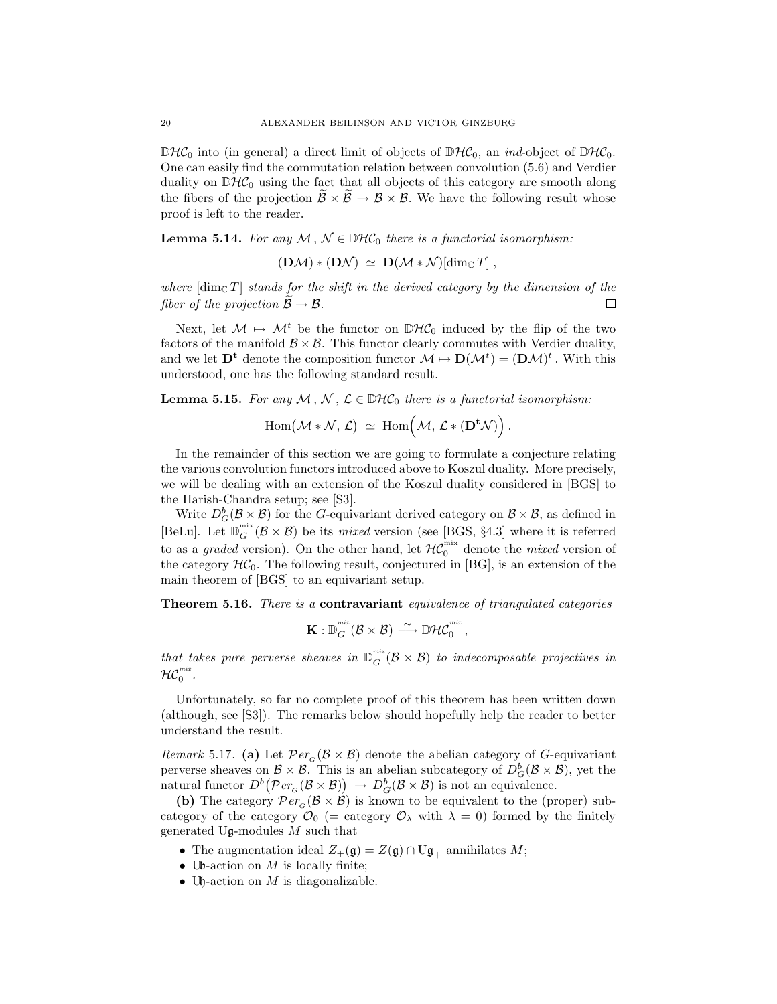$\mathbb{D}\mathcal{HC}_0$  into (in general) a direct limit of objects of  $\mathbb{D}\mathcal{HC}_0$ , an *ind*-object of  $\mathbb{D}\mathcal{HC}_0$ . One can easily find the commutation relation between convolution (5.6) and Verdier duality on  $\mathbb{D}\mathcal{HC}_0$  using the fact that all objects of this category are smooth along the fibers of the projection  $\widetilde{\mathcal{B}} \times \widetilde{\mathcal{B}} \to \mathcal{B} \times \mathcal{B}$ . We have the following result whose proof is left to the reader.

**Lemma 5.14.** *For any*  $M, N \in \mathbb{D}$ *HC*<sub>0</sub> *there is a functorial isomorphism:* 

$$
(\mathbf{D}\mathcal{M})*(\mathbf{D}\mathcal{N}) \ \simeq \ \mathbf{D}(\mathcal{M}*\mathcal{N})[\dim_{\mathbb{C}}T] \ ,
$$

**(D***M*)  $*$ <br>*where*  $[\dim_{\mathbb{C}} T]$  *stands for the fiber of the projection*  $\widetilde{B} \rightarrow B$ . *where*  $\dim_{\mathbb{C}} T$  *stands for the shift in the derived category by the dimension of the*  $\Box$ 

Next, let  $M \mapsto M^t$  be the functor on  $\mathbb{D}H\mathcal{C}_0$  induced by the flip of the two factors of the manifold  $\mathcal{B} \times \mathcal{B}$ . This functor clearly commutes with Verdier duality, and we let  $\mathbf{D}^{\mathbf{t}}$  denote the composition functor  $\mathcal{M} \mapsto \mathbf{D}(\mathcal{M}^t) = (\mathbf{D}\mathcal{M})^t$ . With this understood, one has the following standard result.<br> **Lemma 5.15.** For any  $\mathcal{M}, \mathcal{N}, \mathcal{L} \in \mathbb{D}\mathcal{H}\mathcal{C}_$ understood, one has the following standard result. bte the<br>us the<br>r any<br>Hom(

**Lemma 5.15.** For any  $M, N, \mathcal{L} \in \mathbb{D}$ H $\mathcal{C}_0$  there is a functorial isomorphism:

$$
\operatorname{Hom} \bigl( {\mathcal M} * {\mathcal N} , \, {\mathcal L} \bigr) \ \simeq \ \operatorname{Hom} \bigl( {\mathcal M} , \, {\mathcal L} * ( {\mathbf D}^{\mathbf t} {\mathcal N} ) \bigr) \, .
$$

In the remainder of this section we are going to formulate a conjecture relating the various convolution functors introduced above to Koszul duality. More precisely, we will be dealing with an extension of the Koszul duality considered in [BGS] to the Harish-Chandra setup; see [S3].

Write  $D_G^b(\mathcal{B}\times\mathcal{B})$  for the *G*-equivariant derived category on  $\mathcal{B}\times\mathcal{B}$ , as defined in [BeLu]. Let  $\mathbb{D}_G^{\text{mix}}(\mathcal{B} \times \mathcal{B})$  be its *mixed* version (see [BGS, §4.3] where it is referred to as a *graded* version). On the other hand, let  $H\mathcal{C}_0^{\text{mix}}$  denote the *mixed* version of the category  $H\mathcal{C}_0$ . The following result, conjectured in [BG], is an extension of the main theorem of [BGS] to an equivariant setup.

**Theorem 5.16.** *There is a* **contravariant** *equivalence of triangulated categories*

$$
\mathbf{K}: \mathbb{D}_G^{\tiny{mix}}(\mathcal{B}\times \mathcal{B})\stackrel{\sim}{\longrightarrow} \mathbb{D}\mathcal{H}\mathcal{C}_0^{\tiny{mix}}\,,
$$

*that takes pure perverse sheaves in*  $\mathbb{D}_G^{mix}(\mathcal{B} \times \mathcal{B})$  *to indecomposable projectives in*  $\mathcal{HC}_0^{mix}$  .

Unfortunately, so far no complete proof of this theorem has been written down (although, see [S3]). The remarks below should hopefully help the reader to better understand the result.

*Remark* 5.17. (a) Let  $Per_G(\mathcal{B} \times \mathcal{B})$  denote the abelian category of G-equivariant perverse sheaves on  $\mathcal{B} \times \mathcal{B}$ . This is an abelian subcategory of  $D_G^b(\mathcal{B} \times \mathcal{B})$ , yet the natural functor  $D^b(Per_G(\mathcal{B}\times\mathcal{B})) \to D^b_G(\mathcal{B}\times\mathcal{B})$  is not an equivalence.

**(b)** The category  $Per_G(\mathcal{B} \times \mathcal{B})$  is known to be equivalent to the (proper) subcategory of the category  $\mathcal{O}_0$  (= category  $\mathcal{O}_\lambda$  with  $\lambda = 0$ ) formed by the finitely generated U $\mathfrak{g}$ -modules M such that

- The augmentation ideal  $Z_+(\mathfrak{g}) = Z(\mathfrak{g}) \cap U\mathfrak{g}_+$  annihilates  $M$ ;
- Ub-action on M is locally finite;
- Uh-action on M is diagonalizable.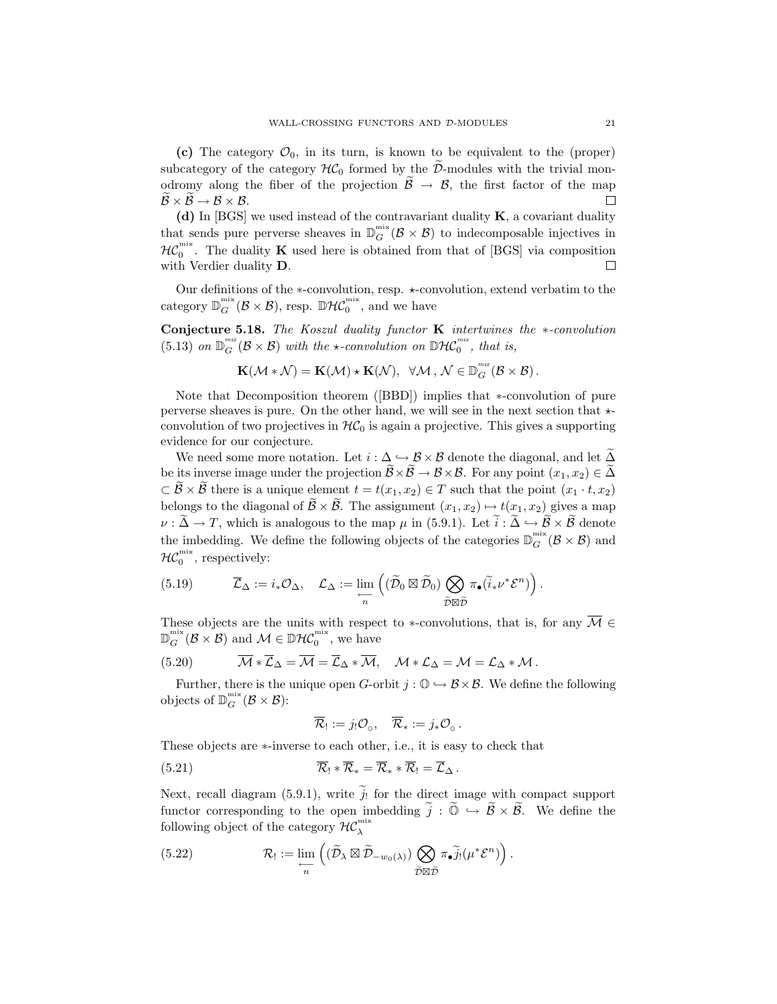oder wall-CROSSING FUNCTORS AND D-MODULES (c) The category  $\mathcal{O}_0$ , in its turn, is known to be equivalent to the (proper) subcategory of the category  $\mathcal{H}\mathcal{C}_0$  formed by the  $\tilde{\mathcal{D}}$ -modules with the trivial mo **(c)** The cate subcategory of the odromy along to  $\widetilde{\mathcal{B}} \times \widetilde{\mathcal{B}} \to \mathcal{B} \times \mathcal{B}$ . (c) The category  $\mathcal{O}_0$ , in its turn, is known to be equivalent to the (proper) subcategory of the category  $H\mathcal{C}_0$  formed by the  $\widetilde{\mathcal{D}}$ -modules with the trivial mon- $\Box$ 

**(d)** In [BGS] we used instead of the contravariant duality **K**, a covariant duality that sends pure perverse sheaves in  $\mathbb{D}_G^{\text{mix}}(\mathcal{B}\times\mathcal{B})$  to indecomposable injectives in  $H\mathcal{C}_0^{\text{mix}}$ . The duality **K** used here is obtained from that of [BGS] via composition with Verdier duality **D**.  $\Box$ 

Our definitions of the *∗*-convolution, resp. *∗*-convolution, extend verbatim to the category  $\mathbb{D}_G^{\text{mix}}(\mathcal{B}\times\mathcal{B})$ , resp.  $\mathbb{D}\mathcal{HC}_0^{\text{mix}}$ , and we have

**Conjecture 5.18.** *The Koszul duality functor* **K** *intertwines the ∗-convolution* (5.13) *on*  $\mathbb{D}_G^{mix}(\mathcal{B}\times\mathcal{B})$  *with the*  $\star$ -convolution on  $\mathbb{D}\mathcal{HC}_0^{mix}$ *, that is,* 

$$
\mathbf{K}(\mathcal{M} * \mathcal{N}) = \mathbf{K}(\mathcal{M}) * \mathbf{K}(\mathcal{N}), \quad \forall \mathcal{M} \, , \, \mathcal{N} \in \mathbb{D}_G^{^{\textit{mix}}}(\mathcal{B} \times \mathcal{B}) \, .
$$

Note that Decomposition theorem ([BBD]) implies that *∗*-convolution of pure perverse sheaves is pure. On the other hand, we will see in the next section that  $\star$ convolution of two projectives in  $H\mathcal{C}_0$  is again a projective. This gives a supporting evidence for our conjecture. Note that Decomposition theorem ([BBD]) implies that  $*$ -convolution of pure rverse sheaves is pure. On the other hand, we will see in the next section that  $*$ -<br>nvolution of two projectives in  $\mathcal{HC}_0$  is again a projec be perverse sheaves is pure. On the other hand, we will see in the next section that  $\star$ -convolution of two projectives in  $\mathcal{HC}_0$  is again a projective. This gives a supporting evidence for our conjecture.<br>We need som

*CONVOLUTION* or *CONVOLUTION* or *EVO* projectives in  $\pi L_0$  is again a projective. This gives a supporting evidence for our conjecture.<br>
We need some more notation. Let  $i : \Delta \hookrightarrow \mathcal{B} \times \mathcal{B}$  denote the diagonal, and We need some more notation. Let  $i : \Delta \hookrightarrow \mathcal{B} \times \mathcal{B}$  denote the diagonal, and let  $\widetilde{\Delta}$ <br>be its inverse image under the projection  $\widetilde{\mathcal{B}} \times \widetilde{\mathcal{B}} \to \mathcal{B} \times \mathcal{B}$ . For any point  $(x_1, x_2) \in \widetilde{\Delta}$ <br> $\subset \widetilde{\$ be its inverse image under the projection  $\widetilde{\mathcal{B}} \times \widetilde{\mathcal{B}} \to \mathcal{B} \times \mathcal{B}$ . For any point  $(x_1, x_2) \in \widetilde{\Delta}$ <br>  $\subset \widetilde{\mathcal{B}} \times \widetilde{\mathcal{B}}$  there is a unique element  $t = t(x_1, x_2) \in T$  such that the point  $(x_1 \cdot t, x_$ the imbedding. We define the following objects of the categories  $\mathbb{D}_G^{\min}(\mathcal{B}\times\mathcal{B})$  and  $H C_0^{\text{mix}}$ , respectively:  $\mu$  in (5.9.1). Let  $i : \Delta \subseteq$ <br>objects of the categories  $\mathbb{D}$ <br> $(\widetilde{\mathcal{D}}_0 \boxtimes \widetilde{\mathcal{D}}_0) \bigotimes \pi_{\bullet}(\widetilde{i}_*\nu^*\mathcal{E}^n)$ 

(5.19) 
$$
\overline{\mathcal{L}}_{\Delta} := i_{*}\mathcal{O}_{\Delta}, \quad \mathcal{L}_{\Delta} := \lim_{\substack{\longleftarrow \\ n}} \left( (\widetilde{\mathcal{D}}_{0} \boxtimes \widetilde{\mathcal{D}}_{0}) \bigotimes_{\widetilde{\mathcal{D}} \boxtimes \widetilde{\mathcal{D}}} \pi_{\bullet}(\widetilde{i}_{*}\nu^{*}\mathcal{E}^{n}) \right).
$$

These objects are the units with respect to *\**-convolutions, that is, for any  $\overline{\mathcal{M}}$  ∈  $\mathbb{D}_G^{\text{mix}}(\mathcal{B} \times \mathcal{B})$  and  $\mathcal{M} \in \mathbb{D}\mathcal{H}\mathcal{C}_0^{\text{mix}}$ , we have

(5.20) 
$$
\overline{\mathcal{M}} * \overline{\mathcal{L}}_{\Delta} = \overline{\mathcal{M}} = \overline{\mathcal{L}}_{\Delta} * \overline{\mathcal{M}}, \quad \mathcal{M} * \mathcal{L}_{\Delta} = \mathcal{M} = \mathcal{L}_{\Delta} * \mathcal{M}.
$$

Further, there is the unique open  $G$ -orbit  $j : \mathbb{O} \hookrightarrow \mathcal{B} \times \mathcal{B}$ . We define the following objects of  $\mathbb{D}_G^{\text{mix}}(\mathcal{B} \times \mathcal{B})$ :

$$
\overline{\mathcal{R}}_! := j_! \mathcal{O}_0, \quad \overline{\mathcal{R}}_* := j_* \mathcal{O}_0.
$$

These objects are *∗*-inverse to each other, i.e., it is easy to check that

These objects are \*-inverse to each other, i.e., it is easy to check that  
(5.21) 
$$
\overline{\mathcal{R}}_1 * \overline{\mathcal{R}}_* = \overline{\mathcal{R}}_* * \overline{\mathcal{R}}_! = \overline{\mathcal{L}}_{\Delta}.
$$
 Next, recall diagram (5.9.1), write  $\tilde{j}_!$  for the direct image with compact support

functor corresponding to the open imbedding  $\tilde{j}$ :  $\tilde{\mathbb{O}} \hookrightarrow \tilde{\mathbb{B}} \times \tilde{\mathbb{B}}$ . We define the open imbedding  $\tilde{j}$ :  $\tilde{\mathbb{O}} \hookrightarrow \tilde{\mathbb{B}} \times \tilde{\mathbb{B}}$ . We define the following object of the category  $\mathcal{HC}_{\lambda}^{\text{mix}}$ write  $j_!$  for the direct image w<br>
open imbedding  $\tilde{j} : \tilde{\mathbb{O}} \hookrightarrow \tilde{\mathcal{B}}$ <br>  $(\tilde{\mathcal{D}}_{\lambda} \boxtimes \tilde{\mathcal{D}}_{-w_0(\lambda)}) \bigotimes \pi_{\bullet} \tilde{j}_! (\mu^* \mathcal{E}^n)$ 

(5.22) 
$$
\mathcal{R}_! := \lim_{\substack{\longleftarrow \\ n}} \left( (\widetilde{\mathcal{D}}_{\lambda} \boxtimes \widetilde{\mathcal{D}}_{-w_0(\lambda)}) \bigotimes_{\widetilde{\mathcal{D}} \boxtimes \widetilde{\mathcal{D}}} \pi_{\bullet} \widetilde{j}_! (\mu^* \mathcal{E}^n) \right).
$$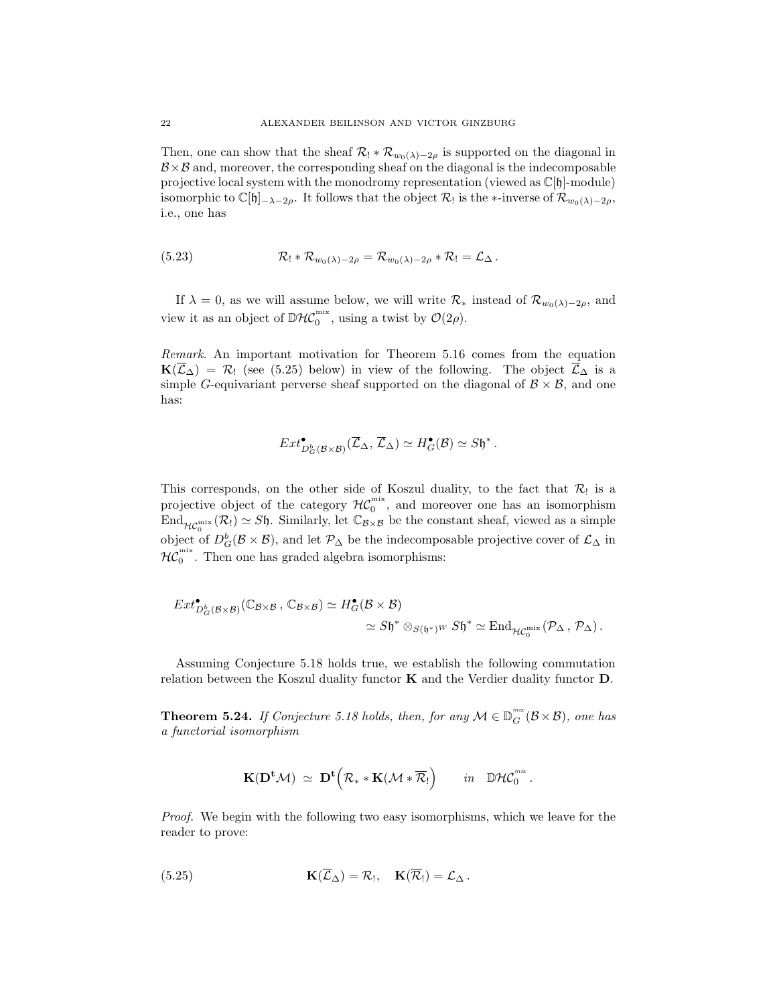Then, one can show that the sheaf  $\mathcal{R}_! * \mathcal{R}_{w_0(\lambda)-2\rho}$  is supported on the diagonal in  $B \times B$  and, moreover, the corresponding sheaf on the diagonal is the indecomposable projective local system with the monodromy representation (viewed as  $\mathbb{C}[\mathfrak{h}]$ -module) isomorphic to  $\mathbb{C}[\mathfrak{h}]_{-\lambda-2\rho}$ . It follows that the object  $\mathcal{R}_!$  is the *∗*-inverse of  $\mathcal{R}_{w_0(\lambda)-2\rho}$ , i.e., one has

(5.23) 
$$
\mathcal{R}_1 * \mathcal{R}_{w_0(\lambda)-2\rho} = \mathcal{R}_{w_0(\lambda)-2\rho} * \mathcal{R}_1 = \mathcal{L}_{\Delta}
$$

If  $\lambda = 0$ , as we will assume below, we will write  $\mathcal{R}_*$  instead of  $\mathcal{R}_{w_0(\lambda)-2\rho}$ , and view it as an object of  $\mathbb{D}\mathcal{HC}_0^{\text{mix}}$ , using a twist by  $\mathcal{O}(2\rho)$ .

*Remark.* An important motivation for Theorem 5.16 comes from the equation **K**( $\overline{\mathcal{L}}_{\Delta}$ ) =  $\mathcal{R}_{\Delta}$  (see (5.25) below) in view of the following. The object  $\overline{\mathcal{L}}_{\Delta}$  is a simple G-equivariant perverse sheaf supported on the diagonal of  $\mathcal{B} \times \mathcal{B}$ , and one has:

$$
Ext^{\bullet} _{D^b_G({\mathcal B} \times {\mathcal B} )}(\overline {\mathcal L}_\Delta,\overline {\mathcal L}_\Delta) \simeq H^{\bullet}_G({\mathcal B}) \simeq S\mathfrak{h}^*.
$$

This corresponds, on the other side of Koszul duality, to the fact that  $\mathcal{R}_!$  is a projective object of the category  $\mathcal{HC}_0^{\text{mix}}$ , and moreover one has an isomorphism  $\text{End}_{\mathcal{HC}_0^{\text{mix}}}(R_!) \simeq S\mathfrak{h}.$  Similarly, let  $\mathbb{C}_{\mathcal{B}\times\mathcal{B}}$  be the constant sheaf, viewed as a simple object of  $D_G^b(\mathcal{B}\times\mathcal{B})$ , and let  $\mathcal{P}_\Delta$  be the indecomposable projective cover of  $\mathcal{L}_\Delta$  in  $H\mathcal{C}_0^{\text{mix}}$ . Then one has graded algebra isomorphisms:

$$
Ext^{\bullet} _{D^b_G(\mathcal{B} \times \mathcal{B})}(\mathbb{C}_{\mathcal{B} \times \mathcal{B}}, \mathbb{C}_{\mathcal{B} \times \mathcal{B}}) \simeq H^{\bullet}_G(\mathcal{B} \times \mathcal{B}) \simeq S\mathfrak{h}^* \otimes_{S(\mathfrak{h}^*)^W} S\mathfrak{h}^* \simeq \text{End}_{\mathcal{HC}_0^{\text{mix}}}(\mathcal{P}_{\Delta}, \mathcal{P}_{\Delta}).
$$

Assuming Conjecture 5.18 holds true, we establish the following commutation relation between the Koszul duality functor **K** and the Verdier duality functor **D**.

**Theorem 5.24.** *If Conjecture 5.18 holds, then, for any*  $M \in \mathbb{D}_G^{mix}(\mathcal{B} \times \mathcal{B})$ *, one has a functorial isomorphism*

$$
\mathbf{K}(\mathbf{D}^{\mathbf{t}}\mathcal{M})\;\simeq\;\mathbf{D}^{\mathbf{t}}\Big(\mathcal{R}_\ast\ast\mathbf{K}(\mathcal{M}\ast\overline{\mathcal{R}}_! \Big)\qquad\text{in}\quad\mathbb{D}\mathcal{H}\mathcal{C}_0^\text{mix}\,.
$$

*Proof.* We begin with the following two easy isomorphisms, which we leave for the reader to prove:

(5.25) 
$$
\mathbf{K}(\overline{\mathcal{L}}_{\Delta}) = \mathcal{R}_{1}, \quad \mathbf{K}(\overline{\mathcal{R}}_{1}) = \mathcal{L}_{\Delta}.
$$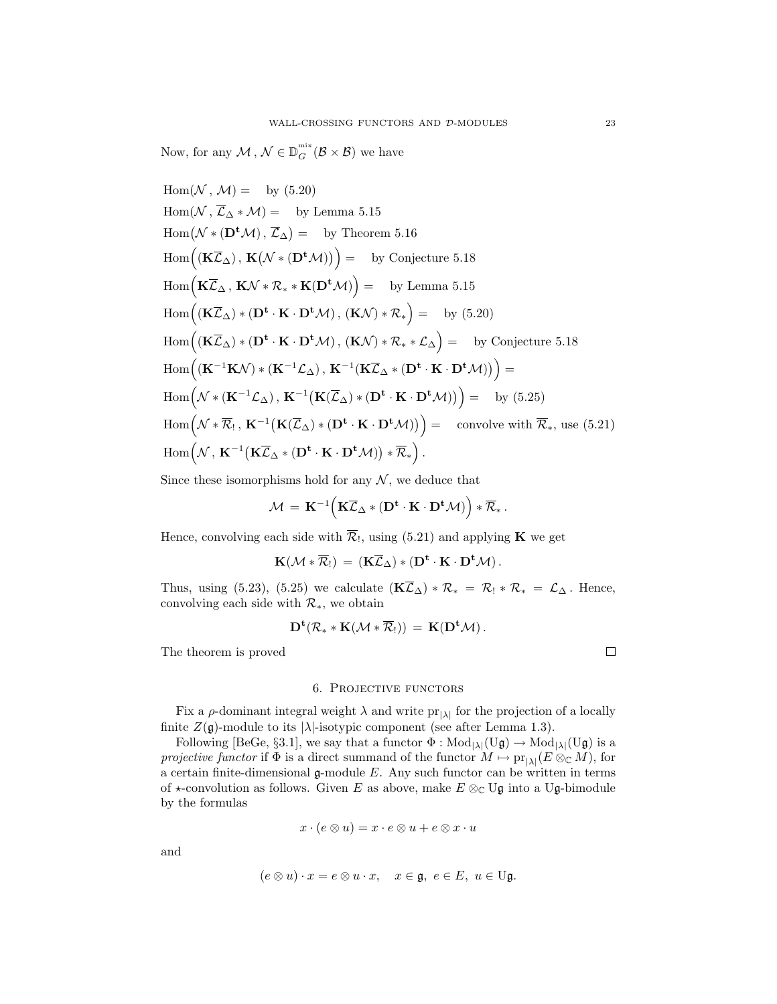Now, for any  $\mathcal{M}, \mathcal{N} \in \mathbb{D}_G^{\min}(\mathcal{B} \times \mathcal{B})$  we have

 $Hom(\mathcal{N}, \mathcal{M}) = \text{by (5.20)}$ Hom( $N$ ,  $\mathcal{L}_{\Delta} * \mathcal{M}$ ) = by Lemma 5.15 Hom( $N$ ,  $M$ ) = by (5.20)<br>
Hom( $N$ ,  $\overline{L}_{\Delta} * M$ ) = by Lemma 5.15<br>
Hom( $N * (\mathbf{D}^{\mathbf{t}} M)$ ,  $\overline{L}_{\Delta}$ ) = by Theorem 5.16 Hom( $\mathcal{N}$ ,  $\mathcal{M}$ ) = by (5.20)<br>
Hom( $\mathcal{N}$ ,  $\overline{\mathcal{L}}_{\Delta} * \mathcal{M}$ ) = by Lemma 5.15<br>
Hom( $\mathcal{N} * (\mathbf{D}^{\mathbf{t}} \mathcal{M})$ ,  $\overline{\mathcal{L}}_{\Delta}$ ) = by Theorem 5.16<br>
Hom(( $\mathbf{K}\overline{\mathcal{L}}_{\Delta}$ ),  $\mathbf{K}(\mathcal{N} * (\mathbf{D}^{\mathbf{t}} \mathcal{$  $\text{Hom}(\mathcal{N} \times (\mathbf{D}^{\mathbf{t}} \mathcal{M}), \overline{\mathcal{L}}_{\Delta}) = \text{ by Theorem 5.16}$ <br>  $\text{Hom}((\mathbf{K}\overline{\mathcal{L}}_{\Delta}), \mathbf{K}(\mathcal{N} \times (\mathbf{D}^{\mathbf{t}} \mathcal{M}))\big) = \text{ by Conjecture 5.18}$ <br>  $\text{Hom}(\mathbf{K}\overline{\mathcal{L}}_{\Delta}, \mathbf{K}\mathcal{N} \times \mathcal{R}_{*} \times \mathbf{K}(\mathbf{D}^{\mathbf{t}} \mathcal{M})) = \text{by Lemma 5.$ Hom (<br>Hom (<br>Hom (  $(\mathbf{K}\overline{\mathcal{L}}_{\Delta}) * (\mathbf{D}^{\mathbf{t}} \cdot \mathbf{K} \cdot \mathbf{D}^{\mathbf{t}}\mathcal{M}), (\mathbf{K}\mathcal{N}) * \mathcal{R}_*$  = by (5.20) Hom (<br>Hom (<br>Hom (  $(\mathbf{K}\overline{\mathcal{L}}_{\Delta}) * (\mathbf{D}^{\mathbf{t}} \cdot \mathbf{K} \cdot \mathbf{D}^{\mathbf{t}}\mathcal{M}), (\mathbf{K}\mathcal{N}) * \mathcal{R}_* * \mathcal{L}_{\Delta}\big) = \text{ by Conjecture } 5.18$  $\mathrm{Hom} \left( (\mathbf{K} \overline{\mathcal{L}}_{\Delta}) * (\mathbf{D}^{\mathbf{t}} \cdot \mathbf{K} \cdot \mathbf{D}^{\mathbf{t}} \mathcal{M}), (\mathbf{K} \mathcal{N}) * \mathcal{R}_* \right) = \quad \text{by (5.20)}$ <br>  $\mathrm{Hom} \Big( (\mathbf{K} \overline{\mathcal{L}}_{\Delta}) * (\mathbf{D}^{\mathbf{t}} \cdot \mathbf{K} \cdot \mathbf{D}^{\mathbf{t}} \mathcal{M}), (\mathbf{K} \mathcal{N}) * \mathcal{R}_* * \mathcal{L}_{\Delta} \Big) = \quad \text{by$  $\left(\mathbf{K}^{-1}\mathbf{K}\mathcal{N}\right) * \left(\mathbf{K}^{-1}\mathcal{L}_{\Delta}\right), \ \mathbf{K}^{-1}\left(\mathbf{K}\overline{\mathcal{L}}_{\Delta} * \left(\mathbf{D}^{\mathbf{t}} \cdot \mathbf{K} \cdot \mathbf{D}^{\mathbf{t}}\mathcal{M}\right)\right)\right) =$  $\text{Hom}\Big((\mathbf{K}\overline{\mathcal{L}}_{\Delta})\ast(\mathbf{D^t\cdot K}\cdot\mathbf{D^t})\ \text{Hom}\Big((\mathbf{K}^{-1}\mathbf{K}\mathcal{N})\ast(\mathbf{K}^{-1}\mathcal{L}_{\Delta})\Big)\ \text{Hom}\Big(\mathcal{N}\ast(\mathbf{K}^{-1}\mathcal{L}_{\Delta}),\ \mathbf{K}^{-1}\Big).$  $\mathbf{K}(\overline{\mathcal{L}}_{\Delta}) * (\mathbf{D}^{\mathbf{t}} \cdot \mathbf{K} \cdot \mathbf{D}^{\mathbf{t}} \mathcal{M})) = \text{by (5.25)}$  $\mathrm{Hom} \Big( (\mathbf{K}^{-1} \mathbf{K} \mathcal{N}) * (\mathbf{I} \ \mathrm{Hom} \Big( \mathcal{N} * (\mathbf{K}^{-1} \mathcal{L}_\Delta) \Big) \ \mathrm{Hom} \Big( \mathcal{N} * \overline{\mathcal{R}}_! \, , \, \mathbf{K}^{-1} \Big( \Big)$  $\mathbf{K}(\overline{\mathcal{L}}_{\Delta}) * (\mathbf{D}^{\mathbf{t}} \cdot \mathbf{K} \cdot \mathbf{D}^{\mathbf{t}} \mathcal{M}))$  = convolve with  $\overline{\mathcal{R}}_*$ , use (5.21)  $\ddot{\phantom{0}}$  $\text{Hom}\Big(\mathcal{N}*(\mathbf{K}^{-1}\mathcal{L}_{\Delta})\,,\,\mathbf{K}^{-1}\big(\mathbf{K}(\overline{\mathcal{L}}_{\Delta})*(\mathbf{D^t}\cdot\mathbf{K}\cdot\mathbf{D^t})\ \text{Hom}\Big(\mathcal{N}*\overline{\mathcal{R}}_!\,,\,\mathbf{K}^{-1}\big(\mathbf{K}(\overline{\mathcal{L}}_{\Delta})*(\mathbf{D^t}\cdot\mathbf{K}\cdot\mathbf{D^t}\mathcal{M})\big)\ \text{Hom}\Big(\mathcal{N}\,,\,\mathbf{K}^{-1}\big(\mathbf{K}\overline{\mathcal{L}}_{\Delta}*(\math$  $\mathbf{K}\overline{\mathcal{L}}_{\Delta}\ast\left(\mathbf{D}^{\mathbf{t}}\cdot\mathbf{K}\cdot\mathbf{D}^{\mathbf{t}}\mathcal{M}\right)\right)\ast\overline{\mathcal{R}}_{*}\bigg)\,.$ 

Since these isomorphisms hold for any  $N$ , we deduce that

$$
\mathcal{M} = \mathbf{K}^{-1} \Big( \mathbf{K} \overline{\mathcal{L}}_{\Delta} * (\mathbf{D}^{\mathbf{t}} \cdot \mathbf{K} \cdot \mathbf{D}^{\mathbf{t}} \mathcal{M}) \Big) * \overline{\mathcal{R}}_*.
$$

Hence, convolving each side with  $\overline{\mathcal{R}}_1$ , using (5.21) and applying **K** we get

$$
\mathbf{K}({\mathcal M}\ast\overline{\mathcal R}_!)\,=\,(\mathbf{K}\overline{\mathcal L}_\Delta)\ast(\mathbf{D}^{\mathbf{t}}\cdot\mathbf{K}\cdot\mathbf{D}^{\mathbf{t}}{\mathcal M})\,.
$$

Thus, using (5.23), (5.25) we calculate  $(\mathbf{K}\bar{\mathcal{L}}_{\Delta}) * \mathcal{R}_* = \mathcal{R}_1 * \mathcal{R}_* = \mathcal{L}_{\Delta}$ . Hence, convolving each side with *R∗*, we obtain

$$
\mathbf{D^t}({\mathcal R}_**\mathbf{K}({\mathcal M}\ast\overline{\mathcal R}_!))\,=\,\mathbf{K}(\mathbf{D^t}{\mathcal M})\,.
$$

The theorem is proved

## 6. Projective functors

Fix a  $\rho$ -dominant integral weight  $\lambda$  and write  $pr_{|\lambda|}$  for the projection of a locally finite  $Z(\mathfrak{g})$ -module to its  $|\lambda|$ -isotypic component (see after Lemma 1.3).

Following [BeGe, §3.1], we say that a functor  $\Phi : Mod_{|\lambda|}(U\mathfrak{g}) \to Mod_{|\lambda|}(U\mathfrak{g})$  is a *projective functor* if  $\Phi$  is a direct summand of the functor  $M \mapsto \text{pr}_{|\lambda|}(E \otimes_{\mathbb{C}} M)$ , for a certain finite-dimensional  $\mathfrak g$ -module E. Any such functor can be written in terms of  $\star$ -convolution as follows. Given E as above, make  $E \otimes_{\mathbb{C}} \mathbb{U} \mathfrak{g}$  into a Ug-bimodule by the formulas

$$
x \cdot (e \otimes u) = x \cdot e \otimes u + e \otimes x \cdot u
$$

and

$$
(e\otimes u)\cdot x = e\otimes u\cdot x, \quad x\in \mathfrak{g},\ e\in E,\ u\in U\mathfrak{g}.
$$

口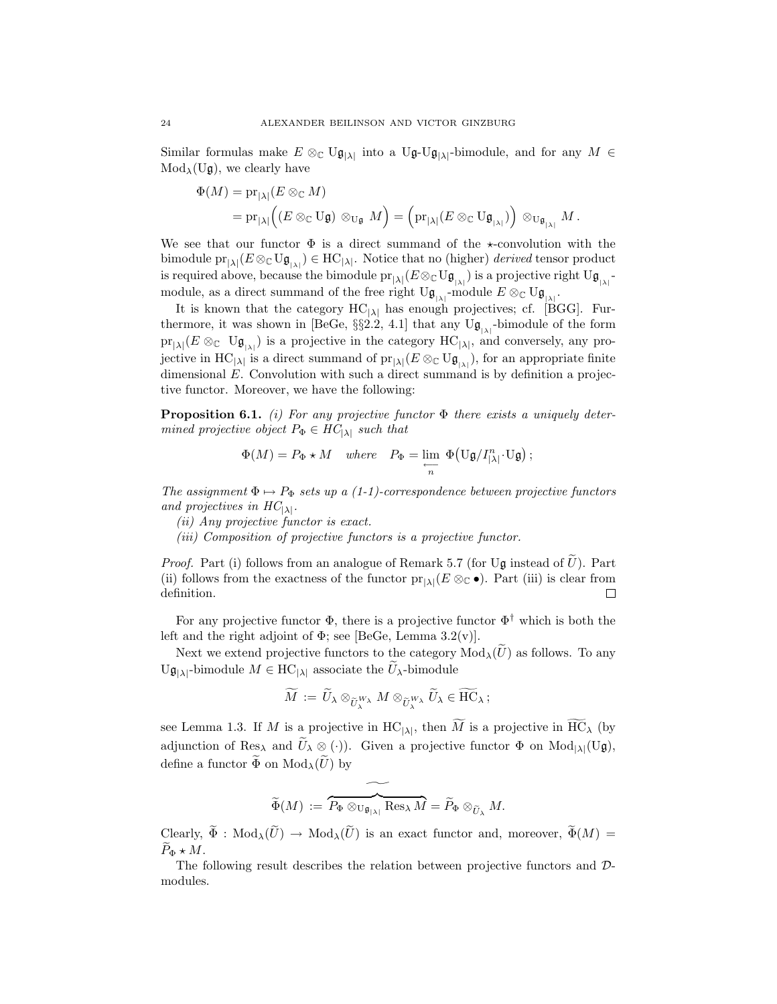Similar formulas make  $E \otimes_{\mathbb{C}} \mathbb{U} \mathfrak{g}_{|\lambda|}$  into a  $\mathbb{U} \mathfrak{g}$ - $\mathbb{U} \mathfrak{g}_{|\lambda|}$ -bimodule, and for any  $M \in \mathbb{M}$ od<sub>1</sub>(Ug), we clearly have  $Mod_{\lambda}(U_{\mathfrak{g}})$ , we clearly have

$$
\Phi(M) = \mathrm{pr}_{|\lambda|} (E \otimes_{\mathbb{C}} M) \n= \mathrm{pr}_{|\lambda|} ((E \otimes_{\mathbb{C}} \mathrm{U}\mathfrak{g}) \otimes_{\mathrm{U}\mathfrak{g}} M) = (\mathrm{pr}_{|\lambda|} (E \otimes_{\mathbb{C}} \mathrm{U}\mathfrak{g}_{_{|\lambda|}})) \otimes_{\mathrm{U}\mathfrak{g}_{_{|\lambda|}}} M.
$$

We see that our functor  $\Phi$  is a direct summand of the  $\star$ -convolution with the bimodule  $pr_{|\lambda|}(E \otimes_{\mathbb{C}} \mathbf{U} \mathfrak{g}_{|\lambda|}) \in \mathrm{HC}_{|\lambda|}$ . Notice that no (higher) *derived* tensor product is negative above a because the bimodule  $pr_{\lambda}(E \otimes \mathbf{U}_{\lambda})$  is a presistive right  $\mathbf{U}_{\lambda}$ is required above, because the bimodule  $pr_{|\lambda|}(E \otimes_C U \mathfrak{g}_{|\lambda|})$  is a projective right  $U \mathfrak{g}_{|\lambda|}$ -<br>module as a direct summand of the free right  $U \mathfrak{g}_{|\lambda|}$  module  $E \otimes_{\sigma} U \mathfrak{g}_{|\lambda|}$ module, as a direct summand of the free right  $U\mathfrak{g}_{\vert \lambda \vert}$ -module  $E \otimes_{\mathbb{C}} U\mathfrak{g}_{\vert \lambda \vert}$ .

It is known that the category  $HC_{|\lambda|}$  has enough projectives; cf. [BGG]. Furthermore, it was shown in [BeGe,  $\S$ 2.2, 4.1] that any Ug<sub>| $\lambda$ </sub>|-bimodule of the form  $pr_{|\lambda|}(E \otimes_{\mathbb{C}} \mathbb{U} \mathfrak{g}_{|\lambda|})$  is a projective in the category  $HC_{|\lambda|}$ , and conversely, any projective in HC<sub>|</sub> $\lambda$ | is a direct summand of  $pr_{|\lambda|}(E \otimes_{\mathbb{C}} \mathrm{U}\mathfrak{g}_{|\lambda|})$ , for an appropriate finite dimensional E. Convolution with such a direct summand is by definition a projection dimensional  $E$ . Convolution with such a direct summand is by definition a projective functor. Moreover, we have the following:

**Proposition 6.1.** *(i) For any projective functor* Φ *there exists a uniquely determined projective object*  $P_{\Phi} \in HC_{|\lambda|}$  *such that* 

$$
\Phi(M) = P_{\Phi} \star M \quad \text{where} \quad P_{\Phi} = \lim_{\substack{\longleftarrow \\ n}} \Phi(U_{\mathfrak{g}}/I_{|\lambda|}^n \cdot U_{\mathfrak{g}});
$$

*The assignment*  $\Phi \mapsto P_{\Phi}$  *sets up a (1-1)-correspondence between projective functors and projectives in*  $HC_{|\lambda|}$ *.* 

- *(ii) Any projective functor is exact.*
- *(iii) Composition of projective functors is a projective functor.*

*Proof.* Part (i) follows from an analogue of Remark 5.7 (for Ug instead of  $\hat{U}$ ). Part (ii) follows from the exactness of the functor  $pr_{|\lambda|}(E \otimes_{\mathbb{C}} \bullet)$ . Part (iii) is clear from definition. definition.

For any projective functor Φ, there is a projective functor Φ*†* which is both the left and the right adjoint of  $\Phi$ ; see [BeGe, Lemma 3.2(v)]. For any projective functor  $\Phi$ , there is a projective functor  $\Phi^{\dagger}$  which is both the t and the right adjoint of  $\Phi$ ; see [BeGe, Lemma 3.2(v)].<br>Next we extend projective functors to the category  $Mod_{\lambda}(\widetilde{U})$  as fo For any projective functor  $\Phi$ , there is a projective if left and the right adjoint of  $\Phi$ ; see [BeGe, Lemma 3.2 Next we extend projective functors to the category  $U\mathfrak{g}_{|\lambda|}$ -bimodule  $M \in \mathrm{HC}_{|\lambda|}$  associate the  $\$ 

if  $\Phi$ ; see [BeGe, Lemma 3.2(vective functors to the category M<br>  $C_{|\lambda|}$  associate the  $\widetilde{U}_{\lambda}$ -bimodule<br>  $\widetilde{M} := \widetilde{U}_{\lambda} \otimes_{\widetilde{U}_{\lambda}^{W_{\lambda}}} M \otimes_{\widetilde{U}_{\lambda}^{W_{\lambda}}} \widetilde{U}_{\lambda} \in \widetilde{F}$ Next we extend projective functors to the category  $Mod_{\lambda}(U)$  as follows. To any

$$
\widetilde{M}\,:=\,\widetilde{U}_{\lambda}\otimes_{\widetilde{U}_{\lambda}^{W_{\lambda}}}M\otimes_{\widetilde{U}_{\lambda}^{W_{\lambda}}}\widetilde{U}_{\lambda}\in \widetilde{\mathrm{HC}}_{\lambda}\,;
$$

 $\widetilde{U}$ **g**<sub>|</sub>*λ*|-bimodule  $M \in \text{HC}_{|\lambda|}$  associate the  $U_{\lambda}$ -bimodule<br>  $\widetilde{M} := \widetilde{U}_{\lambda} \otimes_{\widetilde{U}_{\lambda}^{W_{\lambda}}} M \otimes_{\widetilde{U}_{\lambda}^{W_{\lambda}}} \widetilde{U}_{\lambda} \in \widetilde{\text{HC}}_{\lambda}$ ;<br>
see Lemma 1.3. If  $M$  is a projective in  $\text{HC}_{|\lambda|}$ , th  $\widetilde{M} := \widetilde{U}_{\lambda} \otimes_{\widetilde{U}_{\lambda}^{W_{\lambda}}} M \otimes_{\widetilde{U}_{\lambda}^{W_{\lambda}}} \widetilde{U}_{\lambda} \in \widetilde{HC}_{\lambda};$ <br>see Lemma 1.3. If  $M$  is a projective in  $HC_{|\lambda|}$ , then  $\widetilde{M}$  is a projective in  $\widetilde{HC}_{\lambda}$  (by adjunction of Res<sub> $\lambda$ </sub> and  $\widetilde{U$ adjunction of Res<sub> $\lambda$ </sub> and  $\widetilde{U}_{\lambda} \otimes (\cdot)$ . Given a projective functor  $\Phi$  on  $Mod_{|\lambda|}(U\mathfrak{g})$ , define a functor  $\widetilde{\Phi}$  on  $Mod_{\lambda}(\widetilde{U})$  by

$$
\widetilde{\Phi}(M) \, := \, \widetilde{P_{\Phi} \otimes_{\mathrm{U} \mathfrak{g}_{|\lambda|}} \mathrm{Res}_{\lambda} M} = \widetilde{P}_{\Phi} \otimes_{\widetilde{U}_{\lambda}} M.
$$

 $\widetilde{\Phi}(M) := \overbrace{P_{\Phi} \otimes_{\mathbf{U}_{\mathfrak{g}_{|\lambda|}}} \mathrm{Res}_{\lambda} M}_{\mathfrak{m}} = \widetilde{P}_{\Phi} \otimes_{\widetilde{U}_{\lambda}} M.$ <br>Clearly,  $\widetilde{\Phi} : \mathrm{Mod}_{\lambda}(\widetilde{U}) \to \mathrm{Mod}_{\lambda}(\widetilde{U})$  is an exact functor and, moreover,  $\widetilde{\Phi}(M) =$ Clearly,<br> $\widetilde{P}_{\Phi} \star M$ .

The following result describes the relation between projective functors and *D*modules.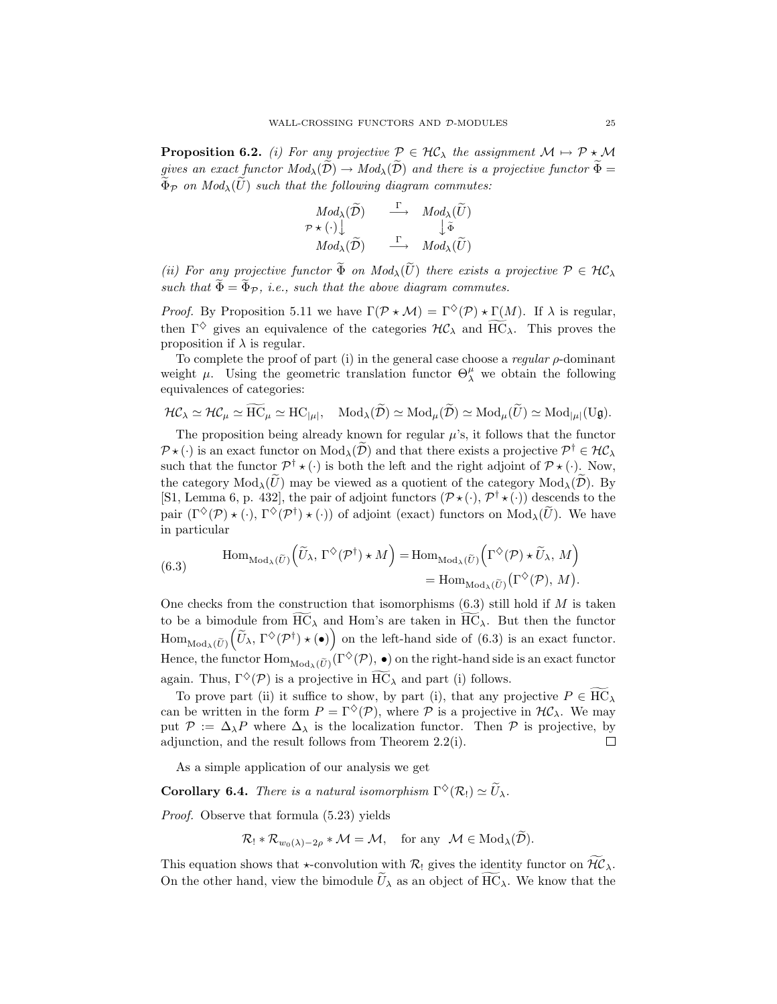**Proposition 6.2.** *(i) For any projective*  $P \in \mathcal{HC}_\lambda$  *the assignment*  $M \mapsto P * M$ **gives an exact functor**  $M \to \mathbb{R}^n$ *any projective*  $\mathcal{P} \in \mathcal{HC}_\lambda$  *the assignment*  $M \to \mathcal{P} \star \mathcal{M}$ <br>*gives an exact functor*  $Mod_\lambda(\tilde{D}) \to Mod_\lambda(\tilde{D})$  *and there is a projective functor*  $\tilde{\Phi} =$ **Proposition 6.2.** *(i) For any projective*  $P \in \mathcal{HC}_{\lambda}$  *the ass* gives an exact functor  $Mod_{\lambda}(\tilde{D}) \rightarrow Mod_{\lambda}(\tilde{D})$  and there is a  $\tilde{\Phi}_{\mathcal{P}}$  *on*  $Mod_{\lambda}(\tilde{U})$  *such that the following diagram commutes:*  $\widetilde{D}$  *(D)*  $\rightarrow Mod_{\lambda}(\widetilde{D})$  and there i<br> *he following diagram commu*<br>  $Mod_{\lambda}(\widetilde{D})$   $\begin{array}{c} \Gamma \\ \longrightarrow \end{array} Mod_{\lambda}(\widetilde{U})$ 

$$
\Phi_{\mathcal{P}} \text{ on } Mod_{\lambda}(U) \text{ such that the following diagram commutes:}
$$
\n
$$
\begin{array}{rcl}\n& Mod_{\lambda}(\widetilde{D}) & \xrightarrow{\Gamma} & Mod_{\lambda}(\widetilde{U}) \\
& \mathcal{P} \star (\cdot) & \downarrow \widetilde{\Phi} \\
& Mod_{\lambda}(\widetilde{D}) & \xrightarrow{\Gamma} & Mod_{\lambda}(\widetilde{U})\n\end{array}
$$
\n(ii) For any projective functor  $\widetilde{\Phi}$  on  $Mod_{\lambda}(\widetilde{U})$  there exists a projective  $\mathcal{P} \in \mathcal{HC}_{\lambda}$ 

 $\begin{array}{ccc}\n & \mathcal{P} \star (\cdot) \downarrow & \downarrow \tilde{\Phi} \\
 \hline Mod_{\lambda}(\widetilde{\mathcal{D}}) & \xrightarrow{\Gamma} & Mod_{\lambda}(\widetilde{U})\n \end{array}$ <br>
(ii) For any projective functor  $\widetilde{\Phi}$  on  $Mod_{\lambda}(\widetilde{U})$  there exists a p such that  $\widetilde{\Phi} = \widetilde{\Phi}_{\mathcal{P}}$ , i.e., such that the above

*Proof.* By Proposition 5.11 we have  $\Gamma(\mathcal{P} \star \mathcal{M}) = \Gamma^{\diamondsuit}(\mathcal{P}) \star \Gamma(M)$ . If  $\lambda$  is regular, such that  $\tilde{\Phi} = \tilde{\Phi}_{\mathcal{P}}$ , *i.e.*, such that the above diagram commutes.<br>*Proof.* By Proposition 5.11 we have  $\Gamma(\mathcal{P} \star \mathcal{M}) = \Gamma^{\diamondsuit}(\mathcal{P}) \star \Gamma(M)$ . If  $\lambda$  is regular, then  $\Gamma^{\diamondsuit}$  gives an equivalence of the ca proposition if  $\lambda$  is regular.

To complete the proof of part (i) in the general case choose a *regular* ρ-dominant weight  $\mu$ . Using the geometric translation functor  $\Theta_{\lambda}^{\mu}$  we obtain the following equivalences of categories: *HC*<sub>*N*</sub>  $\cong$  *HC<sub><i>µ*</sub></sub>  $\cong$  HC<sub>*µ*</sub></sub>  $\cong$  HC<sub>*µ*</sub>*|*, Mod<sub>*A*</sub>( $\tilde{D}$ )  $\cong$  Mod<sub>*µ*</sub>( $\tilde{U}$ )  $\cong$  Mod<sub>*µ*</sub>( $\tilde{U}$ g)  $\cong$  Mod<sub>*µ*</sub>( $U$ g).

$$
\mathcal{HC}_\lambda \simeq \mathcal{HC}_\mu \simeq \widetilde{\mathrm{HC}}_\mu \simeq \mathrm{HC}_{|\mu|}, \quad \mathrm{Mod}_\lambda(\widetilde{\mathcal{D}}) \simeq \mathrm{Mod}_\mu(\widetilde{\mathcal{D}}) \simeq \mathrm{Mod}_\mu(\widetilde{U}) \simeq \mathrm{Mod}_{|\mu|}(\mathrm{U}\mathfrak{g}).
$$

The proposition being already known for regular  $\mu$ 's, it follows that the functor  $\mathcal{P} \star (\cdot)$  is an exact functor on  $Mod_{\lambda}(\mathcal{D})$  and that there exists a projective  $\mathcal{P}^{\dagger} \in \mathcal{HC}_{\lambda}$ such that the functor  $\mathcal{P}^{\dagger} \star (\cdot)$  is both the left and the right adjoint of  $\mathcal{P} \star (\cdot)$ . Now, The proposition being already known for regular  $\mu$ 's, it follows that the functor  $\mathcal{P} \star (\cdot)$  is an exact functor on  $Mod_{\lambda}(\tilde{D})$  and that there exists a projective  $\mathcal{P}^{\dagger} \in \mathcal{HC}_{\lambda}$  such that the functor  $\mathcal$ [S1, Lemma 6, p. 432], the pair of adjoint functors  $(\mathcal{P} \star (\cdot), \mathcal{P}^{\dagger} \star (\cdot))$  descends to the  $P^{\star}(\cdot)$  is an exact functor on  $Mod_{\lambda}(D)$  and that there exists a projective  $P^{\dagger} \in \mathcal{H}C_{\lambda}$ <br>such that the functor  $\mathcal{P}^{\dagger} \star (\cdot)$  is both the left and the right adjoint of  $\mathcal{P} \star (\cdot)$ . Now,<br>the category  $Mod_{\$ in particular may be viewed as a quotient of the day be viewed as a quotient of the category  $Mod_{\lambda}(P)$ <br>
(*P*  $\star$  (*·*) of adjoint (exact) functors on  $Mod_{\lambda}(\widetilde{U})$ . W<br>  $\widetilde{U}_{\lambda}$ ,  $\Gamma^{\diamondsuit}(\mathcal{P}^{\dagger}) \star M$  =  $Hom_{Mod_{\lambda}(\widetilde{U})}(\Gamma^{\diamondsuit}(\mathcal{P}) \star \widetilde{U}_{\lambda}, M)$ 

pair 
$$
(\Gamma^{\diamond}(\mathcal{P}) \star (\cdot), \Gamma^{\diamond}(\mathcal{P}^{\dagger}) \star (\cdot))
$$
 of adjoint (exact) functors on Mod <sub>$\lambda$</sub> ( $U$ ). W  
in particular  

$$
\text{Hom}_{\text{Mod}_{\lambda}(\tilde{U})}(\tilde{U}_{\lambda}, \Gamma^{\diamond}(\mathcal{P}^{\dagger}) \star M) = \text{Hom}_{\text{Mod}_{\lambda}(\tilde{U})}(\Gamma^{\diamond}(\mathcal{P}) \star \tilde{U}_{\lambda}, M)
$$

$$
= \text{Hom}_{\text{Mod}_{\lambda}(\tilde{U})}(\Gamma^{\diamond}(\mathcal{P}), M).
$$

One checks from the construction that isomorphisms  $(6.3)$  still hold if M is taken to be a bimodule from  $\overline{HC}_{\lambda}$  and Hom's are taken in  $\overline{HC}_{\lambda}$ . But then the functor One checks is<br>to be a bime  $\text{Hom}_{\text{Mod}_\lambda(\widetilde{U})}$ om the construct<br>dule from  $\widetilde{HC}_{\lambda}$  a<br> $\widetilde{U}_{\lambda}$ ,  $\Gamma^{\diamondsuit}(\mathcal{P}^{\dagger}) \star (\bullet)$  on the left-hand side of (6.3) is an exact functor. to be a bimodule from  $HC_{\lambda}$  and Hom's are taken in  $HC_{\lambda}$ . But then the functor  $Hom_{Mod_{\lambda}(\tilde{U})}(\tilde{U}_{\lambda}, \Gamma^{\diamondsuit}(\mathcal{P}^{\dagger}) \star (\bullet))$  on the left-hand side of (6.3) is an exact functor. Hence, the functor  $Hom_{Mod_{\lambda}(\tilde{U})}(\Gamma^$  $m_{\text{Mod}_{\lambda}(\widetilde{U})}(\widetilde{U}_{\lambda}, \Gamma^{\diamond}(\mathcal{P}^{\dagger}) \star (\bullet))$  on the left-hand side of (6.3) is an exact functor.<br>nce, the functor  $\text{Hom}_{\text{Mod}_{\lambda}(\widetilde{U})}(\Gamma^{\diamond}(\mathcal{P}), \bullet)$  on the right-hand side is an exact functor<br>ain. Thus,  $\Gamma^{\diamond$ 

can be written in the form  $P = \Gamma^{\diamondsuit}(P)$ , where  $P$  is a projective in  $H\mathcal{C}_{\lambda}$ . We may put  $P := \Delta_{\lambda}P$  where  $\Delta_{\lambda}$  is the localization functor. Then P is projective, by **Corollary 6.4.** *There is a natural isomorphism*  $\Gamma^{\diamond}(R) \simeq \widetilde{U}_{\lambda}$ .<br>**Corollary 6.4.** *There is a natural isomorphism*  $\Gamma^{\diamond}(R) \simeq \widetilde{U}_{\lambda}$ . adjunction, and the result follows from Theorem 2.2(i).  $\Box$ 

As a simple application of our analysis we get

*Proof.* Observe that formula (5.23) yields

\n- **1.** There is a natural isomorphism 
$$
\Gamma^{\diamondsuit}(\mathcal{R}_!) \simeq \widetilde{U}_{\lambda}
$$
.
\n- **2.** that formula (5.23) yields
\n- $\mathcal{R}_! * \mathcal{R}_{w_0(\lambda) - 2\rho} * \mathcal{M} = \mathcal{M},$  for any  $\mathcal{M} \in \text{Mod}_{\lambda}(\widetilde{\mathcal{D}}).$
\n

Proof. Observe that formula (5.23) yields<br>  $\mathcal{R}_1 * \mathcal{R}_{w_0(\lambda)-2\rho} * \mathcal{M} = \mathcal{M}$ , for any  $\mathcal{M} \in Mod_{\lambda}(\tilde{\mathcal{D}})$ .<br>
This equation shows that  $\star$ -convolution with  $\mathcal{R}_1$  gives the identity functor on  $\widetilde{\mathcal{HC}}_{\$  $\mathcal{R}_! * \mathcal{R}_{w_0(\lambda)-2\rho} * \mathcal{M} = \mathcal{M}$ , for any  $\mathcal{M} \in Mod_\lambda(\widetilde{\mathcal{D}})$ .<br>This equation shows that  $\star$ -convolution with  $\mathcal{R}_!$  gives the identity functor on  $\widetilde{\mathcal{HC}}_\lambda$ .<br>On the other hand, view the bimodule  $\widetilde$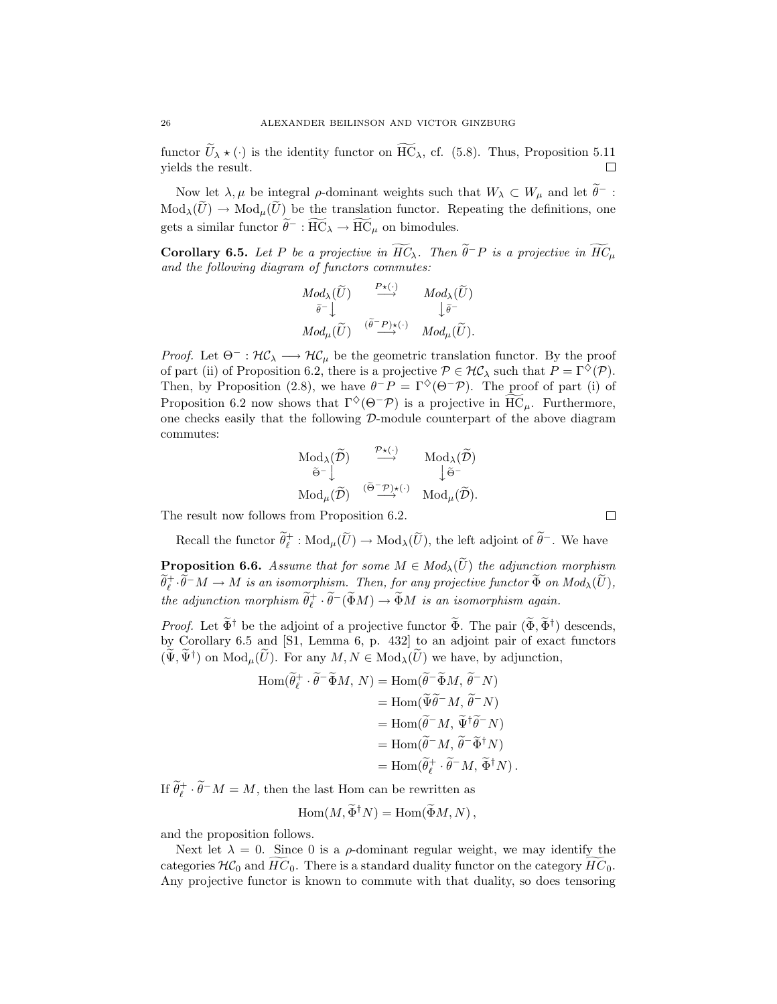functor  $\widetilde{U}_{\lambda} \star (\cdot)$  is the identity functor on  $\widetilde{HC}_{\lambda}$ , cf. (5.8). Thus, Proposition 5.11 yields the result.

Now let  $\lambda, \mu$  be integral  $\rho$ -dominant weights such that  $W_{\lambda} \subset W_{\mu}$  and let  $\theta^{-}$ : functor  $\widetilde{U}_{\lambda} \star (\cdot)$  is the identity functor on  $\overline{HC}_{\lambda}$ , cf. (5.8). Thus, Proposition 5.11<br>yields the result.<br>Now let  $\lambda, \mu$  be integral  $\rho$ -dominant weights such that  $W_{\lambda} \subset W_{\mu}$  and let  $\widetilde{\theta}^-$ :<br>Mod<sub> $\lambda$ gets a similar functor  $\widetilde{\theta}^- : \widetilde{HC}_\lambda \to \widetilde{HC}_\mu$  on bimodules. gral  $\rho$ -dominant weights such be the translation functor. Re<br><sup>*−*</sup> :  $\overline{HC}_{\lambda} \rightarrow \overline{HC}_{\mu}$  on bimodules. Now let  $\lambda, \mu$  be integral  $\rho$ -dominant weights such that  $W_{\lambda} \subset W_{\mu}$  and let  $\theta^{-}$ :<br>  $\text{Mod}_{\lambda}(\widetilde{U}) \to \text{Mod}_{\mu}(\widetilde{U})$  be the translation functor. Repeating the definitions, one<br>
gets a similar functor  $\widetilde{\theta}^{-} :$  $\boldsymbol{\mathrm{h}}$ 

and the following diagram of functors commutes: *Modλ*(Ue) *P ?*(*·*) *−→ Modλ*(Ue) y y

*i* of functors commutes:  
\n
$$
Mod_{\lambda}(\widetilde{U}) \xrightarrow{\quad P \star (\cdot)} \quad Mod_{\lambda}(\widetilde{U})
$$
\n
$$
\widetilde{\theta}^{-} \downarrow \qquad \qquad \downarrow \widetilde{\theta}^{-}
$$
\n
$$
Mod_{\mu}(\widetilde{U}) \xrightarrow{(\widetilde{\theta}^{-} P) \star(\cdot)} \quad Mod_{\mu}(\widetilde{U}).
$$

*Proof.* Let  $\Theta^- : \mathcal{HC}_\lambda \longrightarrow \mathcal{HC}_\mu$  be the geometric translation functor. By the proof of part (ii) of Proposition 6.2, there is a projective  $P \in \mathcal{HC}_\lambda$  such that  $P = \Gamma^\diamondsuit(\mathcal{P})$ . Then, by Proposition (2.8), we have  $\theta^-P = \Gamma^{\diamond}(\Theta^-P)$ . The proof of part (i) of *Proof.* Let  $\Theta^- : \mathcal{HC}_\lambda \longrightarrow \mathcal{HC}_\mu$  be the geometric translation functor. By the proof of part (ii) of Proposition 6.2, there is a projective  $\mathcal{P} \in \mathcal{HC}_\lambda$  such that  $P = \Gamma^\diamondsuit(\mathcal{P})$ .<br>Then, by Proposition (2.8), we one checks easily that the following  $\mathcal{D}$ -module counterpart of the above diagram commutes:  $\text{Ws that } \Gamma^{\diamondsuit}(\Theta^-\mathcal{P}) \text{ is a projective following } \mathcal{D}\text{-module counterpically}\\ \text{Mod}_{\lambda}(\widetilde{\mathcal{D}}) \longrightarrow^{\mathcal{P}\star(\cdot)} \text{Mod}_{\lambda}(\widetilde{\mathcal{D}})$ 

$$
\begin{array}{ccc}\n\operatorname{Mod}_{\lambda}(\widetilde{\mathcal{D}}) & \xrightarrow{\mathcal{P}_{\star}(\cdot)} & \operatorname{Mod}_{\lambda}(\widetilde{\mathcal{D}}) \\
\widetilde{\Theta}^{-}\downarrow & & \downarrow \widetilde{\Theta}^{-} \\
\operatorname{Mod}_{\mu}(\widetilde{\mathcal{D}}) & \xrightarrow{(\widetilde{\Theta}-\mathcal{P})\star(\cdot)} & \operatorname{Mod}_{\mu}(\widetilde{\mathcal{D}}).\n\end{array}
$$

The result now follows from Proposition 6.2.

Recall the functor  $\widetilde{\theta}^+_\ell$  $\operatorname{Mod}_{\mu}(\widetilde{\mathcal{D}}) \xrightarrow{(\widetilde{\Theta}^{-} \mathcal{P}) \star(\cdot)} \operatorname{Mod}_{\mu}(\widetilde{\mathcal{D}}).$ <br>from Proposition 6.2.<br> $\widetilde{\ell}$  :  $\operatorname{Mod}_{\mu}(\widetilde{U}) \to \operatorname{Mod}_{\lambda}(\widetilde{U}),$  the left adjoint of  $\widetilde{\theta}^{-}$ . We have The result now follows from Proposition 6.2. <br> **Recall the functor**  $\tilde{\theta}_\ell^+$ :  $\text{Mod}_{\mu}(\tilde{U}) \to \text{Mod}_{\lambda}(\tilde{U})$ , the left adjoint of  $\tilde{\theta}^-$ . We have<br> **Proposition 6.6.** *Assume that for some M* ∈ *Mod*<sub> $\lambda$ </sub>( $\tilde$  $\rm Mod_{\mu}$ 

 $\widetilde{\theta}^+_\ell\cdot\widetilde{\theta}$ *i* ecall the functor  $\widetilde{\theta}_{\ell}^{+}$  :  $\text{Mod}_{\mu}(\widetilde{U}) \to \text{Mod}_{\lambda}(\widetilde{U})$ , the left adjoint of  $\widetilde{\theta}^{-}$ . We have **position 6.6.** Assume that for some  $M \in Mod_{\lambda}(\widetilde{U})$  the adjunction morphism  $-M \to M$  is an isomorphism. *the adjunction morphism*  $\widetilde{\theta}_\ell^+ \cdot \widetilde{\theta}$ **Proposition 6.6.** Assume that for some  $M \in Mod_{\lambda}(\widetilde{U})$  the adjunction morphism **Proposition 6.6.** Assume that for some  $M \in Mod_{\lambda}(U)$  the adjunction morphism  $\widetilde{\theta}^{\dagger}_{\ell} \cdot \widetilde{\theta}^{-} M \to M$  is an isomorphism. Then, for any projective functor  $\widetilde{\Phi}$  on  $Mod_{\lambda}(\widetilde{U})$ , the adjunction morphism  $\widetilde{\$ 

by Corollary 6.5 and [S1, Lemma 6, p. 432] to an adjoint pair of exact functors the adjunction morphism  $\tilde{\theta}^+_{\ell} \cdot \tilde{\theta}^- (\tilde{\Phi}M) \to \tilde{\Phi}M$  is an isomorphism again.<br>*Proof.* Let  $\tilde{\Phi}^{\dagger}$  be the adjoint of a projective functor  $\tilde{\Phi}$ . The pair  $(\tilde{\Phi}, \tilde{\Phi}^{\dagger})$  by Corollary 6.5 and [S1, djoint of a projective functor  $\widetilde{\Phi}$ . T<br>
51, Lemma 6, p. 432] to an adjo<br>
for any  $M, N \in Mod_{\lambda}(\widetilde{U})$  we have<br>  $\widetilde{\theta}_r^+ \cdot \widetilde{\theta}^- \widetilde{\Phi} M, N) = Hom(\widetilde{\theta}^- \widetilde{\Phi} M, \widetilde{\theta}$  $\mu$  we have,

and [S1, Lemma 6, p. 432] to an adjoint pair  
\n
$$
(\tilde{U}).
$$
 For any  $M, N \in Mod_{\lambda}(\tilde{U})$  we have, by adj  
\n
$$
Hom(\tilde{\theta}_\ell^+ \cdot \tilde{\theta}^{-} \tilde{\Phi} M, N) = Hom(\tilde{\theta}^{-} \tilde{\Phi} M, \tilde{\theta}^{-} N)
$$
\n
$$
= Hom(\tilde{\Psi} \tilde{\theta}^{-} M, \tilde{\Psi}^{\dagger} \tilde{\theta}^{-} N)
$$
\n
$$
= Hom(\tilde{\theta}^{-} M, \tilde{\Psi}^{\dagger} \tilde{\theta}^{-} N)
$$
\n
$$
= Hom(\tilde{\theta}^{-} M, \tilde{\theta}^{-} \tilde{\Phi}^{\dagger} N)
$$
\n
$$
= Hom(\tilde{\theta}_\ell^+ \cdot \tilde{\theta}^{-} M, \tilde{\Phi}^{\dagger} N).
$$
\n*l*, then the last Hom can be rewritten as

\n
$$
Hom(M, \tilde{\Phi}^{\dagger} N) = Hom(\tilde{\Phi} M, N),
$$

If  $\widetilde{\theta}_\ell^+ \cdot \widetilde{\theta}^- M = M$ , then the last Hom can be rewritten as

$$
\operatorname{Hom}(M, \Phi^{\dagger} N) = \operatorname{Hom}(\Phi M, N),
$$

and the proposition follows.

Next let  $\lambda = 0$ . Since 0 is a  $\rho$ -dominant regular weight, we may identify the categories  $H\mathcal{C}_0$  and  $HC_0$ . There is a standard duality functor on the category  $HC_0$ . Any projective functor is known to commute with that duality, so does tensoring

$$
\Box
$$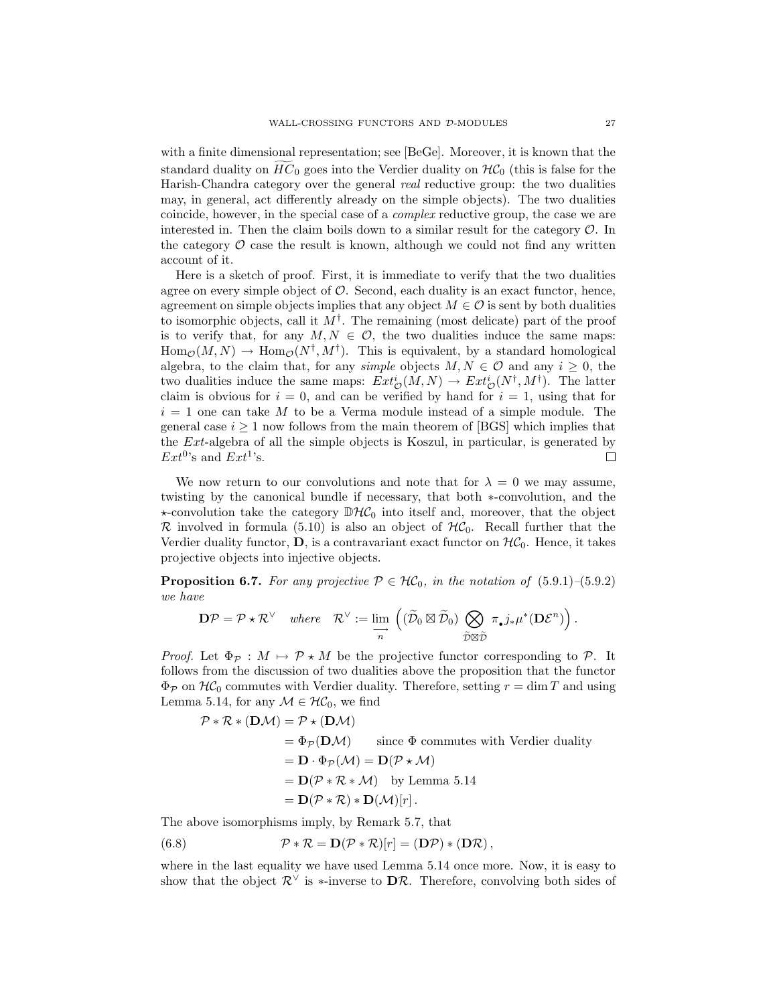with a finite dimensional representation; see [BeGe]. Moreover, it is known that the wall-CROSSING FUNCTORS AND  $\mathcal{D}$ -MODULES 27<br>with a finite dimensional representation; see [BeGe]. Moreover, it is known that the<br>standard duality on  $\widetilde{HC}_0$  goes into the Verdier duality on  $\mathcal{HC}_0$  (this is false Harish-Chandra category over the general *real* reductive group: the two dualities may, in general, act differently already on the simple objects). The two dualities coincide, however, in the special case of a *complex* reductive group, the case we are interested in. Then the claim boils down to a similar result for the category *O*. In the category  $\mathcal O$  case the result is known, although we could not find any written account of it.

Here is a sketch of proof. First, it is immediate to verify that the two dualities agree on every simple object of  $\mathcal O$ . Second, each duality is an exact functor, hence, agreement on simple objects implies that any object  $M \in \mathcal{O}$  is sent by both dualities to isomorphic objects, call it M*†*. The remaining (most delicate) part of the proof is to verify that, for any  $M, N \in \mathcal{O}$ , the two dualities induce the same maps:  $\text{Hom}_{\mathcal{O}}(M,N) \to \text{Hom}_{\mathcal{O}}(N^{\dagger},M^{\dagger}).$  This is equivalent, by a standard homological algebra, to the claim that, for any *simple* objects  $M, N \in \mathcal{O}$  and any  $i \geq 0$ , the two dualities induce the same maps:  $Ext^i_{\mathcal{O}}(M, N) \to Ext^i_{\mathcal{O}}(N^{\dagger}, M^{\dagger})$ . The latter claim is obvious for  $i = 0$ , and can be verified by hand for  $i = 1$ , using that for  $i = 1$  one can take M to be a Verma module instead of a simple module. The general case  $i \geq 1$  now follows from the main theorem of [BGS] which implies that the Ext-algebra of all the simple objects is Koszul, in particular, is generated by  $Ext^{0}$ 's and  $Ext^{1}$ 's. 口

We now return to our convolutions and note that for  $\lambda = 0$  we may assume, twisting by the canonical bundle if necessary, that both *∗*-convolution, and the  $\star$ -convolution take the category  $\mathbb{D}\mathcal{HC}_0$  into itself and, moreover, that the object  $\mathcal R$  involved in formula (5.10) is also an object of  $\mathcal HC_0$ . Recall further that the Verdier duality functor,  $\mathbf{D}$ , is a contravariant exact functor on  $H\mathcal{C}_0$ . Hence, it takes projective objects into injective objects.

**Proposition 6.7.** *For any projective*  $P \in \mathcal{HC}_0$ *, in the notation of* (5.9.1)–(5.9.2) *we have*  $H\mathcal{C}_0$ , in the  $(\widetilde{\mathcal{D}}_0 \boxtimes \widetilde{\mathcal{D}}_0)$ 

$$
\mathbf{D}\mathcal{P} = \mathcal{P} \star \mathcal{R}^{\vee} \quad \text{where} \quad \mathcal{R}^{\vee} := \lim_{\substack{\longrightarrow \\ n}} \left( (\widetilde{\mathcal{D}}_0 \boxtimes \widetilde{\mathcal{D}}_0) \bigotimes_{\substack{\widetilde{\mathcal{D}} \boxtimes \widetilde{\mathcal{D}}}} \pi_{\bullet} j_* \mu^*(\mathbf{D}\mathcal{E}^n) \right).
$$

*Proof.* Let  $\Phi_{\mathcal{P}} : M \mapsto \mathcal{P} \star M$  be the projective functor corresponding to  $\mathcal{P}$ . It follows from the discussion of two dualities above the proposition that the functor  $\Phi_P$  on  $\mathcal{HC}_0$  commutes with Verdier duality. Therefore, setting  $r = \dim T$  and using Lemma 5.14, for any  $\mathcal{M} \in \mathcal{HC}_0$ , we find

$$
\mathcal{P} * \mathcal{R} * (\mathbf{D}\mathcal{M}) = \mathcal{P} * (\mathbf{D}\mathcal{M})
$$
  
=  $\Phi_{\mathcal{P}}(\mathbf{D}\mathcal{M})$  since  $\Phi$  commutes with Verdier duality  
=  $\mathbf{D} \cdot \Phi_{\mathcal{P}}(\mathcal{M}) = \mathbf{D}(\mathcal{P} * \mathcal{M})$   
=  $\mathbf{D}(\mathcal{P} * \mathcal{R} * \mathcal{M})$  by Lemma 5.14  
=  $\mathbf{D}(\mathcal{P} * \mathcal{R}) * \mathbf{D}(\mathcal{M})[r]$ .

The above isomorphisms imply, by Remark 5.7, that

(6.8) 
$$
\mathcal{P} * \mathcal{R} = \mathbf{D}(\mathcal{P} * \mathcal{R})[r] = (\mathbf{D}\mathcal{P}) * (\mathbf{D}\mathcal{R}),
$$

where in the last equality we have used Lemma 5.14 once more. Now, it is easy to show that the object  $\mathcal{R}^{\vee}$  is  $*$ -inverse to  $\mathbf{D}\mathcal{R}$ . Therefore, convolving both sides of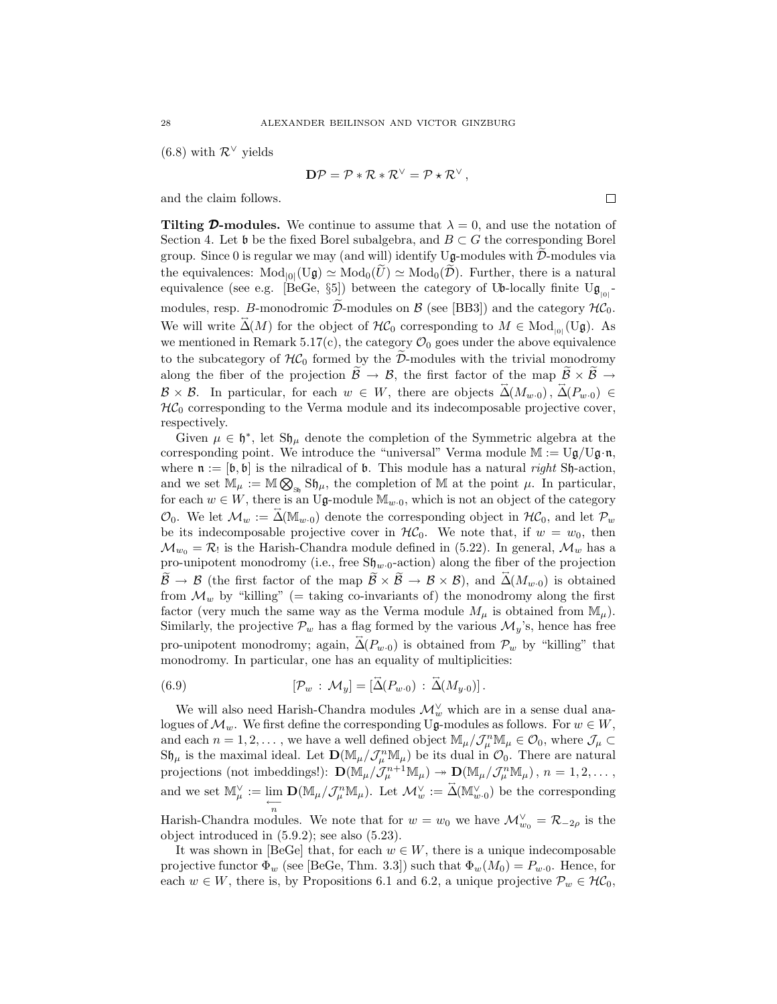$(6.8)$  with  $\mathcal{R}^{\vee}$  yields

$$
\mathbf{D}\mathcal{P} = \mathcal{P} * \mathcal{R} * \mathcal{R}^{\vee} = \mathcal{P} * \mathcal{R}^{\vee},
$$

and the claim follows.

**Tilting D-modules.** We continue to assume that  $\lambda = 0$ , and use the notation of Section 4. Let b be the fixed Borel subalgebra, and  $B \subset G$  the corresponding Borel group. Since 0 is regular we may (and will) identify  $U\mathfrak{g}$ -modules with  $\mathcal{D}$ -modules via the equivalences:  $Mod_{[0]}(U\mathfrak{g}) \simeq Mod_{0}(\widetilde{U}) \simeq Mod_{0}(\widetilde{D})$ . Further, there is a natural equivalence (see e.g. [BeGe,  $\S5$ ]) between the category of Ub-locally finite Ug<sub>|0|</sub> group. Since 0 is regular we may (and will) identify  $U_{\mathbf{g}}$ -modules with  $\tilde{\mathcal{D}}$ -modules via<br>the equivalences:  $Mod_{0}(\tilde{U}_{\mathbf{g}}) \simeq Mod_{0}(\tilde{U}) \simeq Mod_{0}(\tilde{\mathcal{D}})$ . Further, there is a natural<br>equivalence (see e.g. We will write  $\vec{\Delta}(M)$  for the object of  $\mathcal{HC}_0$  corresponding to  $M \in Mod_{|0|}(\mathbf{U}\mathfrak{g})$ . As we mentioned in Remark 5.17(c), the category  $\mathcal{O}_0$  goes under the above equivalence modules, resp. *B*-monodromic  $\widetilde{\mathcal{D}}$ -modules on  $\mathcal{B}$  (see [BB3]) and the category  $\mathcal{H}\mathcal{C}_0$ .<br>We will write  $\widetilde{\Delta}(M)$  for the object of  $\mathcal{H}\mathcal{C}_0$  corresponding to  $M \in Mod_{|0|}(\mathrm{U}\mathfrak{g})$ . As<br>we mention We will write  $\tilde{\Delta}(M)$  for the object of  $H\mathcal{C}_0$  corresponding to  $M \in Mod_{|0|}(U\mathfrak{g})$ . As<br>we mentioned in Remark 5.17(c), the category  $\mathcal{O}_0$  goes under the above equivalence<br>to the subcategory of  $H\mathcal{C}_0$  forme  $\mathcal{B} \times \mathcal{B}$ . In particular, for each  $w \in W$ , there are objects  $\vec{\Delta}(M_{w.0})$ ,  $\vec{\Delta}(P_{w.0}) \in$  $H\mathcal{C}_0$  corresponding to the Verma module and its indecomposable projective cover, respectively.

Given  $\mu \in \mathfrak{h}^*$ , let  $\mathfrak{Sh}_{\mu}$  denote the completion of the Symmetric algebra at the corresponding point. We introduce the "universal" Verma module  $M := Ug/Ug \cdot n$ ,<br>where  $n := [h, h]$  is the nilradical of h. This module has a natural *right* Sh-action. where  $\mathfrak{n} := [\mathfrak{b}, \mathfrak{b}]$  is the nilradical of  $\mathfrak{b}$ . This module has a natural *right* Sh-action, respectively.<br>Given  $\mu \in \mathfrak{h}^*$ , let S $\mathfrak{h}$  corresponding point. We<br>where  $\mathfrak{n} := [\mathfrak{b}, \mathfrak{b}]$  is the 1<br>and we set  $\mathbb{M}_{\mu} := \mathbb{M} \otimes$ and we set  $\mathbb{M}_{\mu} := \mathbb{M} \bigotimes_{\mathbb{S}_{\mathfrak{h}}} \mathbb{S} \mathfrak{h}_{\mu}$ , the completion of M at the point  $\mu$ . In particular, for each  $w \in W$ , there is an Ug-module  $\mathbb{M}_{w \cdot 0}$ , which is not an object of the category  $\mathcal{O}_0$ . We let  $\mathcal{M}_w := \mathbb{A}(\mathbb{M}_{w \cdot 0})$  denote the corresponding object in  $\mathcal{H}\mathcal{C}_0$ , and let  $\mathcal{P}_w$ be its indecomposable projective cover in  $H\mathcal{C}_0$ . We note that, if  $w = w_0$ , then  $\mathcal{M}_{w_0} = \mathcal{R}_!$  is the Harish-Chandra module defined in (5.22). In general,  $\mathcal{M}_w$  has a  $\mathcal{O}_0$ . We let  $\mathcal{M}_w := \Delta(\mathbb{M}_w, 0)$  denote the corresponding object in  $\mathcal{H}C_0$ , and let  $\mathcal{P}_w$ <br>be its indecomposable projective cover in  $\mathcal{H}C_0$ . We note that, if  $w = w_0$ , then<br> $\mathcal{M}_{w_0} = \mathcal{R}_1$  is the  $\widetilde{\mathcal{B}} \to \mathcal{B}$  (the first factor of the map  $\widetilde{\mathcal{B}} \times \widetilde{\mathcal{B}} \to \mathcal{B} \times \mathcal{B}$ ), and  $\widetilde{\Delta}(M_{w \cdot 0})$  is obtained from  $\mathcal{M}_w$  by "killing" (= taking co-invariants of) the monodromy along the first factor (very much the same way as the Verma module  $M_{\mu}$  is obtained from  $\mathbb{M}_{\mu}$ ). Similarly, the projective  $\mathcal{P}_w$  has a flag formed by the various  $\mathcal{M}_y$ 's, hence has free pro-unipotent monodromy; again,  $\vec{\Delta}(P_{w.0})$  is obtained from  $\mathcal{P}_w$  by "killing" that monodromy. In particular, one has an equality of multiplicities:

(6.9) 
$$
[\mathcal{P}_w : \mathcal{M}_y] = [\tilde{\Delta}(P_{w\cdot 0}) : \tilde{\Delta}(M_{y\cdot 0})].
$$

We will also need Harish-Chandra modules  $\mathcal{M}_w^{\vee}$  which are in a sense dual analogues of  $\mathcal{M}_w$ . We first define the corresponding Ug-modules as follows. For  $w \in W$ , and each  $n = 1, 2, \ldots$ , we have a well defined object  $\mathbb{M}_{\mu}/\mathcal{J}_{\mu}^{n}\mathbb{M}_{\mu} \in \mathcal{O}_{0}$ , where  $\mathcal{J}_{\mu} \subset$  $S\mathfrak{h}_{\mu}$  is the maximal ideal. Let  $\mathbf{D}(\mathbb{M}_{\mu}/\mathcal{J}_{\mu}^{n}\mathbb{M}_{\mu})$  be its dual in  $\mathcal{O}_0$ . There are natural projections (not imboddings)).  $\mathbf{D}(\mathbb{M}_{\mu}/\mathcal{J}_{\mu+1}^{n}\mathbb{M}_{\mu})$ ,  $\mathbf{D}(\mathbb{M}_{\mu}/\mathcal{J}_{\mu}^{n$ projections (not imbeddings!):  $\mathbf{D}(\mathbb{M}_{\mu}/\mathcal{J}_{\mu}^{n+1}\mathbb{M}_{\mu}) \to \mathbf{D}(\mathbb{M}_{\mu}/\mathcal{J}_{\mu}^{n}\mathbb{M}_{\mu}), n = 1, 2, \dots,$ and we set  $\mathbb{M}_{\mu}^{\vee} := \lim_{\leftarrow$  $\mathbf{D}(\mathbb{M}_{\mu}/\mathcal{J}_{\mu}^{n}\mathbb{M}_{\mu})$ . Let  $\mathcal{M}_{w}^{\vee} := \overrightarrow{\Delta}(\mathbb{M}_{w}^{\vee}, 0)$  be the corresponding

Harish-Chandra modules. We note that for  $w = w_0$  we have  $\mathcal{M}_{w_0}^{\vee} = \mathcal{R}_{-2\rho}$  is the object introduced in (5.9.2); see also (5.23).

It was shown in [BeGe] that, for each  $w \in W$ , there is a unique indecomposable projective functor  $\Phi_w$  (see [BeGe, Thm. 3.3]) such that  $\Phi_w(M_0) = P_{w \cdot 0}$ . Hence, for each  $w \in W$ , there is, by Propositions 6.1 and 6.2, a unique projective  $\mathcal{P}_w \in \mathcal{HC}_0$ ,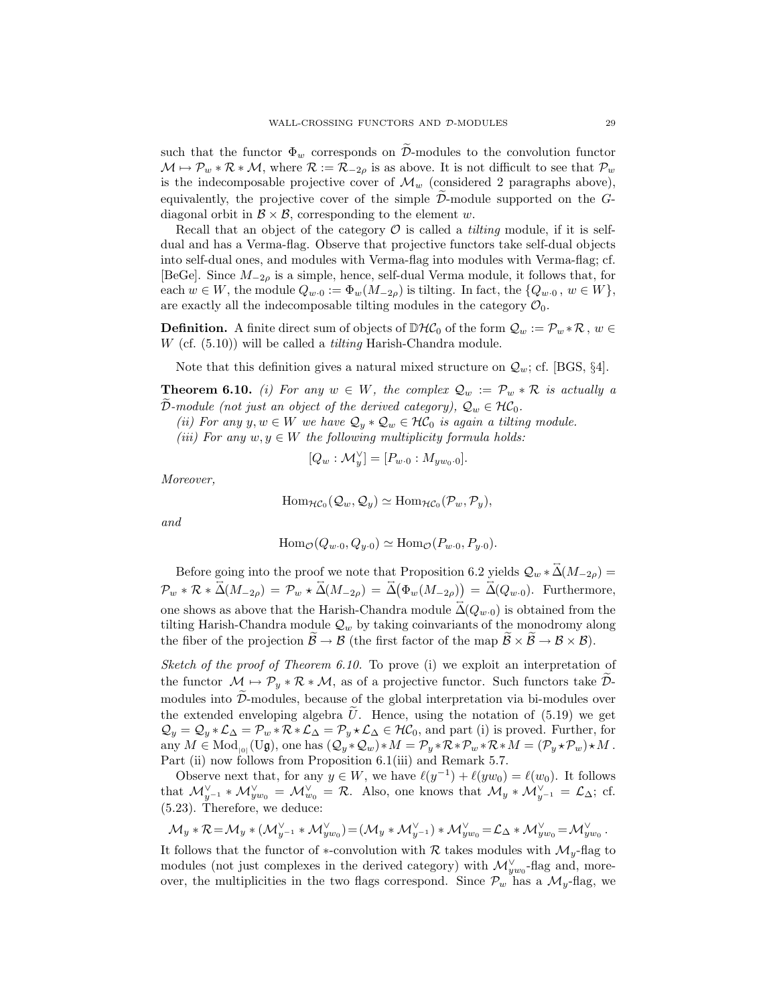watt-crossing functors and  $\tilde{\nu}$ -modules to the convolution functor<br>such that the functor  $\Phi_w$  corresponds on  $\tilde{\mathcal{D}}$ -modules to the convolution functor  $\mathcal{M} \mapsto \mathcal{P}_w * \mathcal{R} * \mathcal{M}$ , where  $\mathcal{R} := \mathcal{R}_{-2\rho}$  is as above. It is not difficult to see that  $\mathcal{P}_w$ is the indecomposable projective cover of  $\mathcal{M}_w$  (considered 2 paragraphs above), such that the functor  $\Phi_w$  corresponds on  $\tilde{\mathcal{D}}$ -modules to the convolution functor  $\mathcal{M} \mapsto \mathcal{P}_w * \mathcal{R} * \mathcal{M}$ , where  $\mathcal{R} := \mathcal{R}_{-2\rho}$  is as above. It is not difficult to see that  $\mathcal{P}_w$  is the indecomp diagonal orbit in  $\mathcal{B} \times \mathcal{B}$ , corresponding to the element w.

Recall that an object of the category  $\mathcal O$  is called a *tilting* module, if it is selfdual and has a Verma-flag. Observe that projective functors take self-dual objects into self-dual ones, and modules with Verma-flag into modules with Verma-flag; cf. [BeGe]. Since M*−*2*<sup>ρ</sup>* is a simple, hence, self-dual Verma module, it follows that, for each  $w \in W$ , the module  $Q_{w \cdot 0} := \Phi_w(M_{-2\rho})$  is tilting. In fact, the  $\{Q_{w \cdot 0}, w \in W\}$ , are exactly all the indecomposable tilting modules in the category  $\mathcal{O}_0$ .

**Definition.** A finite direct sum of objects of  $\mathbb{D}\mathcal{HC}_0$  of the form  $\mathcal{Q}_w := \mathcal{P}_w * \mathcal{R}$ ,  $w \in \mathcal{P}_w * \mathcal{R}$ W (cf. (5.10)) will be called a *tilting* Harish-Chandra module.

Note that this definition gives a natural mixed structure on *Qw*; cf. [BGS, *§*4].

**Theorem 6.10.** *(i)* For any  $w \in W$ , the complex  $\mathcal{Q}_w := \mathcal{P}_w * \mathcal{R}$  is actually a *D*erem *D*epremies (*D.10)*) will be called a *tutting* Harish-Chandra module.<br> *Depending*  $Q_u$  *Depending D.10. (i) For any*  $w \in W$ *, the complex*  $Q_w := \mathcal{P}_w * \tilde{\mathcal{D}}$ *-module (not just an object of the derived c* 

*(ii)* For any  $y, w \in W$  *we have*  $Q_y * Q_w \in \mathcal{HC}_0$  *is again a tilting module.* 

*(iii)* For any  $w, y \in W$  the following multiplicity formula holds:

$$
[Q_w: \mathcal{M}_y^{\vee}] = [P_{w \cdot 0}: M_{yw_0 \cdot 0}].
$$

*Moreover,*

$$
\text{Hom}_{\mathcal{HC}_0}(\mathcal{Q}_w, \mathcal{Q}_y) \simeq \text{Hom}_{\mathcal{HC}_0}(\mathcal{P}_w, \mathcal{P}_y),
$$

*and*

$$
\operatorname{Hom}_{\mathcal{O}}(Q_{w\cdot 0}, Q_{y\cdot 0}) \simeq \operatorname{Hom}_{\mathcal{O}}(P_{w\cdot 0}, P_{y\cdot 0}).
$$

Before going into the proof we note that Proposition 6.2 yields  $\mathcal{Q}_w * \mathcal{Z}(M_{-2\rho}) =$  $\mathcal{P}_w * \mathcal{R} * \overleftrightarrow{\Delta}(M_{-2\rho}) = \mathcal{P}_w * \overleftrightarrow{\Delta}(M_{-2\rho}) = \overleftrightarrow{\Delta}(\Phi_w(M_{-2\rho})) = \overleftrightarrow{\Delta}(Q_{w\cdot 0})$ . Furthermore,<br>one shows as above that the Harish-Chandra module  $\overleftrightarrow{\Delta}(Q_{w\cdot 0})$  is obtained from the<br>tilting Harish-Chandra module  $Q_w$ one shows as above that the Harish-Chandra module  $\vec{\Delta}(Q_{w\cdot 0})$  is obtained from the

tilting Harish-Chandra module  $\mathcal{Q}_w$  by taking coinvariants of the monodromy along<br>the fiber of the projection  $\widetilde{\mathcal{B}} \to \mathcal{B}$  (the first factor of the map  $\widetilde{\mathcal{B}} \times \widetilde{\mathcal{B}} \to \mathcal{B} \times \mathcal{B}$ ).<br>Sketch of the *Sketch of the proof of Theorem 6.10.* To prove (i) we exploit an interpretation of the fiber of the projection  $\mathcal{B} \to \mathcal{B}$  (the first factor of the map  $\mathcal{B} \times \mathcal{B} \to \mathcal{B} \times \mathcal{B}$ ).<br> *Sketch of the proof of Theorem 6.10.* To prove (i) we exploit an interpretation of<br>
the functor  $\mathcal{M} \mapsto \mathcal{$ Sketch of the proof of Theorem 6.10. To prove (i) we exploit an interpretation of<br>the functor  $M \mapsto \mathcal{P}_y * \mathcal{R} * M$ , as of a projective functor. Such functors take  $\tilde{\mathcal{D}}$ -<br>modules into  $\tilde{\mathcal{D}}$ -modules, because o  $\mathcal{Q}_y = \mathcal{Q}_y * \mathcal{L}_\Delta = \mathcal{P}_w * \mathcal{R} * \mathcal{L}_\Delta = \mathcal{P}_y * \mathcal{L}_\Delta \in \mathcal{HC}_0$ , and part (i) is proved. Further, for any  $M \in Mod_{\text{tot}}(\text{U}\mathfrak{g})$ , one has  $(\mathcal{Q}_y * \mathcal{Q}_w) * M = \mathcal{P}_y * \mathcal{R} * \mathcal{P}_w * \mathcal{R} * M = (\mathcal{P}_y * \mathcal{P}_w) * M$ . Part (ii) now follows from Proposition 6.1(iii) and Remark 5.7.

Observe next that, for any  $y \in W$ , we have  $\ell(y^{-1}) + \ell(yw_0) = \ell(w_0)$ . It follows that  $\mathcal{M}_{y-1}^{\vee} * \mathcal{M}_{yw_0}^{\vee} = \mathcal{M}_{w_0}^{\vee} = \mathcal{R}$ . Also, one knows that  $\mathcal{M}_y * \mathcal{M}_{y-1}^{\vee} = \mathcal{L}_{\Delta}$ ; cf. (5.23). Therefore, we deduce:

$$
\mathcal{M}_y*\mathcal{R}\!=\!\mathcal{M}_y*(\mathcal{M}_{y^{-1}}^{\vee}\ast \mathcal{M}_{yw_0}^{\vee})\!=\!(\mathcal{M}_y*\mathcal{M}_{y^{-1}}^{\vee})*\mathcal{M}_{yw_0}^{\vee}\!=\!\mathcal{L}_{\Delta}* \mathcal{M}_{yw_0}^{\vee}\!=\!\mathcal{M}_{yw_0}^{\vee}.
$$

It follows that the functor of *\**-convolution with  $R$  takes modules with  $\mathcal{M}_y$ -flag to modules (not just complexes in the derived category) with  $\mathcal{M}_{yw_0}^{\vee}$ -flag and, moreover, the multiplicities in the two flags correspond. Since  $\mathcal{P}_w$  has a  $\mathcal{M}_y$ -flag, we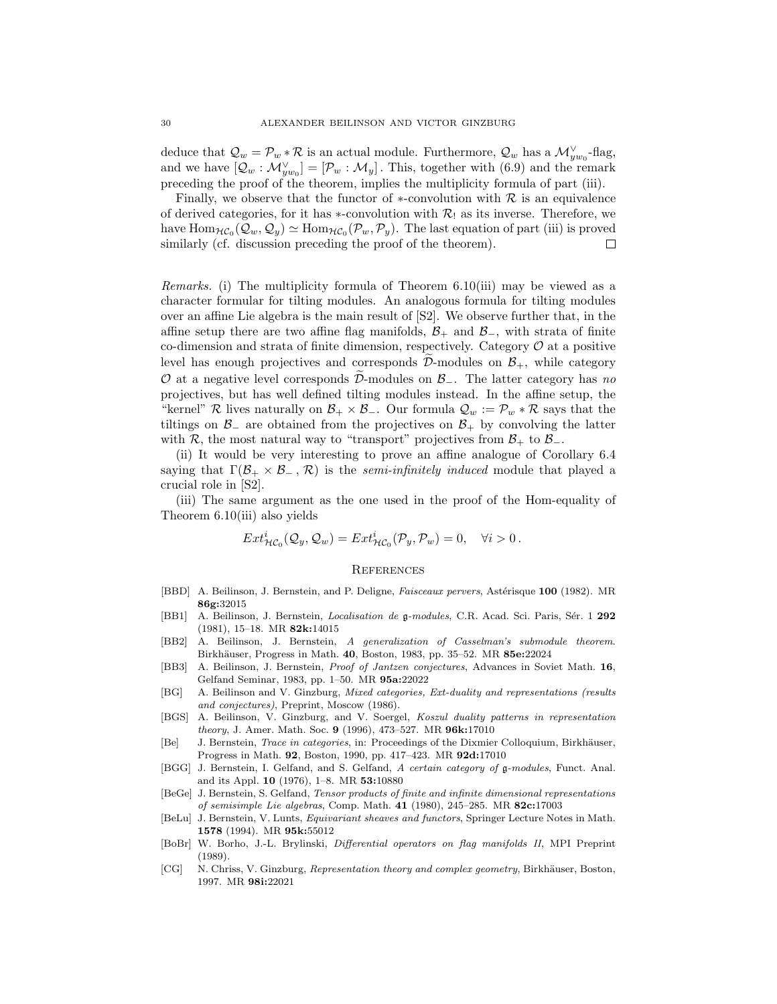deduce that  $\mathcal{Q}_w = \mathcal{P}_w * \mathcal{R}$  is an actual module. Furthermore,  $\mathcal{Q}_w$  has a  $\mathcal{M}_{yw_0}^{\vee}$ -flag, and we have  $[Q_w : \mathcal{M}_{yw_0}^{\vee}] = [\mathcal{P}_w : \mathcal{M}_y]$ . This, together with (6.9) and the remark preceding the proof of the theorem, implies the multiplicity formula of part (iii).

Finally, we observe that the functor of  $*$ -convolution with  $R$  is an equivalence of derived categories, for it has *∗*-convolution with *R*! as its inverse. Therefore, we have  $\text{Hom}_{\mathcal{HC}_0}(\mathcal{Q}_w, \mathcal{Q}_y) \simeq \text{Hom}_{\mathcal{HC}_0}(\mathcal{P}_w, \mathcal{P}_y)$ . The last equation of part (iii) is proved similarly (cf. discussion preceding the proof of the theorem). similarly (cf. discussion preceding the proof of the theorem).

*Remarks.* (i) The multiplicity formula of Theorem 6.10(iii) may be viewed as a character formular for tilting modules. An analogous formula for tilting modules over an affine Lie algebra is the main result of [S2]. We observe further that, in the affine setup there are two affine flag manifolds,  $\mathcal{B}_+$  and  $\mathcal{B}_-$ , with strata of finite co-dimension and strata of finite dimension, respectively. Category *O* at a positive character formular for tilting modules. An analogous formula for tilting modules<br>over an affine Lie algebra is the main result of [S2]. We observe further that, in the<br>affine setup there are two affine flag manifolds,  $B_$ *O* over an affine Lie algebra is the main result of  $|S2|$ . We observe further that, in the affine setup there are two affine flag manifolds,  $B_+$  and  $B_-$ , with strata of finite co-dimension and strata of finite dimens projectives, but has well defined tilting modules instead. In the affine setup, the "kernel"  $\mathcal{R}$  lives naturally on  $\mathcal{B}_+ \times \mathcal{B}_-$ . Our formula  $\mathcal{Q}_w := \mathcal{P}_w * \mathcal{R}$  says that the tiltings on  $\mathcal{B}_-$  are obtained from the projectives on  $\mathcal{B}_+$  by convolving the latter with  $\mathcal{R}$ , the most natural way to "transport" projectives from  $\mathcal{B}_+$  to  $\mathcal{B}_-$ .

(ii) It would be very interesting to prove an affine analogue of Corollary 6.4 saying that  $\Gamma(\mathcal{B}_+ \times \mathcal{B}_-, \mathcal{R})$  is the *semi-infinitely induced* module that played a crucial role in [S2].

(iii) The same argument as the one used in the proof of the Hom-equality of Theorem 6.10(iii) also yields

$$
Ext^i_{\mathcal{HC}_0}(\mathcal{Q}_y, \mathcal{Q}_w) = Ext^i_{\mathcal{HC}_0}(\mathcal{P}_y, \mathcal{P}_w) = 0, \quad \forall i > 0.
$$

### **REFERENCES**

- [BBD] A. Beilinson, J. Bernstein, and P. Deligne, *Faisceaux pervers*, Astérisque 100 (1982). MR **86g:**32015
- [BB1] A. Beilinson, J. Bernstein, *Localisation de g-modules*, C.R. Acad. Sci. Paris, Sér. 1 292 (1981), 15–18. MR **82k:**14015
- [BB2] A. Beilinson, J. Bernstein, A generalization of Casselman's submodule theorem. Birkh¨auser, Progress in Math. **40**, Boston, 1983, pp. 35–52. MR **85e:**22024
- [BB3] A. Beilinson, J. Bernstein, Proof of Jantzen conjectures, Advances in Soviet Math. **16**, Gelfand Seminar, 1983, pp. 1–50. MR **95a:**22022
- [BG] A. Beilinson and V. Ginzburg, Mixed categories, Ext-duality and representations (results and conjectures), Preprint, Moscow (1986).
- [BGS] A. Beilinson, V. Ginzburg, and V. Soergel, Koszul duality patterns in representation theory, J. Amer. Math. Soc. **9** (1996), 473–527. MR **96k:**17010
- [Be] J. Bernstein, *Trace in categories*, in: Proceedings of the Dixmier Colloquium, Birkhäuser, Progress in Math. **92**, Boston, 1990, pp. 417–423. MR **92d:**17010
- [BGG] J. Bernstein, I. Gelfand, and S. Gelfand, A certain category of g-modules, Funct. Anal. and its Appl. **10** (1976), 1–8. MR **53:**10880
- [BeGe] J. Bernstein, S. Gelfand, Tensor products of finite and infinite dimensional representations of semisimple Lie algebras, Comp. Math. **41** (1980), 245–285. MR **82c:**17003
- [BeLu] J. Bernstein, V. Lunts, Equivariant sheaves and functors, Springer Lecture Notes in Math. **1578** (1994). MR **95k:**55012
- [BoBr] W. Borho, J.-L. Brylinski, Differential operators on flag manifolds II, MPI Preprint (1989).
- [CG] N. Chriss, V. Ginzburg, Representation theory and complex geometry, Birkhäuser, Boston, 1997. MR **98i:**22021